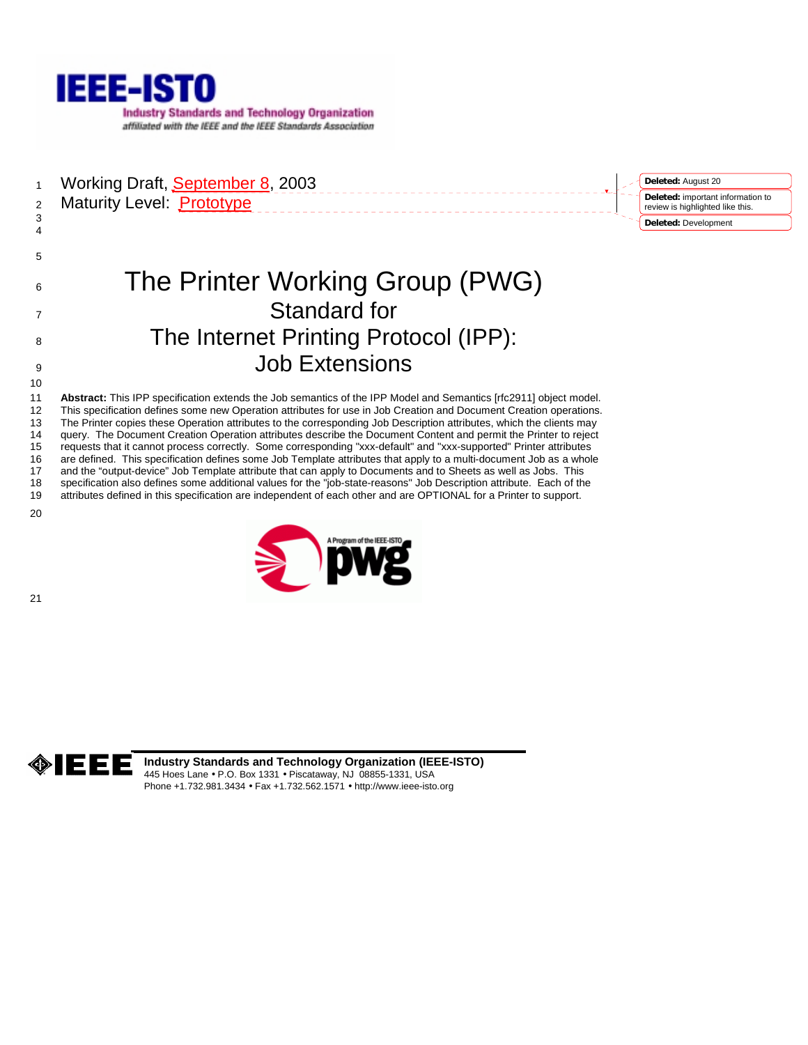

|                     | Working Draft, September 8, 2003                                                                                  | Deleted: August 20                                                    |
|---------------------|-------------------------------------------------------------------------------------------------------------------|-----------------------------------------------------------------------|
| $\overline{2}$      | Maturity Level: <b>Prototype</b>                                                                                  | Deleted: important information to<br>review is highlighted like this. |
| 3<br>$\overline{4}$ |                                                                                                                   | Deleted: Development                                                  |
| 5                   |                                                                                                                   |                                                                       |
| 6                   | The Printer Working Group (PWG)                                                                                   |                                                                       |
| $\overline{7}$      | <b>Standard for</b>                                                                                               |                                                                       |
| 8                   | The Internet Printing Protocol (IPP):                                                                             |                                                                       |
| 9                   | <b>Job Extensions</b>                                                                                             |                                                                       |
| 10                  |                                                                                                                   |                                                                       |
| 11                  | Abstract: This IPP specification extends the Job semantics of the IPP Model and Semantics [rfc2911] object model. |                                                                       |

12 This specification defines some new Operation attributes for use in Job Creation and Document Creation operations. 13 The Printer copies these Operation attributes to the corresponding Job Description attributes, which the clients may 14 query. The Document Creation Operation attributes describe the Document Content and permit the Printer to reject<br>15 requests that it cannot process correctly. Some corresponding "xxx-default" and "xxx-supported" Printer 15 requests that it cannot process correctly. Some corresponding "xxx-default" and "xxx-supported" Printer attributes 16 are defined. This specification defines some Job Template attributes that apply to a multi-document Job as a whole<br>17 and the "output-device" Job Template attribute that can apply to Documents and to Sheets as well as J and the "output-device" Job Template attribute that can apply to Documents and to Sheets as well as Jobs. This 18 specification also defines some additional values for the "job-state-reasons" Job Description attribute. Each of the<br>19 attributes defined in this specification are independent of each other and are OPTIONAL for a Print 19 attributes defined in this specification are independent of each other and are OPTIONAL for a Printer to support.

20

21



**IDEEE** Industry Standards and Technology Organization (IEEE-ISTO) 445 Hoes Lane • P.O. Box 1331 • Piscataway, NJ 08855-1331, USA Phone +1.732.981.3434 • Fax +1.732.562.1571 • http://www.ieee-isto.org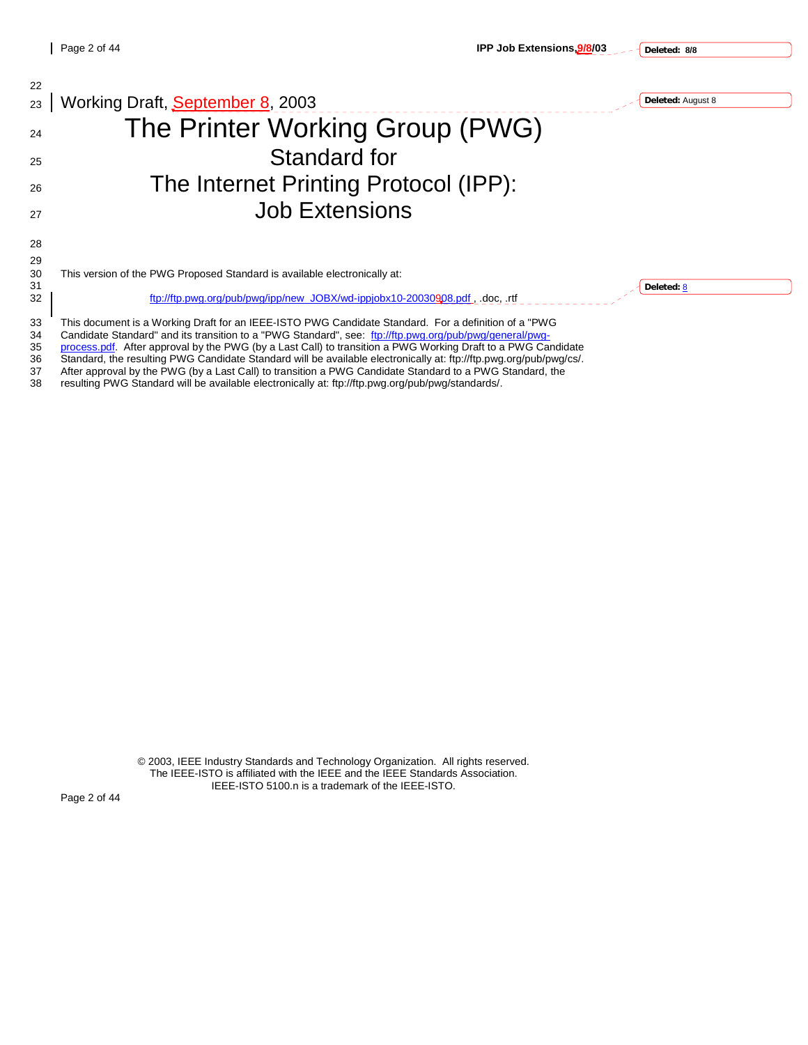| 22       |                                                                                                                                                                                                                                |                   |
|----------|--------------------------------------------------------------------------------------------------------------------------------------------------------------------------------------------------------------------------------|-------------------|
| 23       | Working Draft, September 8, 2003                                                                                                                                                                                               | Deleted: August 8 |
| 24       | The Printer Working Group (PWG)                                                                                                                                                                                                |                   |
| 25       | Standard for                                                                                                                                                                                                                   |                   |
| 26       | The Internet Printing Protocol (IPP):                                                                                                                                                                                          |                   |
| 27       | <b>Job Extensions</b>                                                                                                                                                                                                          |                   |
| 28<br>29 |                                                                                                                                                                                                                                |                   |
| 30       | This version of the PWG Proposed Standard is available electronically at:                                                                                                                                                      |                   |
| 31<br>32 | ftp://ftp.pwg.org/pub/pwg/ipp/new_JOBX/wd-ippjobx10-20030908.pdf, .doc, .rtf                                                                                                                                                   | Deleted: 8        |
| 33<br>34 | This document is a Working Draft for an IEEE-ISTO PWG Candidate Standard. For a definition of a "PWG<br>Candidate Standard" and its transition to a "PWG Standard", see: ftp://ftp.pwg.org/pub/pwg/general/pwg-                |                   |
| 35       | process.pdf. After approval by the PWG (by a Last Call) to transition a PWG Working Draft to a PWG Candidate                                                                                                                   |                   |
| 36<br>27 | Standard, the resulting PWG Candidate Standard will be available electronically at: ftp://ftp.pwg.org/pub/pwg/cs/.<br>After approval by the PWG (by a Last Call) to transition a PWG Candidate Standard to a PWG Standard, the |                   |

37 After approval by the PWG (by a Last Call) to transition a PWG Candidate Standard to a PWG Standard, the 38<br>38 resulting PWG Standard will be available electronically at: ftp://ftp.pwg.org/pub/pwg/standards/. 38 resulting PWG Standard will be available electronically at: ftp://ftp.pwg.org/pub/pwg/standards/.

> © 2003, IEEE Industry Standards and Technology Organization. All rights reserved. The IEEE-ISTO is affiliated with the IEEE and the IEEE Standards Association. IEEE-ISTO 5100.n is a trademark of the IEEE-ISTO.

Page 2 of 44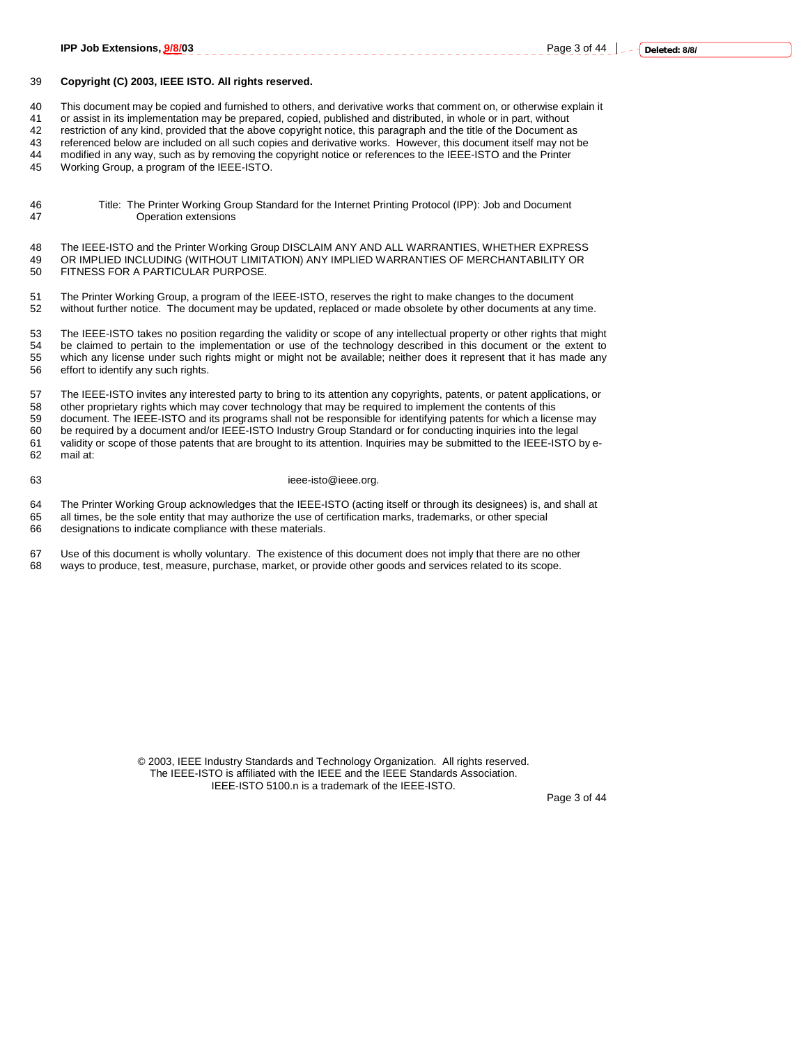# 39 **Copyright (C) 2003, IEEE ISTO. All rights reserved.**

40 This document may be copied and furnished to others, and derivative works that comment on, or otherwise explain it

41 or assist in its implementation may be prepared, copied, published and distributed, in whole or in part, without

42 restriction of any kind, provided that the above copyright notice, this paragraph and the title of the Document as

43 referenced below are included on all such copies and derivative works. However, this document itself may not be<br>44 modified in any way, such as by removing the convright notice or references to the IFFF-ISTO and the Pri modified in any way, such as by removing the copyright notice or references to the IEEE-ISTO and the Printer

45 Working Group, a program of the IEEE-ISTO.

48 The IEEE-ISTO and the Printer Working Group DISCLAIM ANY AND ALL WARRANTIES, WHETHER EXPRESS 49 OR IMPLIED INCLUDING (WITHOUT LIMITATION) ANY IMPLIED WARRANTIES OF MERCHANTABILITY OR 50 FITNESS FOR A PARTICULAR PURPOSE.

51 The Printer Working Group, a program of the IEEE-ISTO, reserves the right to make changes to the document 52 without further notice. The document may be updated, replaced or made obsolete by other documents at any time.

53 The IEEE-ISTO takes no position regarding the validity or scope of any intellectual property or other rights that might 54 be claimed to pertain to the implementation or use of the technology described in this document or the extent to 55 which any license under such rights might or might not be available; neither does it represent that it has made any<br>56 effort to identify any such rights. effort to identify any such rights.

57 The IEEE-ISTO invites any interested party to bring to its attention any copyrights, patents, or patent applications, or 58 other proprietary rights which may cover technology that may be required to implement the contents of this 59 document. The IEEE-ISTO and its programs shall not be responsible for identifying patents for which a license may 60 be required by a document and/or IEEE-ISTO Industry Group Standard or for conducting inquiries into the legal 61 validity or scope of those patents that are brought to its attention. Inquiries may be submitted to the IEEE-ISTO by e-62 mail at:

#### 63 ieee-isto@ieee.org.

64 The Printer Working Group acknowledges that the IEEE-ISTO (acting itself or through its designees) is, and shall at 65 all times, be the sole entity that may authorize the use of certification marks, trademarks, or other special designations to indicate compliance with these materials.

67 Use of this document is wholly voluntary. The existence of this document does not imply that there are no other 68 ways to produce, test, measure, purchase, market, or provide other goods and services related to its scope.

> © 2003, IEEE Industry Standards and Technology Organization. All rights reserved. The IEEE-ISTO is affiliated with the IEEE and the IEEE Standards Association. IEEE-ISTO 5100.n is a trademark of the IEEE-ISTO.

Page 3 of 44

<sup>46</sup> Title: The Printer Working Group Standard for the Internet Printing Protocol (IPP): Job and Document 47 Operation extensions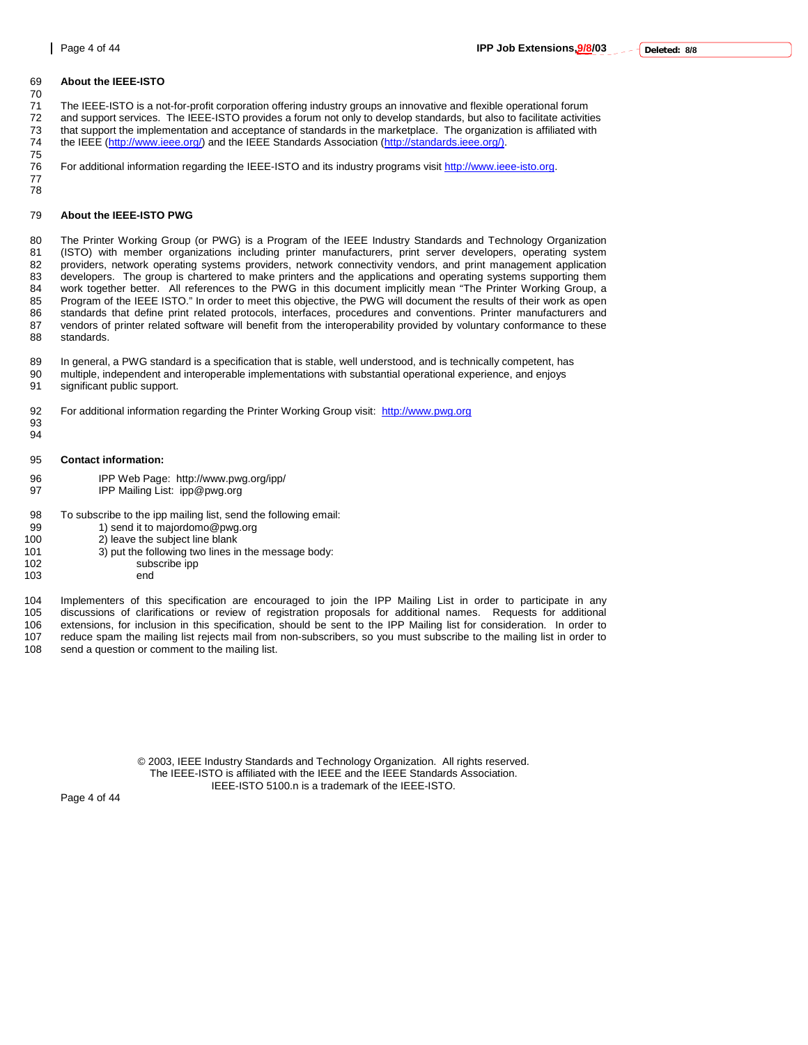#### 69 **About the IEEE-ISTO**

71 The IEEE-ISTO is a not-for-profit corporation offering industry groups an innovative and flexible operational forum<br>72 and support services. The IEEE-ISTO provides a forum not only to develop standards, but also to faci 72 and support services. The IEEE-ISTO provides a forum not only to develop standards, but also to facilitate activities<br>73 that support the implementation and acceptance of standards in the marketplace. The organization i that support the implementation and acceptance of standards in the marketplace. The organization is affiliated with 74 the IEEE (http://www.ieee.org/) and the IEEE Standards Association (http://standards.ieee.org/).

75 For additional information regarding the IEEE-ISTO and its industry programs visit http://www.ieee-isto.org.

#### 79 **About the IEEE-ISTO PWG**

80 The Printer Working Group (or PWG) is a Program of the IEEE Industry Standards and Technology Organization 81 (ISTO) with member organizations including printer manufacturers, print server developers, operating system 82 providers, network operating systems providers, network connectivity vendors, and print management application 83 developers. The group is chartered to make printers and the applications and operating systems supporting them 84 work together better. All references to the PWG in this document implicitly mean "The Printer Working Group, a 85 Program of the IEEE ISTO." In order to meet this objective, the PWG will document the results of their work as open 86 standards that define print related protocols, interfaces, procedures and conventions. Printer manufacturers and<br>87 vendors of printer related software will benefit from the interoperability provided by voluntary confor vendors of printer related software will benefit from the interoperability provided by voluntary conformance to these 88 standards.

89 In general, a PWG standard is a specification that is stable, well understood, and is technically competent, has 90 multiple, independent and interoperable implementations with substantial operational experience, and enjoys 91 significant public support.

92 For additional information regarding the Printer Working Group visit: http://www.pwg.org

93 94

95 **Contact information:** 

- 96 IPP Web Page: http://www.pwg.org/ipp/
- 97 IPP Mailing List: ipp@pwg.org

98 To subscribe to the ipp mailing list, send the following email:

- 99 1) send it to majordomo@pwg.org
- 100 2) leave the subject line blank
- 101 3) put the following two lines in the message body:<br>102 subscribe ipp
- subscribe ipp
- 103 end

104 Implementers of this specification are encouraged to join the IPP Mailing List in order to participate in any 105 discussions of clarifications or review of registration proposals for additional names. Requests for additional<br>106 extensions for inclusion in this specification, should be sent to the IPP Mailing list for considerati 106 extensions, for inclusion in this specification, should be sent to the IPP Mailing list for consideration. In order to 107 reduce spam the mailing list rejects mail from non-subscribers, so you must subscribe to the ma reduce spam the mailing list rejects mail from non-subscribers, so you must subscribe to the mailing list in order to 108 send a question or comment to the mailing list.

> © 2003, IEEE Industry Standards and Technology Organization. All rights reserved. The IEEE-ISTO is affiliated with the IEEE and the IEEE Standards Association. IEEE-ISTO 5100.n is a trademark of the IEEE-ISTO.

Page 4 of 44

# 70

77 78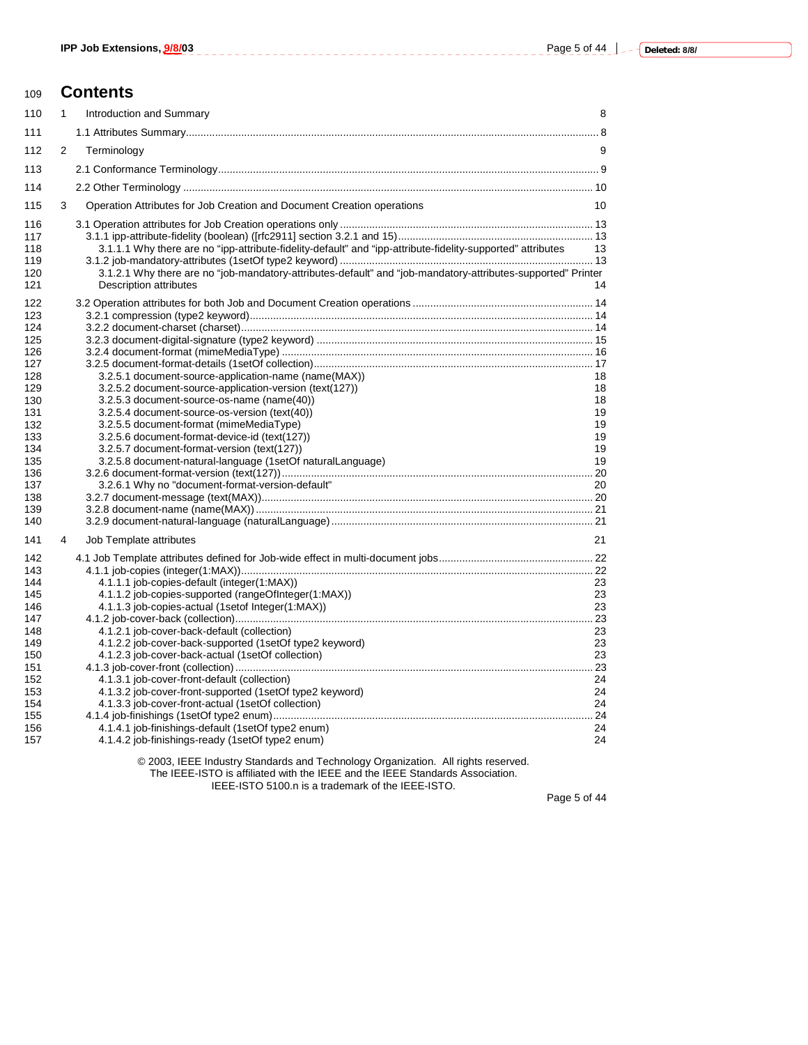# <sup>109</sup>**Contents** 110 1 Introduction and Summary 8 and 10 and 10 and 10 and 10 and 10 and 10 and 10 and 10 and 10 and 10 and 10 and 10 and 10 and 10 and 10 and 10 and 10 and 10 and 10 and 10 and 10 and 10 and 10 and 10 and 10 and 10 and 10 111 1.1 Attributes Summary.............................................................................................................................................. 8 112 2 Terminology 9

| 113                                                                                                                               |   |                                                                                                                                                                                                                                                                                                                                                                                                                                                                                                                                                                                                     |                                                                |
|-----------------------------------------------------------------------------------------------------------------------------------|---|-----------------------------------------------------------------------------------------------------------------------------------------------------------------------------------------------------------------------------------------------------------------------------------------------------------------------------------------------------------------------------------------------------------------------------------------------------------------------------------------------------------------------------------------------------------------------------------------------------|----------------------------------------------------------------|
| 114                                                                                                                               |   |                                                                                                                                                                                                                                                                                                                                                                                                                                                                                                                                                                                                     |                                                                |
| 115                                                                                                                               | 3 | Operation Attributes for Job Creation and Document Creation operations                                                                                                                                                                                                                                                                                                                                                                                                                                                                                                                              | 10                                                             |
| 116<br>117<br>118<br>119<br>120<br>121                                                                                            |   | 3.1.1.1 Why there are no "ipp-attribute-fidelity-default" and "ipp-attribute-fidelity-supported" attributes<br>3.1.2.1 Why there are no "job-mandatory-attributes-default" and "job-mandatory-attributes-supported" Printer<br><b>Description attributes</b>                                                                                                                                                                                                                                                                                                                                        | - 13<br>14                                                     |
| 122<br>123<br>124<br>125<br>126<br>127<br>128<br>129<br>130<br>131<br>132<br>133<br>134<br>135<br>136<br>137<br>138<br>139<br>140 |   | 3.2.5.1 document-source-application-name (name(MAX))<br>3.2.5.2 document-source-application-version (text(127))<br>3.2.5.3 document-source-os-name (name(40))<br>3.2.5.4 document-source-os-version (text(40))<br>3.2.5.5 document-format (mimeMediaType)<br>3.2.5.6 document-format-device-id (text(127))<br>3.2.5.7 document-format-version (text(127))<br>3.2.5.8 document-natural-language (1setOf naturalLanguage)<br>3.2.6.1 Why no "document-format-version-default"                                                                                                                         | 18<br>18<br>18<br>19<br>19<br>19<br>19<br>19<br>20             |
| 141                                                                                                                               | 4 | Job Template attributes                                                                                                                                                                                                                                                                                                                                                                                                                                                                                                                                                                             | 21                                                             |
| 142<br>143<br>144<br>145<br>146<br>147<br>148<br>149<br>150<br>151<br>152<br>153<br>154<br>155<br>156<br>157                      |   | 4.1.1.1 job-copies-default (integer(1:MAX))<br>4.1.1.2 job-copies-supported (rangeOfInteger(1:MAX))<br>4.1.1.3 job-copies-actual (1setof Integer(1:MAX))<br>4.1.2.1 job-cover-back-default (collection)<br>4.1.2.2 job-cover-back-supported (1setOf type2 keyword)<br>4.1.2.3 job-cover-back-actual (1setOf collection)<br>4.1.3.1 job-cover-front-default (collection)<br>4.1.3.2 job-cover-front-supported (1setOf type2 keyword)<br>4.1.3.3 job-cover-front-actual (1setOf collection)<br>4.1.4.1 job-finishings-default (1setOf type2 enum)<br>4.1.4.2 job-finishings-ready (1setOf type2 enum) | 23<br>23<br>23<br>23<br>23<br>23<br>24<br>24<br>24<br>24<br>24 |
|                                                                                                                                   |   |                                                                                                                                                                                                                                                                                                                                                                                                                                                                                                                                                                                                     |                                                                |

© 2003, IEEE Industry Standards and Technology Organization. All rights reserved. The IEEE-ISTO is affiliated with the IEEE and the IEEE Standards Association. IEEE-ISTO 5100.n is a trademark of the IEEE-ISTO.

Page 5 of 44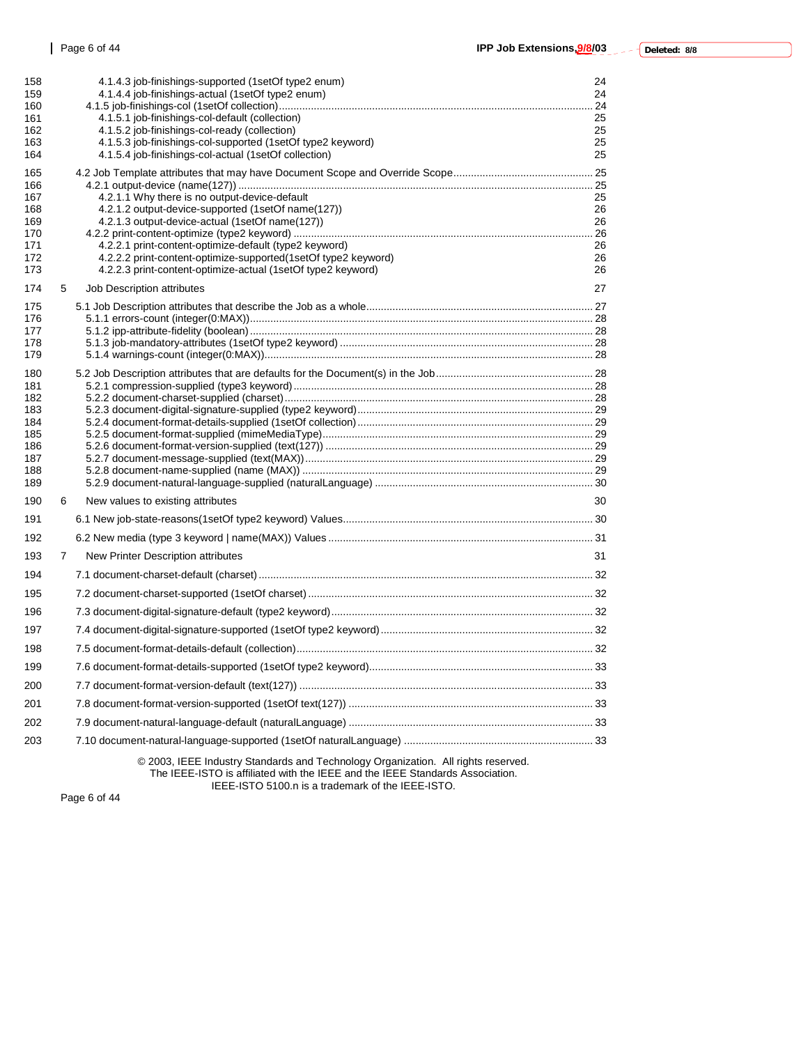| 158<br>159 |   | 4.1.4.3 job-finishings-supported (1setOf type2 enum)<br>4.1.4.4 job-finishings-actual (1setOf type2 enum)                      | 24<br>24 |
|------------|---|--------------------------------------------------------------------------------------------------------------------------------|----------|
| 160<br>161 |   | 4.1.5.1 job-finishings-col-default (collection)                                                                                | 25       |
| 162        |   | 4.1.5.2 job-finishings-col-ready (collection)                                                                                  | 25       |
| 163        |   | 4.1.5.3 job-finishings-col-supported (1setOf type2 keyword)                                                                    | 25       |
| 164        |   | 4.1.5.4 job-finishings-col-actual (1setOf collection)                                                                          | 25       |
| 165        |   |                                                                                                                                |          |
| 166        |   |                                                                                                                                |          |
| 167<br>168 |   | 4.2.1.1 Why there is no output-device-default                                                                                  | 25<br>26 |
| 169        |   | 4.2.1.2 output-device-supported (1setOf name(127))<br>4.2.1.3 output-device-actual (1setOf name(127))                          | 26       |
| 170        |   |                                                                                                                                |          |
| 171        |   | 4.2.2.1 print-content-optimize-default (type2 keyword)                                                                         | 26       |
| 172<br>173 |   | 4.2.2.2 print-content-optimize-supported(1setOf type2 keyword)<br>4.2.2.3 print-content-optimize-actual (1setOf type2 keyword) | 26<br>26 |
|            |   |                                                                                                                                |          |
| 174        | 5 | Job Description attributes                                                                                                     | 27       |
| 175        |   |                                                                                                                                |          |
| 176<br>177 |   |                                                                                                                                |          |
| 178        |   |                                                                                                                                |          |
| 179        |   |                                                                                                                                |          |
| 180        |   |                                                                                                                                |          |
| 181        |   |                                                                                                                                |          |
| 182<br>183 |   |                                                                                                                                |          |
| 184        |   |                                                                                                                                |          |
| 185        |   |                                                                                                                                |          |
| 186        |   |                                                                                                                                |          |
| 187<br>188 |   |                                                                                                                                |          |
| 189        |   |                                                                                                                                |          |
| 190        | 6 | New values to existing attributes                                                                                              | 30       |
| 191        |   |                                                                                                                                |          |
| 192        |   |                                                                                                                                |          |
| 193        | 7 | New Printer Description attributes                                                                                             | 31       |
| 194        |   |                                                                                                                                |          |
| 195        |   |                                                                                                                                |          |
| 196        |   |                                                                                                                                |          |
| 197        |   |                                                                                                                                |          |
| 198        |   |                                                                                                                                |          |
| 199        |   |                                                                                                                                |          |
| 200        |   |                                                                                                                                |          |
| 201        |   |                                                                                                                                |          |
| 202        |   |                                                                                                                                |          |
| 203        |   |                                                                                                                                |          |
|            |   | @2002 IFFF Industry Ctenderds and Technology Organization All rights reserved                                                  |          |

© 2003, IEEE Industry Standards and Technology Organization. All rights reserved. The IEEE-ISTO is affiliated with the IEEE and the IEEE Standards Association. IEEE-ISTO 5100.n is a trademark of the IEEE-ISTO.

Page 6 of 44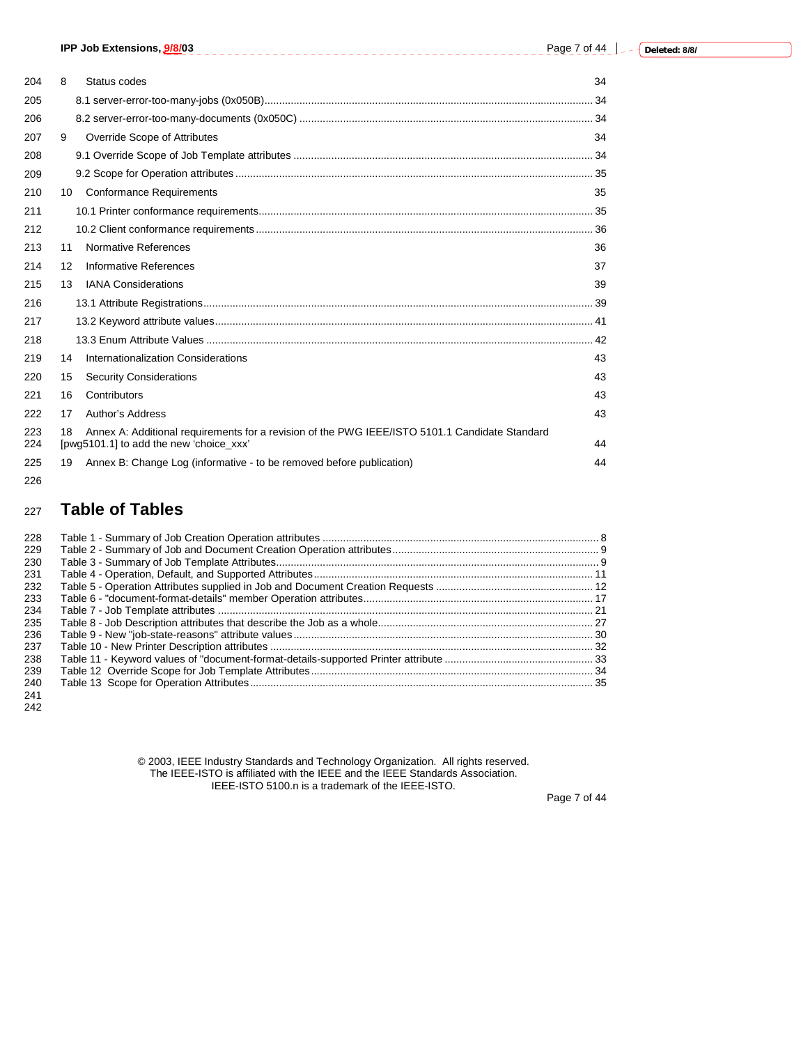|            | IPP Job Extensions, 9/8/03                                                                                                                      | Page 7 of 44 |
|------------|-------------------------------------------------------------------------------------------------------------------------------------------------|--------------|
| 204        | Status codes<br>8                                                                                                                               | 34           |
| 205        |                                                                                                                                                 |              |
| 206        |                                                                                                                                                 |              |
| 207        | Override Scope of Attributes<br>9                                                                                                               | 34           |
| 208        |                                                                                                                                                 |              |
| 209        |                                                                                                                                                 |              |
| 210        | <b>Conformance Requirements</b><br>10 <sup>1</sup>                                                                                              | 35           |
| 211        |                                                                                                                                                 |              |
| 212        |                                                                                                                                                 |              |
| 213        | Normative References<br>11                                                                                                                      | 36           |
| 214        | 12 <sup>2</sup><br>Informative References                                                                                                       | 37           |
| 215        | <b>IANA Considerations</b><br>13                                                                                                                | 39           |
| 216        |                                                                                                                                                 |              |
| 217        |                                                                                                                                                 |              |
| 218        |                                                                                                                                                 |              |
| 219        | Internationalization Considerations<br>14                                                                                                       | 43           |
| 220        | 15<br><b>Security Considerations</b>                                                                                                            | 43           |
| 221        | Contributors<br>16                                                                                                                              | 43           |
| 222        | <b>Author's Address</b><br>17                                                                                                                   | 43           |
| 223<br>224 | Annex A: Additional requirements for a revision of the PWG IEEE/ISTO 5101.1 Candidate Standard<br>18<br>[pwq5101.1] to add the new 'choice xxx' | 44           |
| 225        | Annex B: Change Log (informative - to be removed before publication)<br>19                                                                      | 44           |
| 226        |                                                                                                                                                 |              |

# <sup>227</sup>**Table of Tables**

#### 228 Table 1 - Summary of Job Creation Operation attributes ............................................................................................... 8 229 Table 2 - Summary of Job and Document Creation Operation attributes....................................................................... 9 230 Table 3 - Summary of Job Template Attributes............................................................................................................... 9 231 Table 4 - Operation, Default, and Supported Attributes................................................................................................ 11 232 Table 5 - Operation Attributes supplied in Job and Document Creation Requests ...................................................... 12 233 Table 6 - "document-format-details" member Operation attributes............................................................................... 17 234 Table 7 - Job Template attributes ................................................................................................................................. 21 235 Table 8 - Job Description attributes that describe the Job as a whole.......................................................................... 27 236 Table 9 - New "job-state-reasons" attribute values....................................................................................................... 30 237 Table 10 - New Printer Description attributes ............................................................................................................... 32 238 Table 11 - Keyword values of "document-format-details-supported Printer attribute ................................................... 33 239 Table 12 Override Scope for Job Template Attributes................................................................................................. 34 240 Table 13 Scope for Operation Attributes...................................................................................................................... 35

 $241$ 242

> © 2003, IEEE Industry Standards and Technology Organization. All rights reserved. The IEEE-ISTO is affiliated with the IEEE and the IEEE Standards Association. IEEE-ISTO 5100.n is a trademark of the IEEE-ISTO.

Page 7 of 44

**Deleted: 8/8/**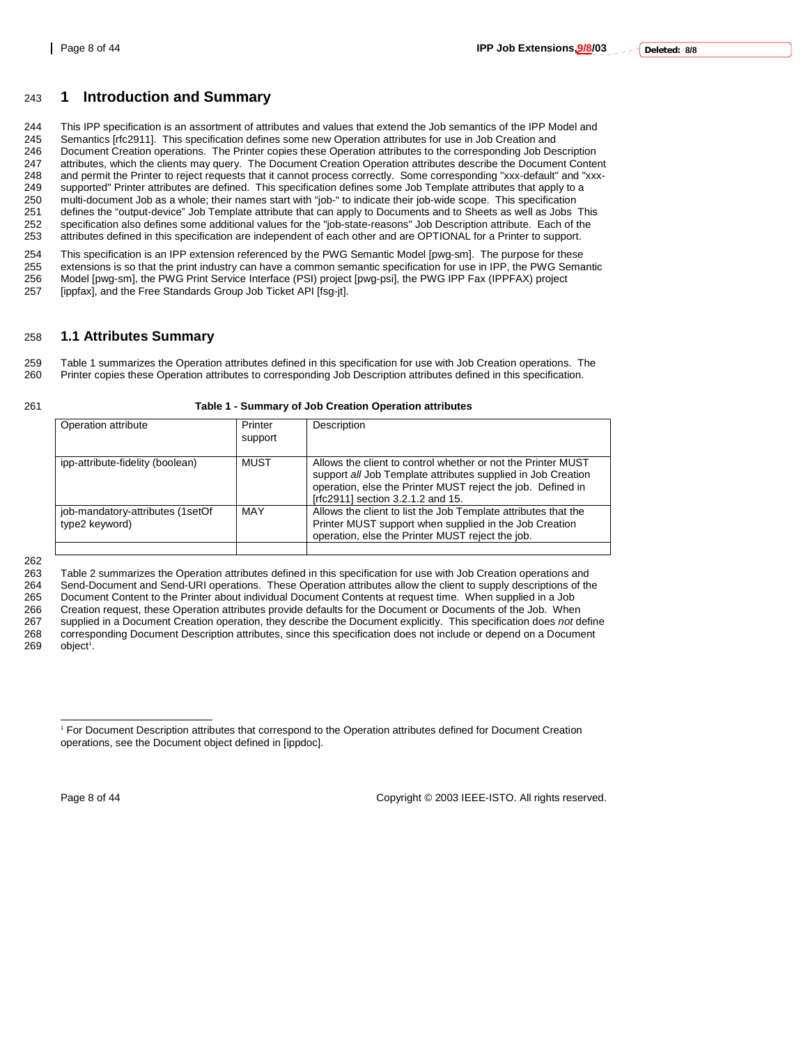# 243 **1 Introduction and Summary**

244 This IPP specification is an assortment of attributes and values that extend the Job semantics of the IPP Model and 245 Semantics [rfc2911]. This specification defines some new Operation attributes for use in Job Creation and 246 Document Creation operations. The Printer copies these Operation attributes to the corresponding Job Description 247 attributes, which the clients may query. The Document Creation Operation attributes describe the Document Content<br>248 and permit the Printer to reject requests that it cannot process correctly. Some corresponding "xxx-248 and permit the Printer to reject requests that it cannot process correctly. Some corresponding "xxx-default" and "xxx-<br>249 supported" Printer attributes are defined. This specification defines some Job Template attribu supported" Printer attributes are defined. This specification defines some Job Template attributes that apply to a 250 multi-document Job as a whole; their names start with "job-" to indicate their job-wide scope. This specification 251 defines the "output-device" Job Template attribute that can apply to Documents and to Sheets as well as Jobs This<br>252 specification also defines some additional values for the "iob-state-reasons" Job Description attrib specification also defines some additional values for the "job-state-reasons" Job Description attribute. Each of the 253 attributes defined in this specification are independent of each other and are OPTIONAL for a Printer to support.

254 This specification is an IPP extension referenced by the PWG Semantic Model [pwg-sm]. The purpose for these<br>255 extensions is so that the print industry can have a common semantic specification for use in IPP the PWG S extensions is so that the print industry can have a common semantic specification for use in IPP, the PWG Semantic 256 Model [pwg-sm], the PWG Print Service Interface (PSI) project [pwg-psi], the PWG IPP Fax (IPPFAX) project 257 [ippfax], and the Free Standards Group Job Ticket API [fsg-jt].

# 258 **1.1 Attributes Summary**

259 Table 1 summarizes the Operation attributes defined in this specification for use with Job Creation operations. The 260 Printer copies these Operation attributes to corresponding Job Description attributes defined in this specification.

261 **Table 1 - Summary of Job Creation Operation attributes** 

| Operation attribute                                | Printer<br>support | Description                                                                                                                                                                                                                      |
|----------------------------------------------------|--------------------|----------------------------------------------------------------------------------------------------------------------------------------------------------------------------------------------------------------------------------|
| ipp-attribute-fidelity (boolean)                   | MUST               | Allows the client to control whether or not the Printer MUST<br>support all Job Template attributes supplied in Job Creation<br>operation, else the Printer MUST reject the job. Defined in<br>[rfc2911] section 3.2.1.2 and 15. |
| job-mandatory-attributes (1setOf<br>type2 keyword) | MAY                | Allows the client to list the Job Template attributes that the<br>Printer MUST support when supplied in the Job Creation<br>operation, else the Printer MUST reject the job.                                                     |

262

263 Table 2 summarizes the Operation attributes defined in this specification for use with Job Creation operations and<br>264 Send-Document and Send-URI operations. These Operation attributes allow the client to supply descri Send-Document and Send-URI operations. These Operation attributes allow the client to supply descriptions of the 265 Document Content to the Printer about individual Document Contents at request time. When supplied in a Job 266 Creation request, these Operation attributes provide defaults for the Document or Documents of the Job. When 267 supplied in a Document Creation operation, they describe the Document explicitly. This specification does *not* define 268 corresponding Document Description attributes, since this specification does not include or depend on a Document  $object<sup>1</sup>$ .

Page 8 of 44 Copyright © 2003 IEEE-ISTO. All rights reserved.

 $\overline{a}$ 1 For Document Description attributes that correspond to the Operation attributes defined for Document Creation operations, see the Document object defined in [ippdoc].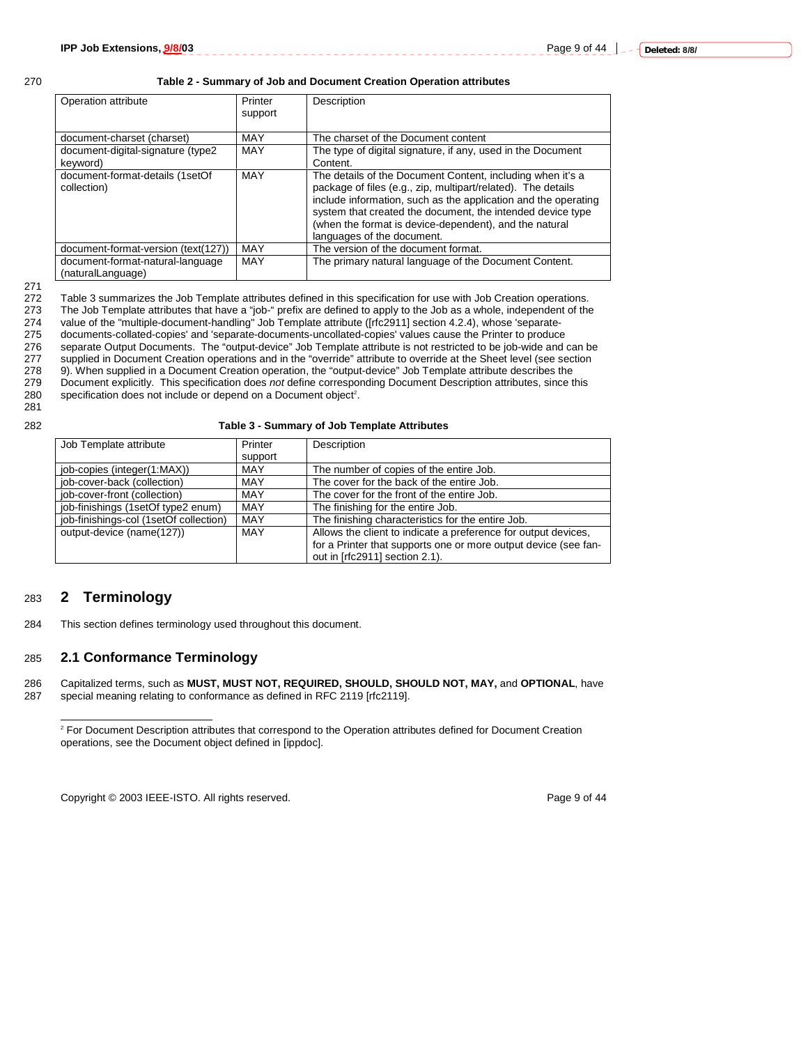#### 270 **Table 2 - Summary of Job and Document Creation Operation attributes**

| Operation attribute                                   | Printer<br>support | Description                                                                                                                                                                                                                                                                                                                                        |
|-------------------------------------------------------|--------------------|----------------------------------------------------------------------------------------------------------------------------------------------------------------------------------------------------------------------------------------------------------------------------------------------------------------------------------------------------|
| document-charset (charset)                            | MAY                | The charset of the Document content                                                                                                                                                                                                                                                                                                                |
| document-digital-signature (type2<br>keyword)         | MAY                | The type of digital signature, if any, used in the Document<br>Content.                                                                                                                                                                                                                                                                            |
| document-format-details (1setOf<br>collection)        | MAY                | The details of the Document Content, including when it's a<br>package of files (e.g., zip, multipart/related). The details<br>include information, such as the application and the operating<br>system that created the document, the intended device type<br>(when the format is device-dependent), and the natural<br>languages of the document. |
| document-format-version (text(127))                   | MAY                | The version of the document format.                                                                                                                                                                                                                                                                                                                |
| document-format-natural-language<br>(naturalLanguage) | MAY                | The primary natural language of the Document Content.                                                                                                                                                                                                                                                                                              |

271

272 Table 3 summarizes the Job Template attributes defined in this specification for use with Job Creation operations.<br>273 The Job Template attributes that have a "job-" prefix are defined to apply to the Job as a whole, i The Job Template attributes that have a "job-" prefix are defined to apply to the Job as a whole, independent of the

274 value of the "multiple-document-handling" Job Template attribute ([rfc2911] section 4.2.4), whose 'separate-<br>275 documents-collated-copies' and 'separate-documents-uncollated-copies' values cause the Printer to produce

275 documents-collated-copies' and 'separate-documents-uncollated-copies' values cause the Printer to produce<br>276 separate Output Documents. The "output-device" Job Template attribute is not restricted to be iob-wide and

276 separate Output Documents. The "output-device" Job Template attribute is not restricted to be job-wide and can be<br>277 supplied in Document Creation operations and in the "override" attribute to override at the Sheet le supplied in Document Creation operations and in the "override" attribute to override at the Sheet level (see section

278 9). When supplied in a Document Creation operation, the "output-device" Job Template attribute describes the<br>279 Document explicitly. This specification does not define corresponding Document Description attributes, si

279 Document explicitly. This specification does *not* define corresponding Document Description attributes, since this

specification does not include or depend on a Document object<sup>2</sup>.

281

| 282 | Table 3 - Summary of Job Template Attributes |  |
|-----|----------------------------------------------|--|
|     |                                              |  |

| Job Template attribute                 | Printer | Description                                                     |
|----------------------------------------|---------|-----------------------------------------------------------------|
|                                        | support |                                                                 |
| job-copies (integer(1:MAX))            | MAY     | The number of copies of the entire Job.                         |
| job-cover-back (collection)            | MAY     | The cover for the back of the entire Job.                       |
| job-cover-front (collection)           | MAY     | The cover for the front of the entire Job.                      |
| job-finishings (1setOf type2 enum)     | MAY     | The finishing for the entire Job.                               |
| job-finishings-col (1setOf collection) | MAY     | The finishing characteristics for the entire Job.               |
| output-device (name(127))              | MAY     | Allows the client to indicate a preference for output devices,  |
|                                        |         | for a Printer that supports one or more output device (see fan- |
|                                        |         | out in [rfc2911] section 2.1).                                  |

# 283 **2 Terminology**

 $\overline{a}$ 

284 This section defines terminology used throughout this document.

### 285 **2.1 Conformance Terminology**

286 Capitalized terms, such as **MUST, MUST NOT, REQUIRED, SHOULD, SHOULD NOT, MAY,** and **OPTIONAL**, have 287 special meaning relating to conformance as defined in RFC 2119 [rfc2119].

Copyright © 2003 IEEE-ISTO. All rights reserved. Page 9 of 44

<sup>&</sup>lt;sup>2</sup> For Document Description attributes that correspond to the Operation attributes defined for Document Creation operations, see the Document object defined in [ippdoc].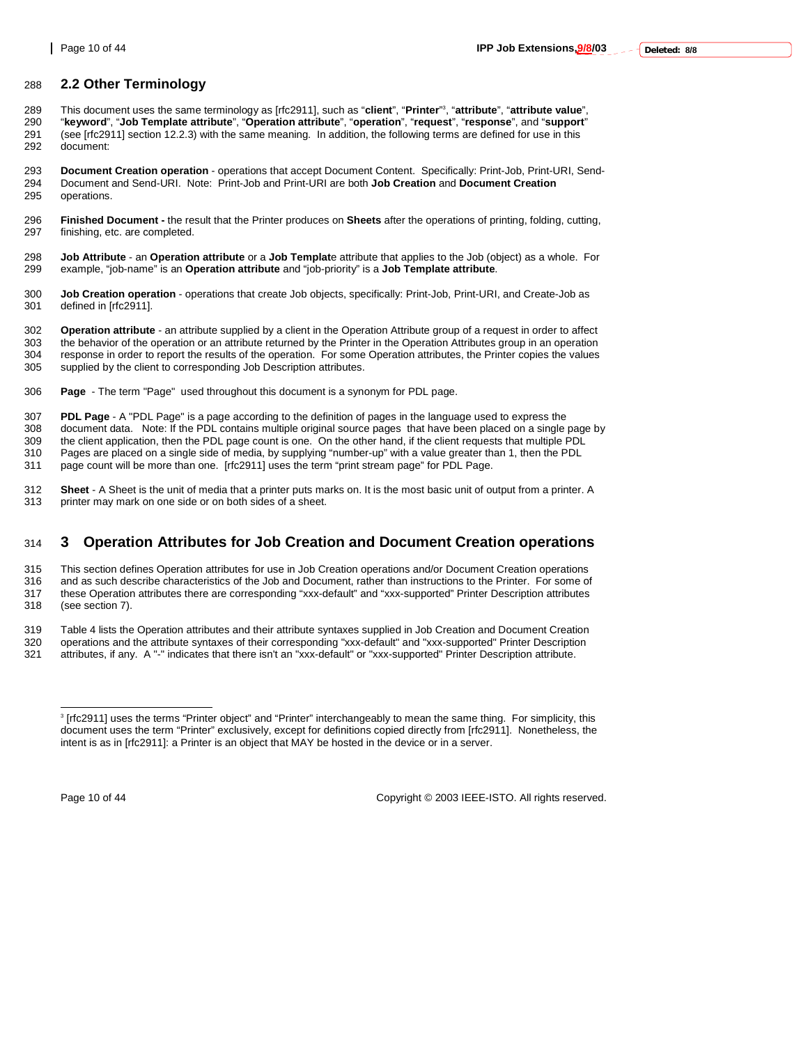# 288 **2.2 Other Terminology**

- This document uses the same terminology as [rfc2911], such as "**client**", "**Printer**" <sup>3</sup> 289 , "**attribute**", "**attribute value**", 290 "**keyword**", "**Job Template attribute**", "**Operation attribute**", "**operation**", "**request**", "**response**", and "**support**" 291 (see [rfc2911] section 12.2.3) with the same meaning. In addition, the following terms are defined for use in this 292 document:
- 293 **Document Creation operation**  operations that accept Document Content. Specifically: Print-Job, Print-URI, Send-294 Document and Send-URI. Note: Print-Job and Print-URI are both **Job Creation** and **Document Creation** operations.
- 296 **Finished Document** the result that the Printer produces on **Sheets** after the operations of printing, folding, cutting, 297 finishing, etc. are completed.
- 298 **Job Attribute** an **Operation attribute** or a **Job Templat**e attribute that applies to the Job (object) as a whole. For 299 example, "job-name" is an **Operation attribute** and "job-priority" is a **Job Template attribute**.
- 300 **Job Creation operation** operations that create Job objects, specifically: Print-Job, Print-URI, and Create-Job as 301 defined in [rfc2911].
- 302 **Operation attribute** an attribute supplied by a client in the Operation Attribute group of a request in order to affect 303 the behavior of the operation or an attribute returned by the Printer in the Operation Attributes group in an operation<br>304 response in order to report the results of the operation. For some Operation attributes, the P response in order to report the results of the operation. For some Operation attributes, the Printer copies the values 305 supplied by the client to corresponding Job Description attributes.
- 306 **Page**  The term "Page" used throughout this document is a synonym for PDL page.
- 307 **PDL Page** A "PDL Page" is a page according to the definition of pages in the language used to express the 308 document data. Note: If the PDL contains multiple original source pages that have been placed on a single page by<br>309 the client application, then the PDL page count is one. On the other hand, if the client requests th the client application, then the PDL page count is one. On the other hand, if the client requests that multiple PDL 310 Pages are placed on a single side of media, by supplying "number-up" with a value greater than 1, then the PDL
- 311 page count will be more than one. [rfc2911] uses the term "print stream page" for PDL Page.
- 312 **Sheet** A Sheet is the unit of media that a printer puts marks on. It is the most basic unit of output from a printer. A 313 printer may mark on one side or on both sides of a sheet.

# 314 **3 Operation Attributes for Job Creation and Document Creation operations**

315 This section defines Operation attributes for use in Job Creation operations and/or Document Creation operations 316 and as such describe characteristics of the Job and Document, rather than instructions to the Printer. For some of 317 these Operation attributes these Operation attributes there are corresponding "xxx-default" and "xxx-supported" Printer Description attributes

- 318 (see section 7).
- 319 Table 4 lists the Operation attributes and their attribute syntaxes supplied in Job Creation and Document Creation 320 operations and the attribute syntaxes of their corresponding "xxx-default" and "xxx-supported" Printer Description
- 321 attributes, if any. A "-" indicates that there isn't an "xxx-default" or "xxx-supported" Printer Description attribute.

Page 10 of 44 Copyright © 2003 IEEE-ISTO. All rights reserved.

<sup>&</sup>lt;sup>3</sup> [rfc2911] uses the terms "Printer object" and "Printer" interchangeably to mean the same thing. For simplicity, this document uses the term "Printer" exclusively, except for definitions copied directly from [rfc2911]. Nonetheless, the intent is as in [rfc2911]: a Printer is an object that MAY be hosted in the device or in a server.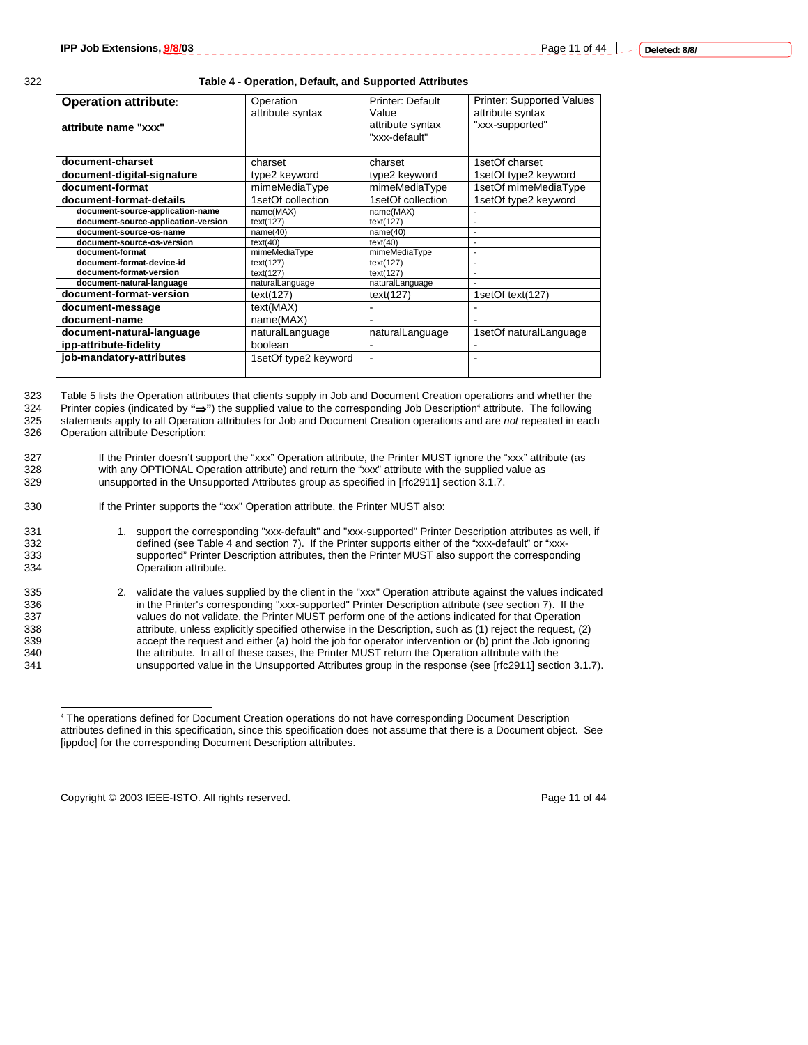#### 322 **Table 4 - Operation, Default, and Supported Attributes**

| <b>Operation attribute:</b><br>attribute name "xxx" | Operation<br>attribute syntax | Printer: Default<br>Value<br>attribute syntax<br>"xxx-default" | Printer: Supported Values<br>attribute syntax<br>"xxx-supported" |
|-----------------------------------------------------|-------------------------------|----------------------------------------------------------------|------------------------------------------------------------------|
| document-charset                                    | charset                       | charset                                                        | 1setOf charset                                                   |
| document-digital-signature                          | type2 keyword                 | type2 keyword                                                  | 1setOf type2 keyword                                             |
| document-format                                     | mimeMediaType                 | mimeMediaType                                                  | 1setOf mimeMediaType                                             |
| document-format-details                             | 1setOf collection             | 1setOf collection                                              | 1setOf type2 keyword                                             |
| document-source-application-name                    | name(MAX)                     | name(MAX)                                                      |                                                                  |
| document-source-application-version                 | text(127)                     | text(127)                                                      | ÷                                                                |
| document-source-os-name                             | name(40)                      | name(40)                                                       |                                                                  |
| document-source-os-version                          | text(40)                      | text(40)                                                       |                                                                  |
| document-format                                     | mimeMediaType                 | mimeMediaType                                                  | $\blacksquare$                                                   |
| document-format-device-id                           | text(127)                     | text(127)                                                      |                                                                  |
| document-format-version                             | text(127)                     | text(127)                                                      |                                                                  |
| document-natural-language                           | naturalLanguage               | naturalLanguage                                                |                                                                  |
| document-format-version                             | text(127)                     | text(127)                                                      | 1setOf text(127)                                                 |
| document-message                                    | text(MAX)                     |                                                                |                                                                  |
| document-name                                       | name(MAX)                     |                                                                |                                                                  |
| document-natural-language                           | naturalLanguage               | naturalLanguage                                                | 1setOf naturalLanguage                                           |
| ipp-attribute-fidelity                              | boolean                       |                                                                |                                                                  |
| job-mandatory-attributes                            | 1setOf type2 keyword          | $\blacksquare$                                                 |                                                                  |
|                                                     |                               |                                                                |                                                                  |

323 Table 5 lists the Operation attributes that clients supply in Job and Document Creation operations and whether the 324 Printer copies (indicated by "⇒") the supplied value to the corresponding Job Description<sup>4</sup> attribute. The following 325 statements apply to all Operation attributes for Job and Document Creation operations and are *not* repeated in each 326 Operation attribute Description:

327 If the Printer doesn't support the "xxx" Operation attribute, the Printer MUST ignore the "xxx" attribute (as<br>328 with any OPTIONAL Operation attribute) and return the "xxx" attribute with the supplied value as 328 with any OPTIONAL Operation attribute) and return the "xxx" attribute with the supplied value as<br>329 unsupported in the Unsupported Attributes group as specified in [rfc2911] section 3.1.7. unsupported in the Unsupported Attributes group as specified in [rfc2911] section 3.1.7.

#### 330 If the Printer supports the "xxx" Operation attribute, the Printer MUST also:

- 331 1. support the corresponding "xxx-default" and "xxx-supported" Printer Description attributes as well, if<br>332 defined (see Table 4 and section 7). If the Printer supports either of the "xxx-default" or "xxx-332 defined (see Table 4 and section 7). If the Printer supports either of the "xxx-default" or "xxx-<br>333 supported" Printer Description attributes then the Printer MUST also support the correspondi 333 supported" Printer Description attributes, then the Printer MUST also support the corresponding Operation attribute.
- 335 2. validate the values supplied by the client in the "xxx" Operation attribute against the values indicated 336 in the Printer's corresponding "xxx-supported" Printer Description attribute (see section 7). If the values do not validate, the Printer MUST perform one of the actions indicated for that Operation 337 values do not validate, the Printer MUST perform one of the actions indicated for that Operation<br>338 attribute, unless explicitly specified otherwise in the Description, such as (1) reject the request, ( 338 338 attribute, unless explicitly specified otherwise in the Description, such as (1) reject the request, (2) accept the request and either (a) hold the job for operator intervention or (b) print the Job ignoring accept the request and either (a) hold the job for operator intervention or (b) print the Job ignoring 340 the attribute. In all of these cases, the Printer MUST return the Operation attribute with the 341 unsupported value in the Unsupported Attributes group in the response (see [rfc2911] section 3.1.7).

Copyright © 2003 IEEE-ISTO. All rights reserved. Copyright C 2003 IEEE-ISTO. All rights reserved.

l

<sup>4</sup> The operations defined for Document Creation operations do not have corresponding Document Description attributes defined in this specification, since this specification does not assume that there is a Document object. See [ippdoc] for the corresponding Document Description attributes.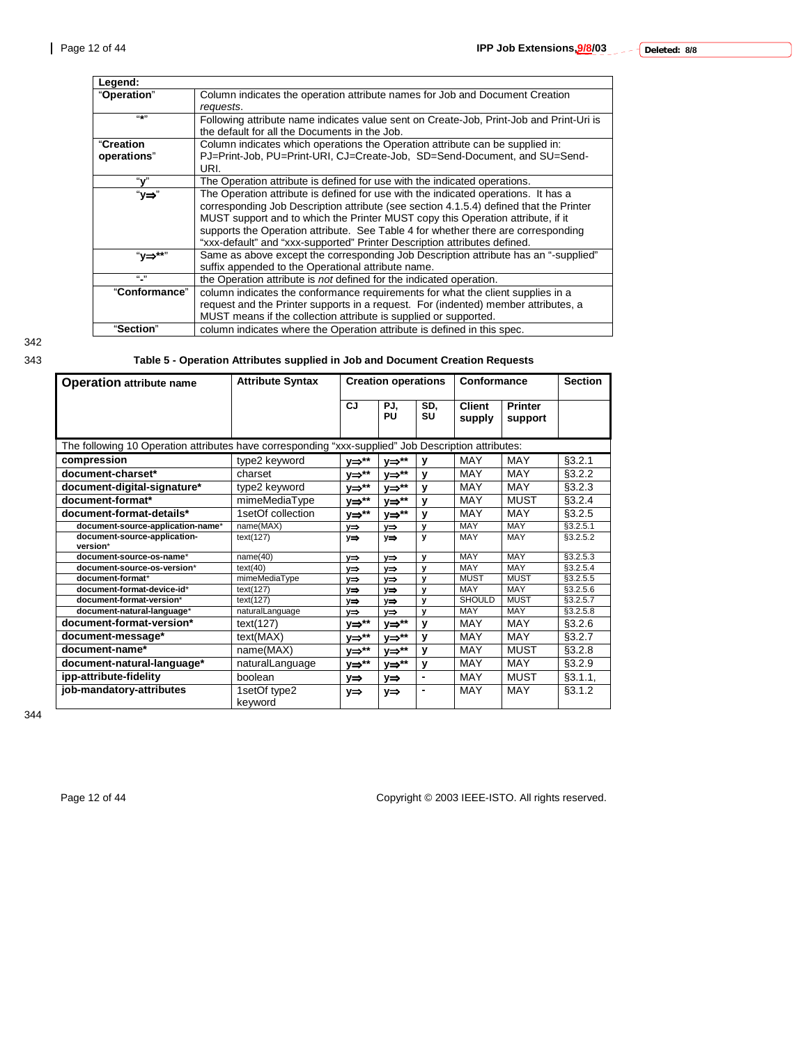| Legend:                               |                                                                                                                                                                                                                                                                                                                                                                                                                                   |
|---------------------------------------|-----------------------------------------------------------------------------------------------------------------------------------------------------------------------------------------------------------------------------------------------------------------------------------------------------------------------------------------------------------------------------------------------------------------------------------|
| "Operation"                           | Column indicates the operation attribute names for Job and Document Creation<br>requests.                                                                                                                                                                                                                                                                                                                                         |
| $(1 + 1)$                             | Following attribute name indicates value sent on Create-Job, Print-Job and Print-Uri is<br>the default for all the Documents in the Job.                                                                                                                                                                                                                                                                                          |
| "Creation                             | Column indicates which operations the Operation attribute can be supplied in:                                                                                                                                                                                                                                                                                                                                                     |
| operations"                           | PJ=Print-Job, PU=Print-URI, CJ=Create-Job, SD=Send-Document, and SU=Send-<br>URI.                                                                                                                                                                                                                                                                                                                                                 |
| "ү"                                   | The Operation attribute is defined for use with the indicated operations.                                                                                                                                                                                                                                                                                                                                                         |
| "y⇒"                                  | The Operation attribute is defined for use with the indicated operations. It has a<br>corresponding Job Description attribute (see section 4.1.5.4) defined that the Printer<br>MUST support and to which the Printer MUST copy this Operation attribute, if it<br>supports the Operation attribute. See Table 4 for whether there are corresponding<br>"xxx-default" and "xxx-supported" Printer Description attributes defined. |
| "y⇒**"                                | Same as above except the corresponding Job Description attribute has an "-supplied"<br>suffix appended to the Operational attribute name.                                                                                                                                                                                                                                                                                         |
| $^{\prime\prime}$ , $^{\prime\prime}$ | the Operation attribute is not defined for the indicated operation.                                                                                                                                                                                                                                                                                                                                                               |
| "Conformance"                         | column indicates the conformance requirements for what the client supplies in a                                                                                                                                                                                                                                                                                                                                                   |
|                                       | request and the Printer supports in a request. For (indented) member attributes, a                                                                                                                                                                                                                                                                                                                                                |
|                                       | MUST means if the collection attribute is supplied or supported.                                                                                                                                                                                                                                                                                                                                                                  |
| "Section"                             | column indicates where the Operation attribute is defined in this spec.                                                                                                                                                                                                                                                                                                                                                           |

# 343 **Table 5 - Operation Attributes supplied in Job and Document Creation Requests**

| <b>Operation attribute name</b>                                                                     | <b>Attribute Syntax</b> | <b>Creation operations</b> |                      |           | Conformance             |                           | <b>Section</b> |
|-----------------------------------------------------------------------------------------------------|-------------------------|----------------------------|----------------------|-----------|-------------------------|---------------------------|----------------|
|                                                                                                     |                         | CJ.                        | PJ,<br>PU            | SD.<br>SU | <b>Client</b><br>supply | <b>Printer</b><br>support |                |
| The following 10 Operation attributes have corresponding "xxx-supplied" Job Description attributes: |                         |                            |                      |           |                         |                           |                |
| compression                                                                                         | type2 keyword           | v⇒**                       | у⇒**                 | y         | <b>MAY</b>              | <b>MAY</b>                | \$3.2.1        |
| document-charset*                                                                                   | charset                 | <u>y</u> ⇒**               | <u>y</u> ⇒**         | ٧         | <b>MAY</b>              | <b>MAY</b>                | §3.2.2         |
| document-digital-signature*                                                                         | type2 keyword           | у⇒**                       | у⇒**                 | ٧         | <b>MAY</b>              | <b>MAY</b>                | §3.2.3         |
| document-format*                                                                                    | mimeMediaType           | у⇒**                       | у⇒**                 | ٧         | <b>MAY</b>              | <b>MUST</b>               | §3.2.4         |
| document-format-details*                                                                            | 1setOf collection       | у⇒**                       | $y \Rightarrow^{**}$ | ٧         | MAY                     | <b>MAY</b>                | \$3.2.5        |
| document-source-application-name*                                                                   | name(MAX)               | $y \Rightarrow$            | y⇒                   | y         | <b>MAY</b>              | <b>MAY</b>                | \$3.2.5.1      |
| document-source-application-<br>version*                                                            | text(127)               | $v \Rightarrow$            | v⇒                   | v         | <b>MAY</b>              | MAY                       | \$3.2.5.2      |
| document-source-os-name*                                                                            | name(40)                | $v \Rightarrow$            | $y \Rightarrow$      | y         | MAY                     | MAY                       | §3.2.5.3       |
| document-source-os-version*                                                                         | text(40)                | ⋎⇒                         | y⇒                   | V         | MAY                     | MAY                       | §3.2.5.4       |
| document-format*                                                                                    | mimeMediaType           | v⇒                         | ⋎⇒                   | v         | <b>MUST</b>             | <b>MUST</b>               | §3.2.5.5       |
| document-format-device-id*                                                                          | text(127)               | $y \Rightarrow$            | y⇒                   | y         | MAY                     | MAY                       | §3.2.5.6       |
| document-format-version*                                                                            | text(127)               | $y \Rightarrow$            | y⇒                   | V         | <b>SHOULD</b>           | <b>MUST</b>               | §3.2.5.7       |
| document-natural-language*                                                                          | naturalLanguage         | $v \Rightarrow$            | y⇒                   | v         | MAY                     | MAY                       | §3.2.5.8       |
| document-format-version*                                                                            | text(127)               | у⇒**                       | у⇒**                 | ٧         | <b>MAY</b>              | <b>MAY</b>                | §3.2.6         |
| document-message*                                                                                   | text(MAX)               | $y \Rightarrow^{**}$       | $y \Rightarrow^{**}$ | ٧         | <b>MAY</b>              | MAY                       | \$3.2.7        |
| document-name*                                                                                      | name(MAX)               | $y \Rightarrow^{**}$       | y⇒**                 | ٧         | <b>MAY</b>              | <b>MUST</b>               | §3.2.8         |
| document-natural-language*                                                                          | naturalLanguage         | $y \Rightarrow^{**}$       | $y \Rightarrow^{**}$ | y         | <b>MAY</b>              | <b>MAY</b>                | \$3.2.9        |
| ipp-attribute-fidelity                                                                              | boolean                 | y⇒                         | y⇒                   | ٠         | <b>MAY</b>              | <b>MUST</b>               | §3.1.1,        |
| job-mandatory-attributes                                                                            | 1setOf type2<br>keyword | y⇒                         | y⇒                   | ٠         | <b>MAY</b>              | <b>MAY</b>                | \$3.1.2        |

344

Page 12 of 44 Copyright © 2003 IEEE-ISTO. All rights reserved.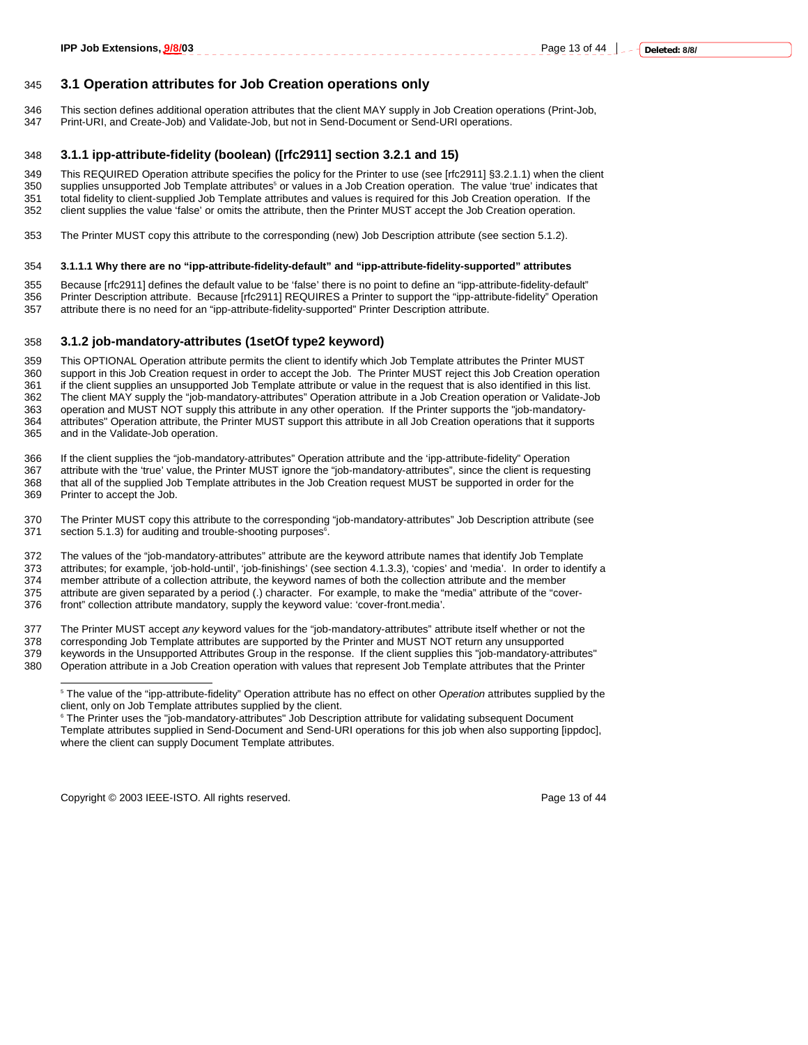# 345 **3.1 Operation attributes for Job Creation operations only**

346 This section defines additional operation attributes that the client MAY supply in Job Creation operations (Print-Job, 347 Print-Job, 347 Print-Job, 347 Print-Job, 347 Print-Job, 347 Print-Job, 347 Print-Job, 347 Print 347 Print-URI, and Create-Job) and Validate-Job, but not in Send-Document or Send-URI operations.

#### 348 **3.1.1 ipp-attribute-fidelity (boolean) ([rfc2911] section 3.2.1 and 15)**

349 This REQUIRED Operation attribute specifies the policy for the Printer to use (see [rfc2911] §3.2.1.1) when the client supplies unsupported Job Template attributes<sup>5</sup> or values in a Job Creation operation. The value 'true' indicates that 351 total fidelity to client-supplied Job Template attributes and values is required for this Job Creat total fidelity to client-supplied Job Template attributes and values is required for this Job Creation operation. If the 352 client supplies the value 'false' or omits the attribute, then the Printer MUST accept the Job Creation operation.

353 The Printer MUST copy this attribute to the corresponding (new) Job Description attribute (see section 5.1.2).

#### 354 **3.1.1.1 Why there are no "ipp-attribute-fidelity-default" and "ipp-attribute-fidelity-supported" attributes**

355 Because [rfc2911] defines the default value to be 'false' there is no point to define an "ipp-attribute-fidelity-default"<br>356 Printer Description attribute. Because [rfc2911] REQUIRES a Printer to support the "ipp-attr 356 Printer Description attribute. Because [rfc2911] REQUIRES a Printer to support the "ipp-attribute-fidelity" Operation 357 attribute there is no need for an "ipp-attribute-fidelity-supported" Printer Description attribute.

#### 358 **3.1.2 job-mandatory-attributes (1setOf type2 keyword)**

359 This OPTIONAL Operation attribute permits the client to identify which Job Template attributes the Printer MUST 360 support in this Job Creation request in order to accept the Job. The Printer MUST reject this Job Creation operation 361 if the client supplies an unsupported Job Template attribute or value in the request that is also identified in this list.<br>362 The client MAY supply the "iob-mandatory-attributes" Operation attribute in a Job Creation The client MAY supply the "job-mandatory-attributes" Operation attribute in a Job Creation operation or Validate-Job 363 operation and MUST NOT supply this attribute in any other operation. If the Printer supports the "job-mandatory-364 attributes" Operation attribute, the Printer MUST support this attribute in all Job Creation operations that it supports and in the Validate-Job operation.

366 If the client supplies the "job-mandatory-attributes" Operation attribute and the 'ipp-attribute-fidelity" Operation<br>367 attribute with the 'true' value, the Printer MUST ignore the "job-mandatory-attributes", since th attribute with the 'true' value, the Printer MUST ignore the "job-mandatory-attributes", since the client is requesting 368 that all of the supplied Job Template attributes in the Job Creation request MUST be supported in order for the 369 Printer to accept the Job.

370 The Printer MUST copy this attribute to the corresponding "job-mandatory-attributes" Job Description attribute (see 371 section 5.1.3) for auditing and trouble-shooting purposes $6$ .

372 The values of the "job-mandatory-attributes" attribute are the keyword attribute names that identify Job Template 373 attributes; for example, 'job-hold-until', 'job-finishings' (see section 4.1.3.3), 'copies' and 'media'. In order to identify a 374 member attribute of a collection attribute, the keyword names of both the collection attribute and the member 375 attribute are given separated by a period (.) character. For example, to make the "media" attribute of the "cover-

376 front" collection attribute mandatory, supply the keyword value: 'cover-front.media'.

377 The Printer MUST accept *any* keyword values for the "job-mandatory-attributes" attribute itself whether or not the 378 corresponding Job Template attributes are supported by the Printer and MUST NOT return any unsupported 379<br>379 keywords in the Unsupported Attributes Group in the response. If the client supplies this "iob-mandatory-at 379 keywords in the Unsupported Attributes Group in the response. If the client supplies this "job-mandatory-attributes"<br>380 Operation attribute in a Job Creation operation with values that represent Job Template attribute

Operation attribute in a Job Creation operation with values that represent Job Template attributes that the Printer

Copyright © 2003 IEEE-ISTO. All rights reserved. Page 13 of 44

 $\overline{a}$ 

<sup>5</sup> The value of the "ipp-attribute-fidelity" Operation attribute has no effect on other O*peration* attributes supplied by the client, only on Job Template attributes supplied by the client.

<sup>6</sup> The Printer uses the "job-mandatory-attributes" Job Description attribute for validating subsequent Document Template attributes supplied in Send-Document and Send-URI operations for this job when also supporting [ippdoc], where the client can supply Document Template attributes.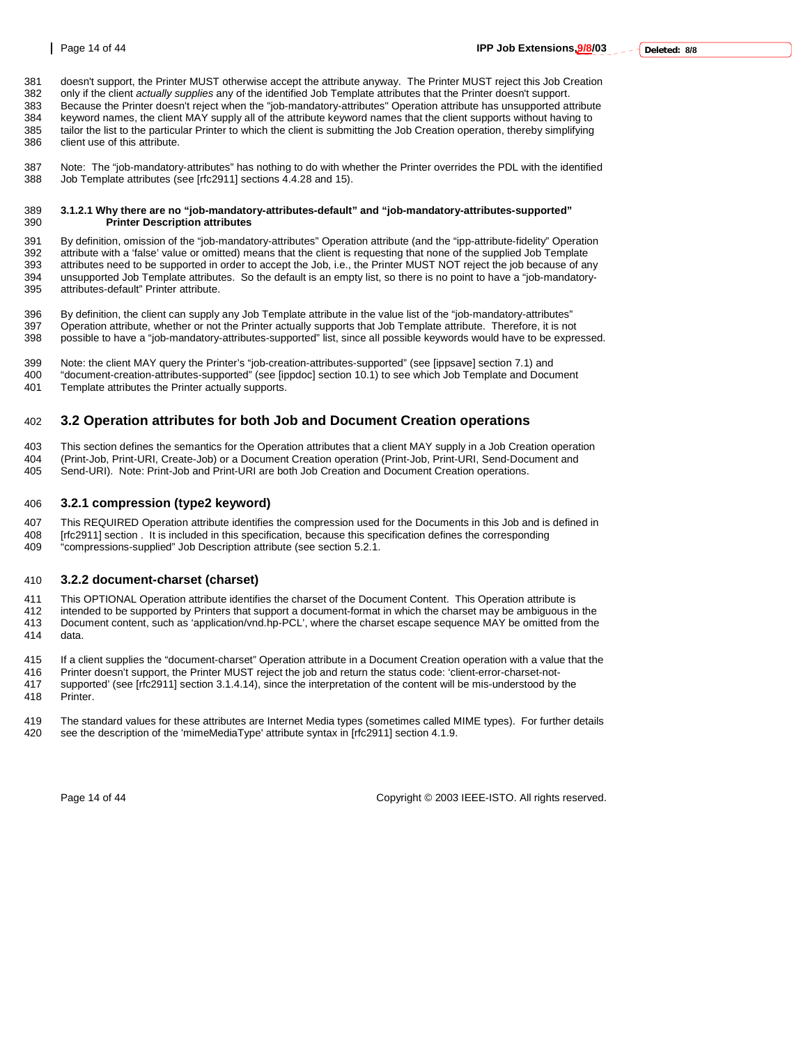381 doesn't support, the Printer MUST otherwise accept the attribute anyway. The Printer MUST reject this Job Creation 382 only if the client *actually supplies* any of the identified Job Template attributes that the Printer doesn't support. 383 Because the Printer doesn't reject when the "job-mandatory-attributes" Operation attribute has unsupported attribute<br>384 keyword names, the client MAY supply all of the attribute keyword names that the client supports 384 keyword names, the client MAY supply all of the attribute keyword names that the client supports without having to 385 tailor the list to the particular Printer to which the client is submitting the Job Creation operat tailor the list to the particular Printer to which the client is submitting the Job Creation operation, thereby simplifying 386 client use of this attribute.

387 Note: The "job-mandatory-attributes" has nothing to do with whether the Printer overrides the PDL with the identified 388 Job Template attributes (see [rfc2911] sections 4.4.28 and 15).

#### 389 **3.1.2.1 Why there are no "job-mandatory-attributes-default" and "job-mandatory-attributes-supported"**  390 **Printer Description attributes**

391 By definition, omission of the "job-mandatory-attributes" Operation attribute (and the "ipp-attribute-fidelity" Operation<br>392 attribute with a 'false' value or omitted) means that the client is requesting that none of attribute with a 'false' value or omitted) means that the client is requesting that none of the supplied Job Template 393 attributes need to be supported in order to accept the Job, i.e., the Printer MUST NOT reject the job because of any 394 unsupported Job Template attributes. So the default is an empty list, so there is no point to have a "job-mandatory-<br>395 attributes-default" Printer attribute. attributes-default" Printer attribute.

396 By definition, the client can supply any Job Template attribute in the value list of the "job-mandatory-attributes"<br>397 Operation attribute whether or not the Printer actually supports that Job Template attribute. Ther 397 Operation attribute, whether or not the Printer actually supports that Job Template attribute. Therefore, it is not 398 possible to have a "job-mandatory-attributes-supported" list, since all possible keywords would have to be expressed.

399 Note: the client MAY query the Printer's "job-creation-attributes-supported" (see [ippsave] section 7.1) and 400 "document-creation-attributes-supported" (see [ippdoc] section 10.1) to see which Job Template and Document 401 Template attributes the Printer actually supports.

# 402 **3.2 Operation attributes for both Job and Document Creation operations**

403 This section defines the semantics for the Operation attributes that a client MAY supply in a Job Creation operation 404 (Print-Job, Print-URI, Create-Job) or a Document Creation operation (Print-Job, Print-URI, Send-Document and<br>405 Send-URI). Note: Print-Job and Print-URI are both Job Creation and Document Creation operations. Send-URI). Note: Print-Job and Print-URI are both Job Creation and Document Creation operations.

#### 406 **3.2.1 compression (type2 keyword)**

407 This REQUIRED Operation attribute identifies the compression used for the Documents in this Job and is defined in<br>408 Info29111 section It is included in this specification, because this specification defines the corre [rfc2911] section . It is included in this specification, because this specification defines the corresponding 409 "compressions-supplied" Job Description attribute (see section 5.2.1.

### 410 **3.2.2 document-charset (charset)**

411 This OPTIONAL Operation attribute identifies the charset of the Document Content. This Operation attribute is<br>412 intended to be supported by Printers that support a document-format in which the charset may be ambiguou

intended to be supported by Printers that support a document-format in which the charset may be ambiguous in the 413 Document content, such as 'application/vnd.hp-PCL', where the charset escape sequence MAY be omitted from the

414 data.

415 If a client supplies the "document-charset" Operation attribute in a Document Creation operation with a value that the

416 Printer doesn't support, the Printer MUST reject the job and return the status code: 'client-error-charset-not-

417 supported' (see [rfc2911] section 3.1.4.14), since the interpretation of the content will be mis-understood by the 418 Printer.

419 The standard values for these attributes are Internet Media types (sometimes called MIME types). For further details 420 see the description of the 'mimeMediaType' attribute syntax in [rfc2911] section 4.1.9.

Page 14 of 44 Copyright © 2003 IEEE-ISTO. All rights reserved.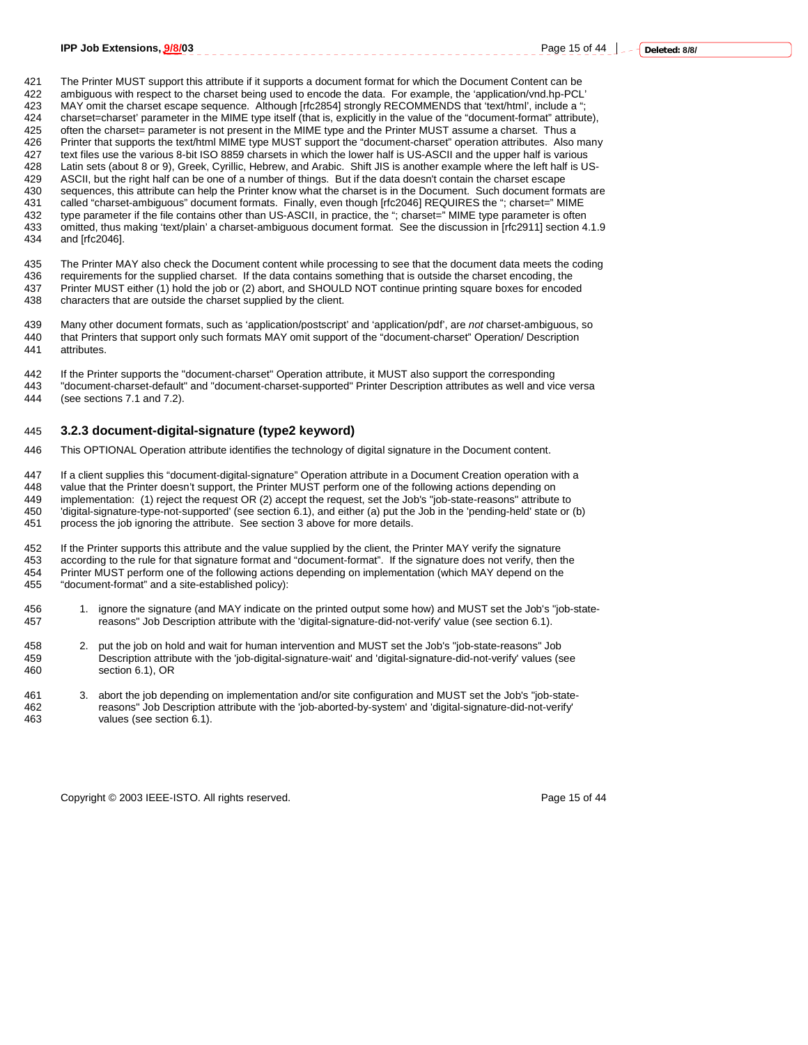421 The Printer MUST support this attribute if it supports a document format for which the Document Content can be 422 ambiguous with respect to the charset being used to encode the data. For example, the 'application/vnd.hp-PCL' 423 MAY omit the charset escape sequence. Although [rfc2854] strongly RECOMMENDS that 'text/html', include a "<br>424 charset=charset' parameter in the MIME type itself (that is, explicitly in the value of the "document-forma 424 charset=charset' parameter in the MIME type itself (that is, explicitly in the value of the "document-format" attribute),<br>425 often the charset= parameter is not present in the MIME type and the Printer MUST assume a c often the charset= parameter is not present in the MIME type and the Printer MUST assume a charset. Thus a 426 Printer that supports the text/html MIME type MUST support the "document-charset" operation attributes. Also many 427 text files use the various 8-bit ISO 8859 charsets in which the lower half is US-ASCII and the upper half is various<br>428 Latin sets (about 8 or 9), Greek, Cyrillic, Hebrew, and Arabic. Shift JIS is another example wher 428 Latin sets (about 8 or 9), Greek, Cyrillic, Hebrew, and Arabic. Shift JIS is another example where the left half is US-<br>429 ASCII, but the right half can be one of a number of things. But if the data doesn't contain th 429 ASCII, but the right half can be one of a number of things. But if the data doesn't contain the charset escape 430 sequences, this attribute can help the Printer know what the charset is in the Document. Such document formats are<br>431 called "charset-ambiguous" document formats. Finally, even though Irfc20461 REQUIRES the ": charset called "charset-ambiguous" document formats. Finally, even though [rfc2046] REQUIRES the "; charset=" MIME 432 type parameter if the file contains other than US-ASCII, in practice, the "; charset=" MIME type parameter is often<br>433 omitted, thus making 'text/plain' a charset-ambiguous document format. See the discussion in [rfc2 omitted, thus making 'text/plain' a charset-ambiguous document format. See the discussion in [rfc2911] section 4.1.9 434 and [rfc2046].

435 The Printer MAY also check the Document content while processing to see that the document data meets the coding<br>436 Fequirements for the supplied charset. If the data contains something that is outside the charset enco requirements for the supplied charset. If the data contains something that is outside the charset encoding, the 437 Printer MUST either (1) hold the job or (2) abort, and SHOULD NOT continue printing square boxes for encoded 438 characters that are outside the charset supplied by the client. characters that are outside the charset supplied by the client.

439 Many other document formats, such as 'application/postscript' and 'application/pdf', are *not* charset-ambiguous, so 440 that Printers that support only such formats MAY omit support of the "document-charset" Operation/ Description 441 attributes.

442 If the Printer supports the "document-charset" Operation attribute, it MUST also support the corresponding 443 "document-charset-default" and "document-charset-supported" Printer Description attributes as well and vice versa<br>444 (see sections 7.1 and 7.2). (see sections  $7.1$  and  $7.2$ ).

#### 445 **3.2.3 document-digital-signature (type2 keyword)**

446 This OPTIONAL Operation attribute identifies the technology of digital signature in the Document content.

447 If a client supplies this "document-digital-signature" Operation attribute in a Document Creation operation with a 448 value that the Printer doesn't support, the Printer MUST perform one of the following actions depending on<br>449 implementation: (1) reject the request OR (2) accept the request, set the Job's "iob-state-reasons" attribu implementation: (1) reject the request OR (2) accept the request, set the Job's "job-state-reasons" attribute to 450 'digital-signature-type-not-supported' (see section 6.1), and either (a) put the Job in the 'pending-held' state or (b) process the job ignoring the attribute. See section 3 above for more details.

452 If the Printer supports this attribute and the value supplied by the client, the Printer MAY verify the signature 453 according to the rule for that signature format and "document-format". If the signature does not verify, then the<br>454 Printer MUST perform one of the following actions depending on implementation (which MAY depend on t Printer MUST perform one of the following actions depending on implementation (which MAY depend on the 455 "document-format" and a site-established policy):

- 456 1. ignore the signature (and MAY indicate on the printed output some how) and MUST set the Job's "job-state-457 reasons" Job Description attribute with the 'digital-signature-did-not-verify' value (see section 6.1).
- 458 2. put the job on hold and wait for human intervention and MUST set the Job's "job-state-reasons" Job 459 Description attribute with the 'job-digital-signature-wait' and 'digital-signature-did-not-verify' values (see section 6.1), OR
- 461 3. abort the job depending on implementation and/or site configuration and MUST set the Job's "job-state-462 reasons" Job Description attribute with the 'job-aborted-by-system' and 'digital-signature-did-not-verify' 463 values (see section 6.1).

Copyright © 2003 IEEE-ISTO. All rights reserved. Page 15 of 44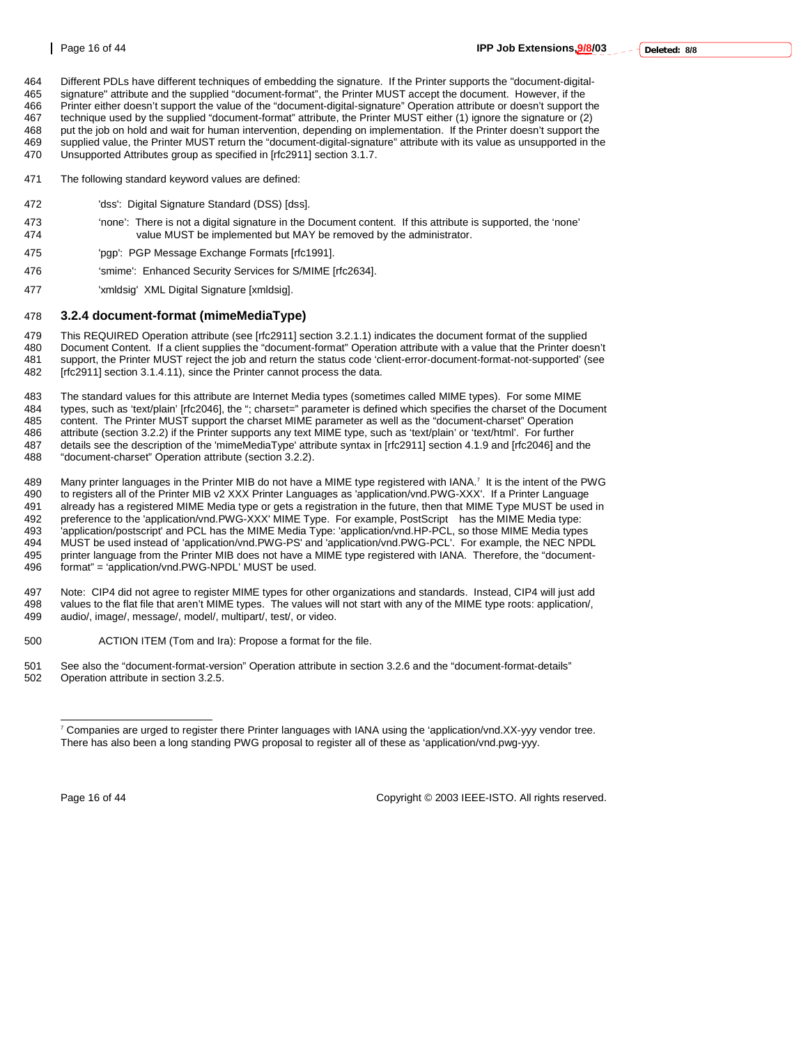464 Different PDLs have different techniques of embedding the signature. If the Printer supports the "document-digital-465 signature" attribute and the supplied "document-format", the Printer MUST accept the document. However, if the 466 Printer either doesn't support the value of the "document-digital-signature" Operation attribute or doesn't support the 467 technique used by the supplied "document-format" attribute, the Printer MUST either (1) ignore 467 technique used by the supplied "document-format" attribute, the Printer MUST either (1) ignore the signature or (2)<br>468 but the job on hold and wait for human intervention, depending on implementation. If the Printer d put the job on hold and wait for human intervention, depending on implementation. If the Printer doesn't support the 469 supplied value, the Printer MUST return the "document-digital-signature" attribute with its value as unsupported in the 470 Unsupported Attributes group as specified in [rfc2911] section 3.1.7.

471 The following standard keyword values are defined:

- 472 'dss': Digital Signature Standard (DSS) [dss].
- 473 'none': There is not a digital signature in the Document content. If this attribute is supported, the 'none' 474 value MUST be implemented but MAY be removed by the administrator.
- 475 'pgp': PGP Message Exchange Formats [rfc1991].
- 476 'smime': Enhanced Security Services for S/MIME [rfc2634].
- 477 'xmldsig' XML Digital Signature [xmldsig].

#### 478 **3.2.4 document-format (mimeMediaType)**

479 This REQUIRED Operation attribute (see [rfc2911] section 3.2.1.1) indicates the document format of the supplied 480 Document Content. If a client supplies the "document-format" Operation attribute with a value that the Printer doesn't<br>481 support, the Printer MUST reject the job and return the status code 'client-error-document-form support, the Printer MUST reject the job and return the status code 'client-error-document-format-not-supported' (see 482 [rfc2911] section 3.1.4.11), since the Printer cannot process the data.

483 The standard values for this attribute are Internet Media types (sometimes called MIME types). For some MIME<br>484 types, such as 'text/plain' [rfc2046], the ": charset=" parameter is defined which specifies the charset types, such as 'text/plain' [rfc2046], the "; charset=" parameter is defined which specifies the charset of the Document 485 content. The Printer MUST support the charset MIME parameter as well as the "document-charset" Operation<br>486 attribute (section 3.2.2) if the Printer supports any text MIME type, such as 'text/plain' or 'text/html', Fo attribute (section 3.2.2) if the Printer supports any text MIME type, such as 'text/plain' or 'text/html'. For further 487 details see the description of the 'mimeMediaType' attribute syntax in [rfc2911] section 4.1.9 and [rfc2046] and the 488 "document-charset" Operation attribute (section 3.2.2). "document-charset" Operation attribute (section 3.2.2).

489 Many printer languages in the Printer MIB do not have a MIME type registered with IANA.<sup>7</sup> It is the intent of the PWG 490 to registers all of the Printer MIB v2 XXX Printer Languages as 'application/vnd.PWG-XXX'. If a Printer Language<br>491 already has a registered MIME Media type or gets a registration in the future, then that MIME Type MU already has a registered MIME Media type or gets a registration in the future, then that MIME Type MUST be used in 492 preference to the 'application/vnd.PWG-XXX' MIME Type. For example, PostScript® has the MIME Media type:<br>493 Papplication/postscript' and PCL has the MIME Media Type: 'application/vnd HP-PCL so those MIME Media type <sup>1</sup>application/postscript' and PCL has the MIME Media Type: 'application/vnd.HP-PCL, so those MIME Media types<br>194 MUST be used instead of 'application/vnd.PWG-PS' and 'application/vnd.PWG-PCL'. For example, the NEC NPD 494 MUST be used instead of 'application/vnd.PWG-PS' and 'application/vnd.PWG-PCL'. For example, the NEC NPDL 495 printer language from the Printer MIB does not have a MIME type registered with IANA. Therefore, the "document-496 format" = 'application/vnd.PWG-NPDL' MUST be used.

497 Note: CIP4 did not agree to register MIME types for other organizations and standards. Instead, CIP4 will just add 498 values to the flat file that aren't MIME types. The values will not start with any of the MIME type roots: application/, 499 audio/, image/, message/, model/, multipart/, test/, or video.

500 ACTION ITEM (Tom and Ira): Propose a format for the file.

501 See also the "document-format-version" Operation attribute in section 3.2.6 and the "document-format-details" 502 Operation attribute in section 3.2.5.

 $\overline{a}$ 

Page 16 of 44 Copyright © 2003 IEEE-ISTO. All rights reserved.

<sup>7</sup> Companies are urged to register there Printer languages with IANA using the 'application/vnd.XX-yyy vendor tree. There has also been a long standing PWG proposal to register all of these as 'application/vnd.pwg-yyy.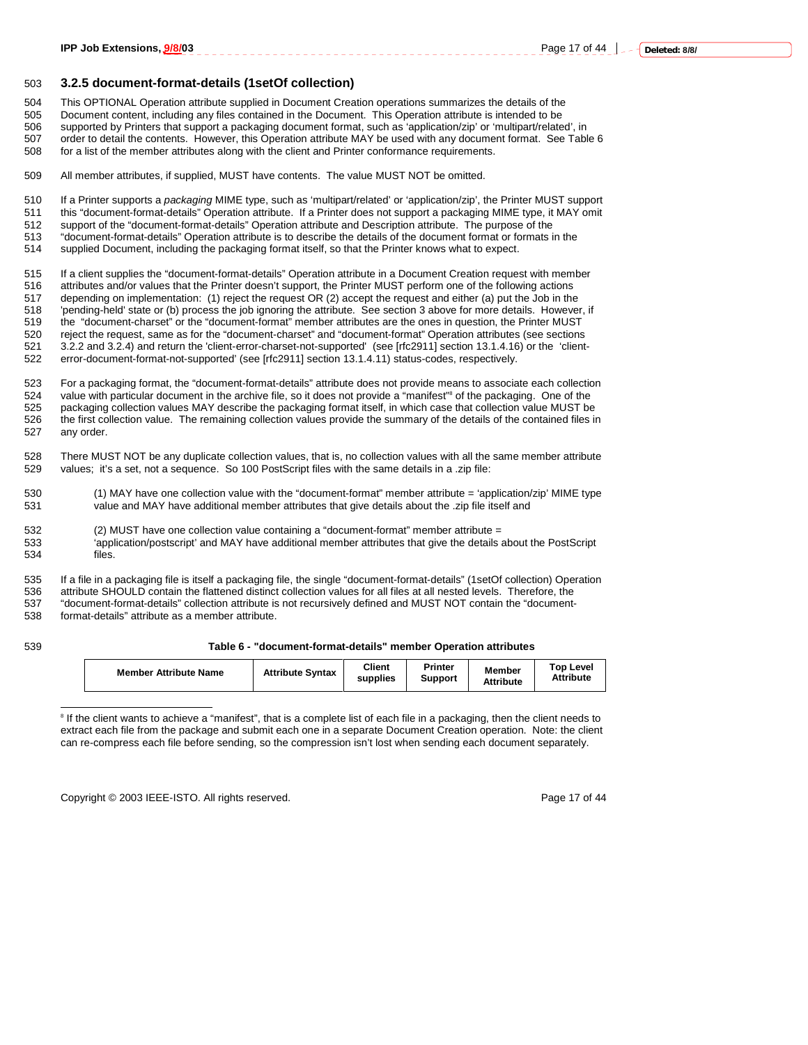#### 503 **3.2.5 document-format-details (1setOf collection)**

504 This OPTIONAL Operation attribute supplied in Document Creation operations summarizes the details of the

505 Document content, including any files contained in the Document. This Operation attribute is intended to be

506 supported by Printers that support a packaging document format, such as 'application/zip' or 'multipart/related', in<br>507 order to detail the contents. However, this Operation attribute MAY be used with any document for 507 order to detail the contents. However, this Operation attribute MAY be used with any document format. See Table 6<br>508 for a list of the member attributes along with the client and Printer conformance requirements

for a list of the member attributes along with the client and Printer conformance requirements.

509 All member attributes, if supplied, MUST have contents. The value MUST NOT be omitted.

510 If a Printer supports a *packaging* MIME type, such as 'multipart/related' or 'application/zip', the Printer MUST support

511 this "document-format-details" Operation attribute. If a Printer does not support a packaging MIME type, it MAY omit

512 support of the "document-format-details" Operation attribute and Description attribute. The purpose of the<br>513 "document-format-details" Operation attribute is to describe the details of the document format or formats

513 "document-format-details" Operation attribute is to describe the details of the document format or formats in the 514 supplied Document, including the packaging format itself, so that the Printer knows what to expect.

515 If a client supplies the "document-format-details" Operation attribute in a Document Creation request with member 516 attributes and/or values that the Printer doesn't support, the Printer MUST perform one of the following actions 517 depending on implementation: (1) reject the request OR (2) accept the request and either (a) put the Job in the 518 'pending-held' state or (b) process the job ignoring the attribute. See section 3 above for more details. However, if 519 the "document-charset" or the "document-format" member attributes are the ones in question, the Printer MUST 520 reject the request, same as for the "document-charset" and "document-format" Operation attributes (see sections 521 3.2.2 and 3.2.4) and return the 'client-error-charset-not-supported' (see [rfc2911] section 13.1.4.16) or the 'client-522 error-document-format-not-supported' (see [rfc2911] section 13.1.4.11) status-codes, respectively.

523 For a packaging format, the "document-format-details" attribute does not provide means to associate each collection 524 value with particular document in the archive file, so it does not provide a "manifest"<sup>8</sup> of the packaging. One of the 525 packaging collection values MAY describe the packaging format itself, in which case that collection value MUST be 526 the first collection value. The remaining collection values provide the summary of the details of the contained files in 527 any order.

528 There MUST NOT be any duplicate collection values, that is, no collection values with all the same member attribute 529 values; it's a set, not a sequence. So 100 PostScript files with the same details in a .zip file:

- 530 (1) MAY have one collection value with the "document-format" member attribute = 'application/zip' MIME type 531 value and MAY have additional member attributes that give details about the .zip file itself and
- 532 (2) MUST have one collection value containing a "document-format" member attribute = 533 'application/postscript' and MAY have additional member attributes that give the details about the PostScript<br>534 files. files.

535 If a file in a packaging file is itself a packaging file, the single "document-format-details" (1setOf collection) Operation 536 attribute SHOULD contain the flattened distinct collection values for all files at all nested levels. Therefore, the 537 "document-format-details" collection attribute is not recursively defined and MUST NOT contain the "document-

538 format-details" attribute as a member attribute.

l

#### 539 **Table 6 - "document-format-details" member Operation attributes**

| <b>Member Attribute Name</b> | <b>Attribute Syntax</b> | Client<br>supplies | Printer<br><b>Support</b> | <b>Member</b><br><b>Attribute</b> | <b>Top Level</b><br><b>Attribute</b> |  |
|------------------------------|-------------------------|--------------------|---------------------------|-----------------------------------|--------------------------------------|--|
|                              |                         |                    |                           |                                   |                                      |  |

<sup>8</sup> If the client wants to achieve a "manifest", that is a complete list of each file in a packaging, then the client needs to extract each file from the package and submit each one in a separate Document Creation operation. Note: the client can re-compress each file before sending, so the compression isn't lost when sending each document separately.

Copyright © 2003 IEEE-ISTO. All rights reserved. Copyright C 2003 IEEE-ISTO. All rights reserved.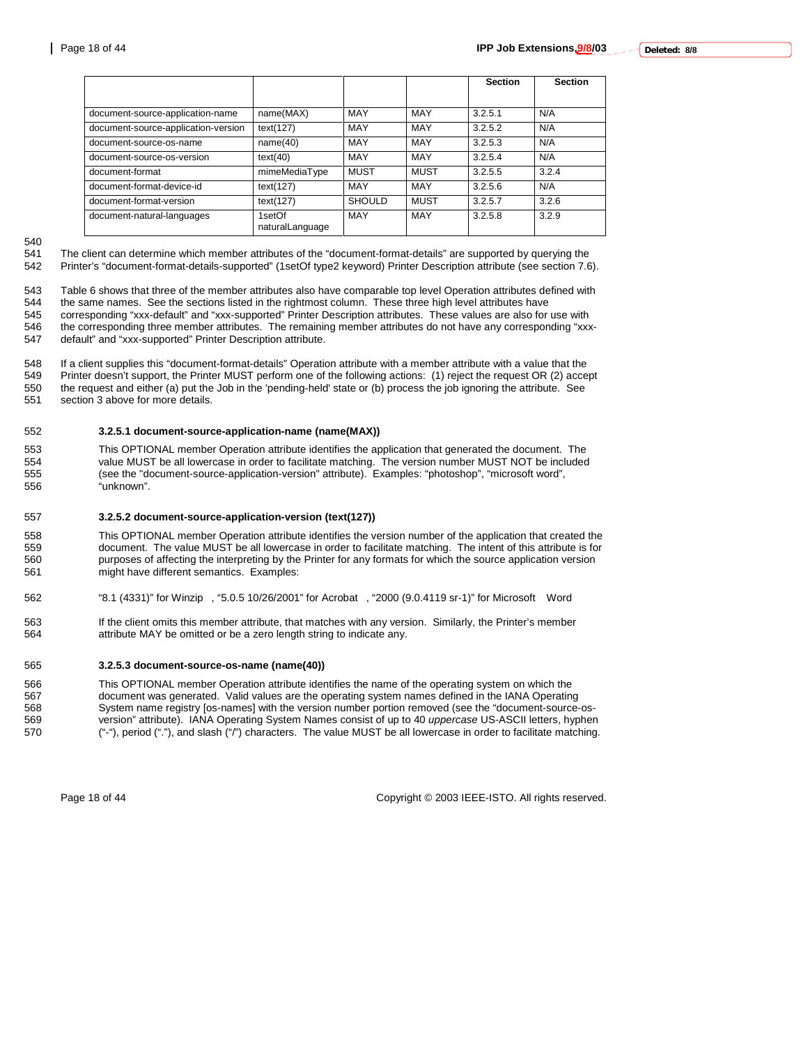|                                     |                           |               |             | <b>Section</b> | <b>Section</b> |
|-------------------------------------|---------------------------|---------------|-------------|----------------|----------------|
|                                     |                           |               |             |                |                |
| document-source-application-name    | name(MAX)                 | <b>MAY</b>    | <b>MAY</b>  | 3.2.5.1        | N/A            |
| document-source-application-version | text(127)                 | MAY           | <b>MAY</b>  | 3.2.5.2        | N/A            |
| document-source-os-name             | name(40)                  | <b>MAY</b>    | <b>MAY</b>  | 3.2.5.3        | N/A            |
| document-source-os-version          | text(40)                  | MAY           | <b>MAY</b>  | 3.2.5.4        | N/A            |
| document-format                     | mimeMediaType             | <b>MUST</b>   | <b>MUST</b> | 3.2.5.5        | 3.2.4          |
| document-format-device-id           | text(127)                 | MAY           | MAY         | 3.2.5.6        | N/A            |
| document-format-version             | text(127)                 | <b>SHOULD</b> | <b>MUST</b> | 3.2.5.7        | 3.2.6          |
| document-natural-languages          | 1setOf<br>naturalLanguage | MAY           | MAY         | 3.2.5.8        | 3.2.9          |

540<br>541

The client can determine which member attributes of the "document-format-details" are supported by querying the

542 Printer's "document-format-details-supported" (1setOf type2 keyword) Printer Description attribute (see section 7.6).

543 Table 6 shows that three of the member attributes also have comparable top level Operation attributes defined with

544 the same names. See the sections listed in the rightmost column. These three high level attributes have

545 corresponding "xxx-default" and "xxx-supported" Printer Description attributes. These values are also for use with<br>546 the corresponding three member attributes. The remaining member attributes do not have any correspo the corresponding three member attributes. The remaining member attributes do not have any corresponding "xxx-547 default" and "xxx-supported" Printer Description attribute.

548 If a client supplies this "document-format-details" Operation attribute with a member attribute with a value that the<br>549 Printer doesn't support, the Printer MUST perform one of the following actions: (1) reject the r 549 Printer doesn't support, the Printer MUST perform one of the following actions: (1) reject the request OR (2) accept 550 the request and either (a) put the Job in the 'pending-held' state or (b) process the job ignoring the attribute. See<br>551 section 3 above for more details. section 3 above for more details.

#### 552 **3.2.5.1 document-source-application-name (name(MAX))**

553 This OPTIONAL member Operation attribute identifies the application that generated the document. The 554 value MUST be all lowercase in order to facilitate matching. The version number MUST NOT be included 555 (see the "document-source-application-version" attribute). Examples: "photoshop", "microsoft word", 556 "unknown".

#### 557 **3.2.5.2 document-source-application-version (text(127))**

558 This OPTIONAL member Operation attribute identifies the version number of the application that created the<br>559 document. The value MUST be all lowercase in order to facilitate matching. The intent of this attribute is 559 document. The value MUST be all lowercase in order to facilitate matching. The intent of this attribute is for 560 purposes of affecting the interpreting by the Printer for any formats for which the source application version<br>561 might have different semantics. Examples: might have different semantics. Examples:

- 562 "8.1 (4331)" for Winzip®, "5.0.5 10/26/2001" for Acrobat®, "2000 (9.0.4119 sr-1)" for Microsoft® Word
- 563 If the client omits this member attribute, that matches with any version. Similarly, the Printer's member 564 attribute MAY be omitted or be a zero length string to indicate any.

#### 565 **3.2.5.3 document-source-os-name (name(40))**

566 This OPTIONAL member Operation attribute identifies the name of the operating system on which the 567 document was generated. Valid values are the operating system names defined in the IANA Operating System name registry [os-names] with the version number portion removed (see the "document-source-os-569 version" attribute). IANA Operating System Names consist of up to 40 *uppercase* US-ASCII letters, hyphen 570 ("-"), period ("."), and slash ("/") characters. The value MUST be all lowercase in order to facilitate matching.

Page 18 of 44 Copyright © 2003 IEEE-ISTO. All rights reserved.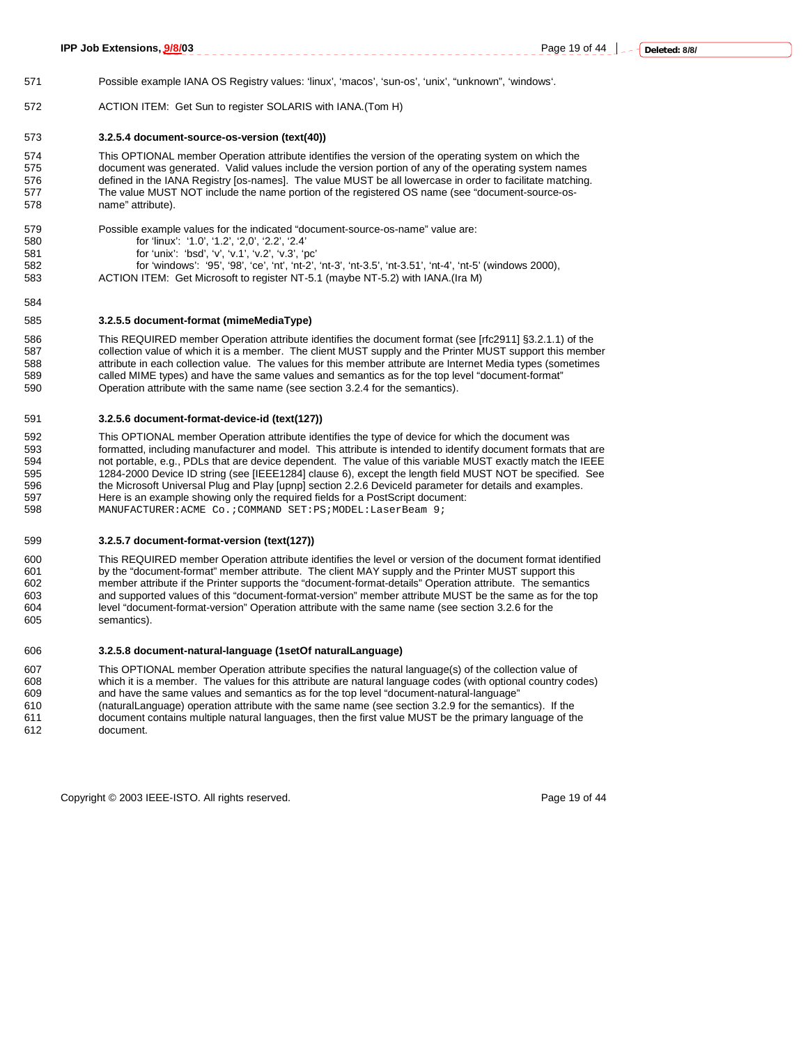572 ACTION ITEM: Get Sun to register SOLARIS with IANA.(Tom H)

### 573 **3.2.5.4 document-source-os-version (text(40))**

574 This OPTIONAL member Operation attribute identifies the version of the operating system on which the 575 document was generated. Valid values include the version portion of any of the operating system names 576 defined in the IANA Registry [os-names]. The value MUST be all lowercase in order to facilitate matching. 577 The value MUST NOT include the name portion of the registered OS name (see "document-source-os-578 name" attribute).

579 Possible example values for the indicated "document-source-os-name" value are: 580 for 'linux': '1.0', '1.2', '2,0', '2.2', '2.4' 581 for 'unix': 'bsd', 'v', 'v.1', 'v.2', 'v.3', 'pc' 582 for 'windows': '95', '98', 'ce', 'nt', 'nt-2', 'nt-3', 'nt-3.5', 'nt-3.51', 'nt-4', 'nt-5' (windows 2000), 583 ACTION ITEM: Get Microsoft to register NT-5.1 (maybe NT-5.2) with IANA.(Ira M)

# 585 **3.2.5.5 document-format (mimeMediaType)**

584

586 This REQUIRED member Operation attribute identifies the document format (see [rfc2911] §3.2.1.1) of the 587 collection value of which it is a member. The client MUST supply and the Printer MUST support this member 588 attribute in each collection value. The values for this member attribute are Internet Media types (sometimes 589 called MIME types) and have the same values and semantics as for the top level "document-format" called MIME types) and have the same values and semantics as for the top level "document-format" 590 Operation attribute with the same name (see section 3.2.4 for the semantics).

# 591 **3.2.5.6 document-format-device-id (text(127))**

592 This OPTIONAL member Operation attribute identifies the type of device for which the document was 593 formatted, including manufacturer and model. This attribute is intended to identify document formats that are 594 not portable, e.g., PDLs that are device dependent. The value of this variable MUST exactly match the IEEE 1284-2000 Device ID string (see [IEEE1284] clause 6), except the length field MUST NOT be specified. See 596 the Microsoft Universal Plug and Play [upnp] section 2.2.6 DeviceId parameter for details and examples. 597 Here is an example showing only the required fields for a PostScript document:<br>598 MANUEACTURER: ACME, Co. : COMMAND, SET: PS: MODEL: LaserBeam, 9: MANUFACTURER: ACME Co.; COMMAND SET:PS; MODEL: LaserBeam 9;

# 599 **3.2.5.7 document-format-version (text(127))**

600 This REQUIRED member Operation attribute identifies the level or version of the document format identified<br>601 by the "document-format" member attribute. The client MAY supply and the Printer MUST support this by the "document-format" member attribute. The client MAY supply and the Printer MUST support this 602 member attribute if the Printer supports the "document-format-details" Operation attribute. The semantics 603 and supported values of this "document-format-version" member attribute MUST be the same as for the top 604 level "document-format-version" Operation attribute with the same name (see section 3.2.6 for the 605 semantics).

### 606 **3.2.5.8 document-natural-language (1setOf naturalLanguage)**

607 This OPTIONAL member Operation attribute specifies the natural language(s) of the collection value of 608 which it is a member. The values for this attribute are natural language codes (with optional country codes) 609 and have the same values and semantics as for the top level "document-natural-language" 610 (naturalLanguage) operation attribute with the same name (see section 3.2.9 for the semantics). If the 611 document contains multiple natural languages, then the first value MUST be the primary language of the 612 document.

Copyright © 2003 IEEE-ISTO. All rights reserved. Page 19 of 44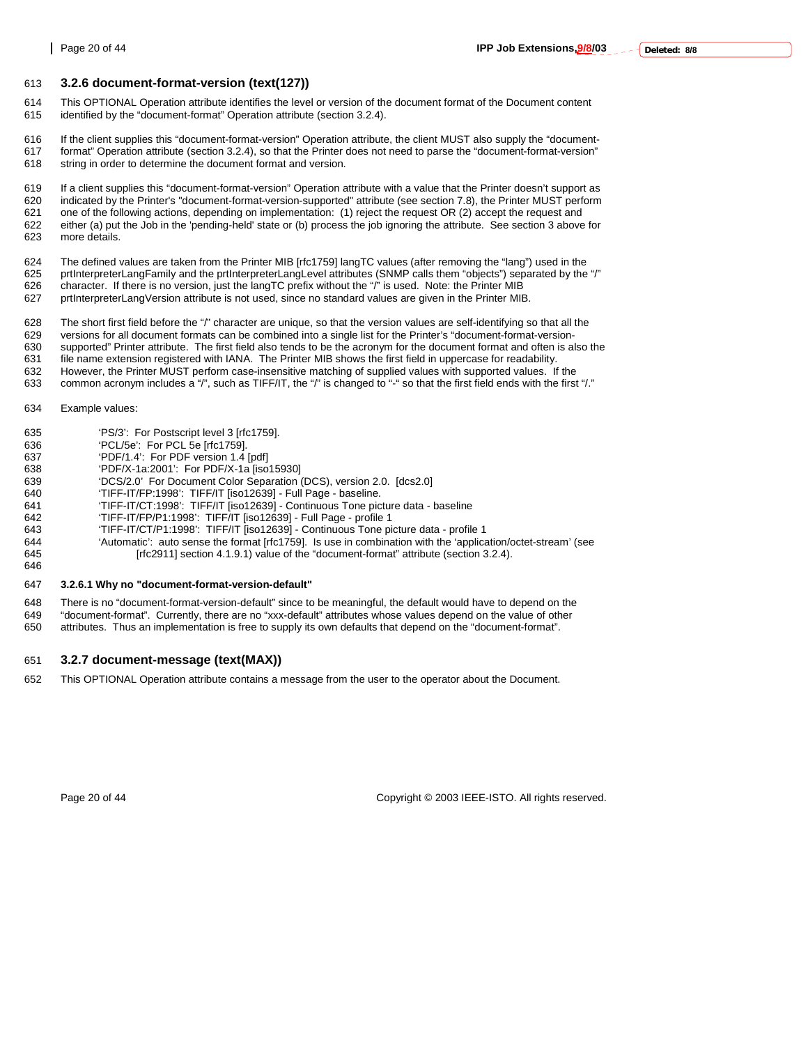#### 613 **3.2.6 document-format-version (text(127))**

- 614 This OPTIONAL Operation attribute identifies the level or version of the document format of the Document content 615 identified by the "document-format" Operation attribute (section 3.2.4).
- 616 If the client supplies this "document-format-version" Operation attribute, the client MUST also supply the "document-617 format" Operation attribute (section 3.2.4), so that the Printer does not need to parse the "document-format-version" 618 string in order to determine the document format and version.
- 619 If a client supplies this "document-format-version" Operation attribute with a value that the Printer doesn't support as 620 indicated by the Printer's "document-format-version-supported" attribute (see section 7.8), the Printer MUST perform 621 one of the following actions, depending on implementation: (1) reject the request OR (2) accept the request and 622 either (a) put the Job in the 'pending-held' state or (b) process the job ignoring the attribute. See section 3 above for more details.
- 624 The defined values are taken from the Printer MIB [rfc1759] langTC values (after removing the "lang") used in the 625 net https://www.chargraphy.com/2000 attack the first removing the "chiects") separated by the prtInterpreterLangFamily and the prtInterpreterLangLevel attributes (SNMP calls them "objects") separated by the "/" 626 character. If there is no version, just the langTC prefix without the "/" is used. Note: the Printer MIB 627 prtInterpreterLangVersion attribute is not used, since no standard values are given in the Printer MIB.
- 
- 628 The short first field before the "/" character are unique, so that the version values are self-identifying so that all the 629 versions for all document format-versionversions for all document formats can be combined into a single list for the Printer's "document-format-version-
- 630 supported" Printer attribute. The first field also tends to be the acronym for the document format and often is also the
- 631 file name extension registered with IANA. The Printer MIB shows the first field in uppercase for readability.
- 632 However, the Printer MUST perform case-insensitive matching of supplied values with supported values. If the 633 common acronym includes a "/", such as TIFF/IT, the "/" is changed to "-" so that the first field ends wi
- common acronym includes a "/", such as TIFF/IT, the "/" is changed to "-" so that the first field ends with the first "/"
- 634 Example values:
- 635 'PS/3': For Postscript level 3 [rfc1759].
- 636 'PCL/5e': For PCL 5e [rfc1759].<br>637 'PDF/1.4': For PDF version 1.4
- 'PDF/1.4': For PDF version 1.4 [pdf]
- 638 'PDF/X-1a:2001': For PDF/X-1a [iso15930]
- 639 'DCS/2.0' For Document Color Separation (DCS), version 2.0. [dcs2.0]
- 640 'TIFF-IT/FP:1998': TIFF/IT [iso12639] Full Page baseline.
- 641 'TIFF-IT/CT:1998': TIFF/IT [iso12639] Continuous Tone picture data baseline
- 642 'TIFF-IT/FP/P1:1998': TIFF/IT [iso12639] Full Page profile 1
- 643 'TIFF-IT/CT/P1:1998': TIFF/IT [iso12639] Continuous Tone picture data profile 1
- 'Automatic': auto sense the format [rfc1759]. Is use in combination with the 'application/octet-stream' (see 645 [rfc2911] section 4.1.9.1) value of the "document-format" attribute (section 3.2.4).
- 646

#### 647 **3.2.6.1 Why no "document-format-version-default"**

- 648 There is no "document-format-version-default" since to be meaningful, the default would have to depend on the balling of other faces are no "xxx-default" attributes whose values depend on the value of other
- 649 "document-format". Currently, there are no "xxx-default" attributes whose values depend on the value of other
- 650 attributes. Thus an implementation is free to supply its own defaults that depend on the "document-format".

### 651 **3.2.7 document-message (text(MAX))**

652 This OPTIONAL Operation attribute contains a message from the user to the operator about the Document.

Page 20 of 44 Copyright © 2003 IEEE-ISTO. All rights reserved.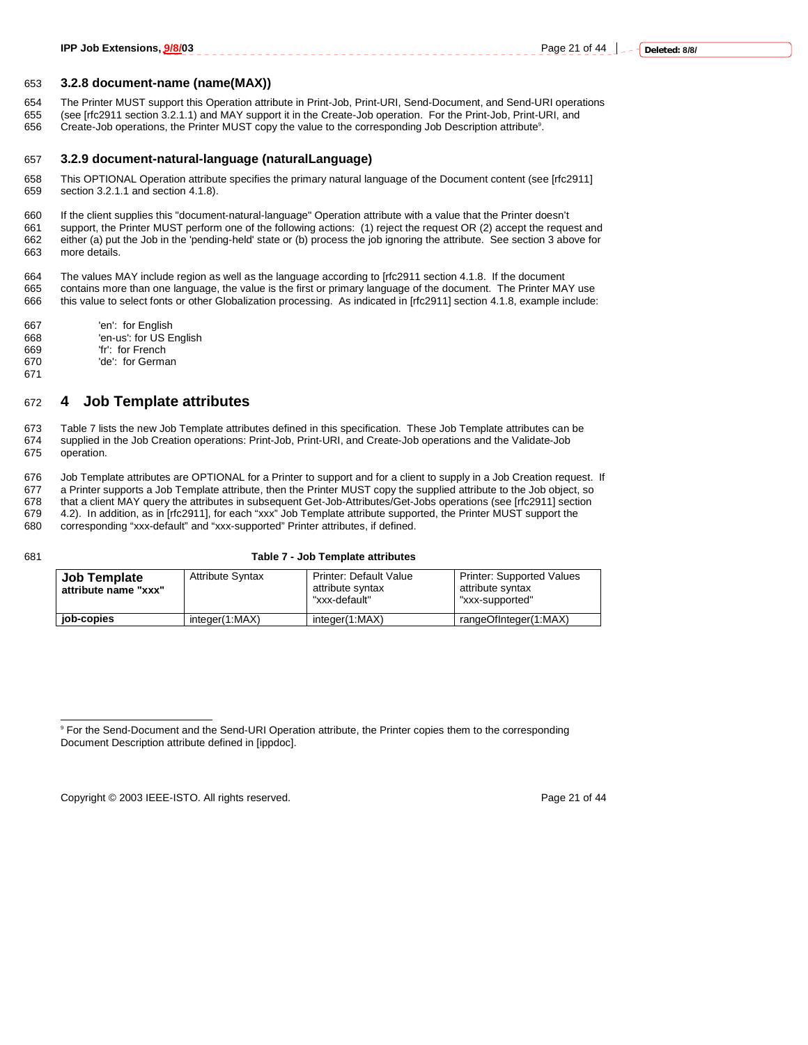#### 653 **3.2.8 document-name (name(MAX))**

654 The Printer MUST support this Operation attribute in Print-Job, Print-URI, Send-Document, and Send-URI operations 655 (see [rfc2911 section 3.2.1.1) and MAY support it in the Create-Job operation. For the Print-Job, Print-URI, and 656 Create-Job operations, the Printer MUST copy the value to the corresponding Job Description attribute<sup>9</sup>.

#### 657 **3.2.9 document-natural-language (naturalLanguage)**

658 This OPTIONAL Operation attribute specifies the primary natural language of the Document content (see [rfc2911] 659 section 3.2.1.1 and section 4.1.8).

660 If the client supplies this "document-natural-language" Operation attribute with a value that the Printer doesn't 661 support, the Printer MUST perform one of the following actions: (1) reject the request OR (2) accept the request and<br>662 either (a) put the Job in the 'pending-held' state or (b) process the job ignoring the attribute. either (a) put the Job in the 'pending-held' state or (b) process the job ignoring the attribute. See section 3 above for 663 more details.

664 The values MAY include region as well as the language according to [rfc2911 section 4.1.8. If the document contains more than one language, the value is the first or primary language of the document. The Printer MAY use 666 this value to select fonts or other Globalization processing. As indicated in [rfc2911] section 4.1.8, example include:

- 667 'en': for English 668 'en-us': for US English
- 669 'fr': for French 'de': for German
- 671

# 672 **4 Job Template attributes**

673 Table 7 lists the new Job Template attributes defined in this specification. These Job Template attributes can be 674 supplied in the Job Creation operations: Print-Job, Print-URI, and Create-Job operations and the Validate-Job<br>675 operation. operation.

676 Job Template attributes are OPTIONAL for a Printer to support and for a client to supply in a Job Creation request. If

677 a Printer supports a Job Template attribute, then the Printer MUST copy the supplied attribute to the Job object, so 678 that a client MAY query the attributes in subsequent Get-Job-Attributes/Get-Jobs operations (see [rfc2911] section 679 4.2). In addition, as in [rfc2911], for each "xxx" Job Template attribute supported, the Printer MUST support the corresponding "xxx-default" and "xxx-supported" Printer attributes. if defined. corresponding "xxx-default" and "xxx-supported" Printer attributes, if defined.

#### 681 **Table 7 - Job Template attributes**

| <b>Job Template</b><br>attribute name "xxx" | <b>Attribute Syntax</b> | Printer: Default Value<br>attribute syntax<br>"xxx-default" | <b>Printer: Supported Values</b><br>attribute syntax<br>"xxx-supported" |
|---------------------------------------------|-------------------------|-------------------------------------------------------------|-------------------------------------------------------------------------|
| job-copies                                  | integer(1:MAX)          | integer(1:MAX)                                              | rangeOfInteger(1:MAX)                                                   |

Copyright © 2003 IEEE-ISTO. All rights reserved. Copyright C 2003 IEEE-ISTO. All rights reserved.

 $\overline{a}$ 9 For the Send-Document and the Send-URI Operation attribute, the Printer copies them to the corresponding Document Description attribute defined in [ippdoc].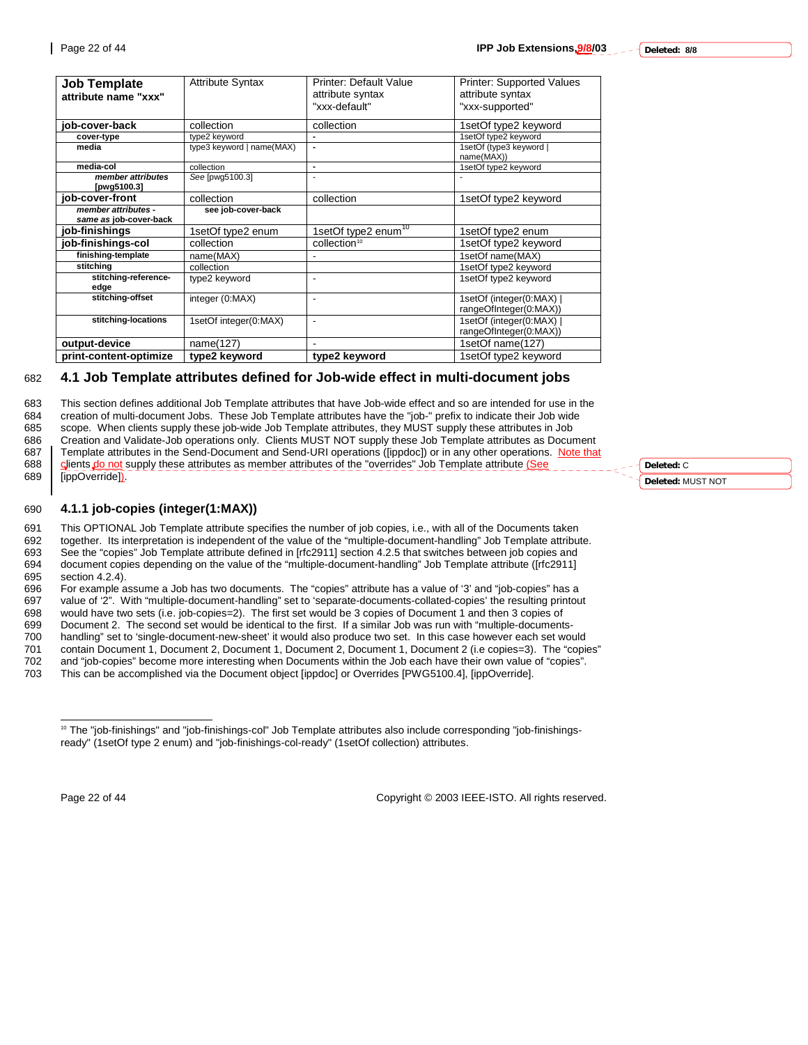| <b>Job Template</b>    | <b>Attribute Syntax</b>   | Printer: Default Value          | <b>Printer: Supported Values</b> |
|------------------------|---------------------------|---------------------------------|----------------------------------|
| attribute name "xxx"   |                           | attribute syntax                | attribute syntax                 |
|                        |                           | "xxx-default"                   | "xxx-supported"                  |
|                        |                           |                                 |                                  |
| iob-cover-back         | collection                | collection                      | 1setOf type2 keyword             |
| cover-type             | type2 keyword             |                                 | 1setOf type2 keyword             |
| media                  | type3 keyword   name(MAX) | $\blacksquare$                  | 1setOf (type3 keyword            |
|                        |                           |                                 | name(MAX))                       |
| media-col              | collection                | $\blacksquare$                  | 1setOf type2 keyword             |
| member attributes      | See [pwg5100.3]           | $\overline{a}$                  |                                  |
| [pwg5100.3]            |                           |                                 |                                  |
| iob-cover-front        | collection                | collection                      | 1setOf type2 keyword             |
| member attributes -    | see job-cover-back        |                                 |                                  |
| same as job-cover-back |                           |                                 |                                  |
| job-finishings         | 1setOf type2 enum         | 1setOf type2 enum <sup>10</sup> | 1setOf type2 enum                |
| job-finishings-col     | collection                | collection <sup>10</sup>        | 1setOf type2 keyword             |
| finishing-template     | name(MAX)                 |                                 | 1setOf name(MAX)                 |
| stitching              | collection                |                                 | 1setOf type2 keyword             |
| stitching-reference-   | type2 keyword             | ٠                               | 1setOf type2 keyword             |
| edge                   |                           |                                 |                                  |
| stitching-offset       | integer (0:MAX)           | ٠                               | 1setOf (integer(0:MAX)           |
|                        |                           |                                 | rangeOfInteger(0:MAX))           |
| stitching-locations    | 1setOf integer(0:MAX)     | ÷,                              | 1setOf (integer(0:MAX)           |
|                        |                           |                                 | rangeOfInteger(0:MAX))           |
| output-device          | name(127)                 |                                 | 1setOf name(127)                 |
| print-content-optimize | type2 keyword             | type2 keyword                   | 1setOf type2 keyword             |

# 682 **4.1 Job Template attributes defined for Job-wide effect in multi-document jobs**

683 This section defines additional Job Template attributes that have Job-wide effect and so are intended for use in the 684 creation of multi-document Jobs. These Job Template attributes have the "job-" prefix to indicate their Job wide<br>685 scope. When clients supply these job-wide Job Template attributes, they MUST supply these attributes 685 scope. When clients supply these job-wide Job Template attributes, they MUST supply these attributes in Job<br>686 Creation and Validate-Job operations only. Clients MUST NOT supply these Job Template attributes as Docui 686 Creation and Validate-Job operations only. Clients MUST NOT supply these Job Template attributes as Document 687 Template attributes in the Send-Document and Send-URI operations ([ippdoc]) or in any other operations. Note that 688 distribute (See<br>688 distribute (See clients do not supply these attributes as member attributes of the "overrides" Job Template attribute (See 689 [ippOverride]).

# 690 **4.1.1 job-copies (integer(1:MAX))**

691 This OPTIONAL Job Template attribute specifies the number of job copies, i.e., with all of the Documents taken 692 together. Its interpretation is independent of the value of the "multiple-document-handling" Job Template attribute. 693 See the "copies" Job Template attribute defined in [rfc2911] section 4.2.5 that switches between job copies and<br>694 document copies depending on the value of the "multiple-document-handling" Job Template attribute (Irf 694 document copies depending on the value of the "multiple-document-handling" Job Template attribute ([rfc2911] 695 section 4.2.4).

696 For example assume a Job has two documents. The "copies" attribute has a value of '3' and "job-copies" has a 697 value of '2". With "multiple-document-handling" set to 'separate-documents-collated-copies' the resulting printout 698 would have two sets (i.e. iob-copies=2). The first set would be 3 copies of Document 1 and then 3 c would have two sets (i.e. job-copies=2). The first set would be 3 copies of Document 1 and then 3 copies of 699 Document 2. The second set would be identical to the first. If a similar Job was run with "multiple-documents-700 handling" set to 'single-document-new-sheet' it would also produce two set. In this case however each set would 701 contain Document 1, Document 2, Document 1, Document 2, Document 1, Document 2 (i.e copies=3). The "copies"<br>702 and "job-copies" become more interesting when Documents within the Job each have their own value of "copie

702 and "job-copies" become more interesting when Documents within the Job each have their own value of "copies".<br>703 This can be accomplished via the Document object lippdocl or Overrides IPWG5100.41. lippOverridel. This can be accomplished via the Document object [ippdoc] or Overrides [PWG5100.4], [ippOverride].

Page 22 of 44 Copyright © 2003 IEEE-ISTO. All rights reserved.

**Deleted:** C **Deleted:** MUST NOT

 $\overline{a}$ <sup>10</sup> The "job-finishings" and "job-finishings-col" Job Template attributes also include corresponding "job-finishingsready" (1setOf type 2 enum) and "job-finishings-col-ready" (1setOf collection) attributes.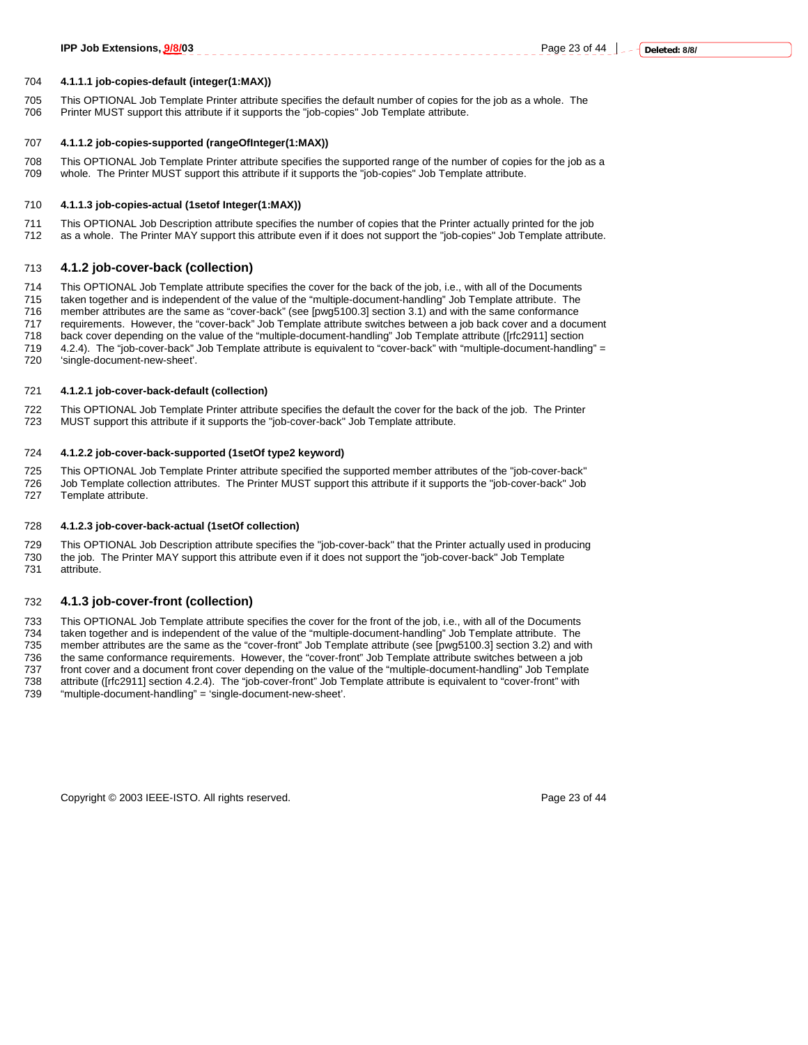705 This OPTIONAL Job Template Printer attribute specifies the default number of copies for the job as a whole. The 706 Printer MUST support this attribute if it supports the "iob-copies" Job Template attribute. Printer MUST support this attribute if it supports the "job-copies" Job Template attribute.

#### 707 **4.1.1.2 job-copies-supported (rangeOfInteger(1:MAX))**

708 This OPTIONAL Job Template Printer attribute specifies the supported range of the number of copies for the job as a 709 whole. The Printer MUST support this attribute if it supports the "job-copies" Job Template attribute.

#### 710 **4.1.1.3 job-copies-actual (1setof Integer(1:MAX))**

- 711 This OPTIONAL Job Description attribute specifies the number of copies that the Printer actually printed for the job 712 as a whole. The Printer MAY support this attribute even if it does not support the "job-copies" Job Template attribute.
- 713 **4.1.2 job-cover-back (collection)**

714 This OPTIONAL Job Template attribute specifies the cover for the back of the job, i.e., with all of the Documents 715 taken together and is independent of the value of the "multiple-document-handling" Job Template attribute. The 716 member attributes are the same as "cover-back" (see [pwg5100.3] section 3.1) and with the same conformance 717 requirements. However, the "cover-back" Job Template attribute switches between a job back cover and a document 718 back cover depending on the value of the "multiple-document-handling" Job Template attribute ([rfc2911] section 719 4.2.4). The "job-cover-back" Job Template attribute is equivalent to "cover-back" with "multiple-document-handling" = 720 'single-document-new-sheet'.

#### 721 **4.1.2.1 job-cover-back-default (collection)**

722 This OPTIONAL Job Template Printer attribute specifies the default the cover for the back of the job. The Printer 723 MUST support this attribute if it supports the "job-cover-back" Job Template attribute.

#### 724 **4.1.2.2 job-cover-back-supported (1setOf type2 keyword)**

725 This OPTIONAL Job Template Printer attribute specified the supported member attributes of the "job-cover-back" 726 Job Template collection attributes. The Printer MUST support this attribute if it supports the "job-cover-back" Job<br>727 Template attribute. Template attribute.

#### 728 **4.1.2.3 job-cover-back-actual (1setOf collection)**

729 This OPTIONAL Job Description attribute specifies the "job-cover-back" that the Printer actually used in producing<br>730 the job. The Printer MAY support this attribute even if it does not support the "job-cover-back" Jo the job. The Printer MAY support this attribute even if it does not support the "job-cover-back" Job Template 731 attribute.

#### 732 **4.1.3 job-cover-front (collection)**

733 This OPTIONAL Job Template attribute specifies the cover for the front of the job, i.e., with all of the Documents 734 taken together and is independent of the value of the "multiple-document-handling" Job Template attribute. The<br>735 member attributes are the same as the "cover-front" Job Template attribute (see [pwq5100.3] section 3.2 member attributes are the same as the "cover-front" Job Template attribute (see [pwg5100.3] section 3.2) and with 736 the same conformance requirements. However, the "cover-front" Job Template attribute switches between a job 737 front cover and a document front cover depending on the value of the "multiple-document-handling" Job Template 738 attribute ([rfc2911] section 4.2.4). The "job-cover-front" Job Template attribute is equivalent to "cover-front" with 739 "multiple-document-handling" = 'single-document-new-sheet'.

Copyright © 2003 IEEE-ISTO. All rights reserved. Page 23 of 44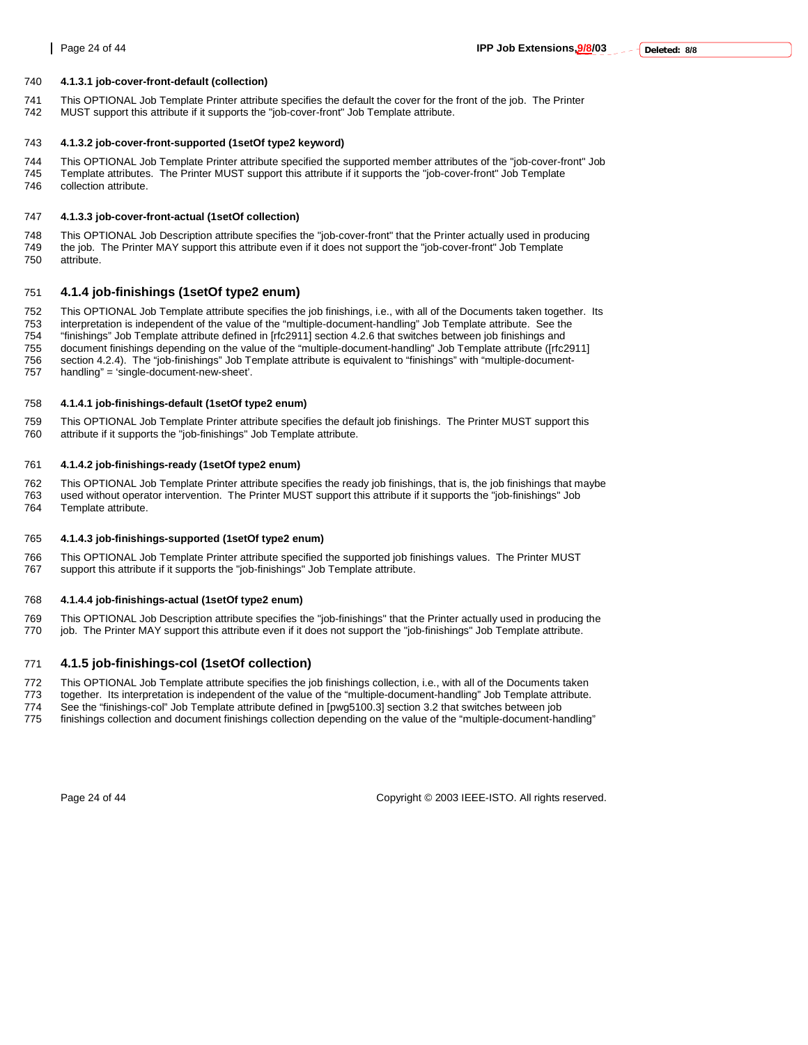#### 740 **4.1.3.1 job-cover-front-default (collection)**

- 741 This OPTIONAL Job Template Printer attribute specifies the default the cover for the front of the job. The Printer<br>742 MUST support this attribute if it supports the "iob-cover-front" Job Template attribute.
- MUST support this attribute if it supports the "job-cover-front" Job Template attribute.

#### 743 **4.1.3.2 job-cover-front-supported (1setOf type2 keyword)**

744 This OPTIONAL Job Template Printer attribute specified the supported member attributes of the "job-cover-front" Job 745 Template attributes. The Printer MUST support this attribute if it supports the "job-cover-front" Job Template 746 collection attribute.

#### 747 **4.1.3.3 job-cover-front-actual (1setOf collection)**

748 This OPTIONAL Job Description attribute specifies the "job-cover-front" that the Printer actually used in producing 749 the job. The Printer MAY support this attribute even if it does not support the "job-cover-front" Job Template<br>750 attribute attribute

#### 751 **4.1.4 job-finishings (1setOf type2 enum)**

752 This OPTIONAL Job Template attribute specifies the job finishings, i.e., with all of the Documents taken together. Its 753 interpretation is independent of the value of the "multiple-document-handling" Job Template attribute. See the 754 "finishings" Job Template attribute defined in [rfc2911] section 4.2.6 that switches between job finishings and 755 document finishings depending on the value of the "multiple-document-handling" Job Template attribute ([rfc2911] 756 section 4.2.4). The "job-finishings" Job Template attribute is equivalent to "finishings" with "multiple-document-757 handling" = 'single-document-new-sheet'.

#### 758 **4.1.4.1 job-finishings-default (1setOf type2 enum)**

759 This OPTIONAL Job Template Printer attribute specifies the default job finishings. The Printer MUST support this 760 attribute if it support this attribute if it supports the "job-finishings" Job Template attribute.

#### 761 **4.1.4.2 job-finishings-ready (1setOf type2 enum)**

762 This OPTIONAL Job Template Printer attribute specifies the ready job finishings, that is, the job finishings that maybe<br>763 used without operator intervention. The Printer MUST support this attribute if it supports the used without operator intervention. The Printer MUST support this attribute if it supports the "job-finishings" Job 764 Template attribute.

#### 765 **4.1.4.3 job-finishings-supported (1setOf type2 enum)**

766 This OPTIONAL Job Template Printer attribute specified the supported job finishings values. The Printer MUST 767 support this attribute if it supports the "job-finishings" Job Template attribute.

#### 768 **4.1.4.4 job-finishings-actual (1setOf type2 enum)**

769 This OPTIONAL Job Description attribute specifies the "job-finishings" that the Printer actually used in producing the<br>770 iob The Printer MAY support this attribute even if it does not support the "job-finishings" Job job. The Printer MAY support this attribute even if it does not support the "job-finishings" Job Template attribute.

#### 771 **4.1.5 job-finishings-col (1setOf collection)**

- 772 This OPTIONAL Job Template attribute specifies the job finishings collection, i.e., with all of the Documents taken
- 773 together. Its interpretation is independent of the value of the "multiple-document-handling" Job Template attribute.<br>774 See the "finishings-col" Job Template attribute defined in [pwq5100.3] section 3.2 that switches
- See the "finishings-col" Job Template attribute defined in [pwg5100.3] section 3.2 that switches between job
- 775 finishings collection and document finishings collection depending on the value of the "multiple-document-handling"

Page 24 of 44 Copyright © 2003 IEEE-ISTO. All rights reserved.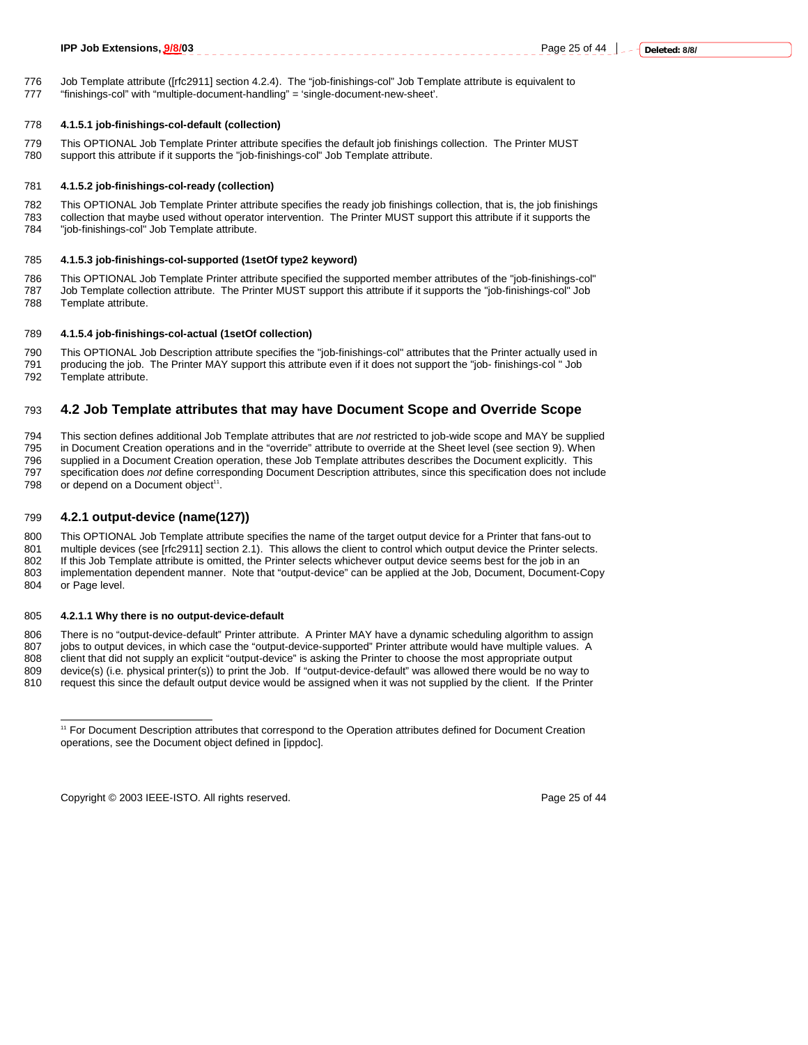777 "finishings-col" with "multiple-document-handling" = 'single-document-new-sheet'.

# 778 **4.1.5.1 job-finishings-col-default (collection)**

779 This OPTIONAL Job Template Printer attribute specifies the default job finishings collection. The Printer MUST 780 support this attribute if it supports the "job-finishings-col" Job Template attribute.

# 781 **4.1.5.2 job-finishings-col-ready (collection)**

782 This OPTIONAL Job Template Printer attribute specifies the ready job finishings collection, that is, the job finishings collection that maybe used without operator intervention. The Printer MUST support this attribute if it supports the 784 "job-finishings-col" Job Template attribute.

# 785 **4.1.5.3 job-finishings-col-supported (1setOf type2 keyword)**

786 This OPTIONAL Job Template Printer attribute specified the supported member attributes of the "job-finishings-col" 787 Job Template collection attribute. The Printer MUST support this attribute if it supports the "job-finishings-col" Job

788 Template attribute.

# 789 **4.1.5.4 job-finishings-col-actual (1setOf collection)**

790 This OPTIONAL Job Description attribute specifies the "job-finishings-col" attributes that the Printer actually used in 791 producing the job. The Printer MAY support this attribute even if it does not support the "job- finishings-col " Job<br>792 Template attribute. Template attribute.

# 793 **4.2 Job Template attributes that may have Document Scope and Override Scope**

794 This section defines additional Job Template attributes that are *not* restricted to job-wide scope and MAY be supplied 795 in Document Creation operations and in the "override" attribute to override at the Sheet level (see section 9). When 796 supplied in a Document Creation operation, these Job Template attributes describes the Document explicitly. This 797 specification does *not* define corresponding Document Description attributes, since this specification does not include or depend on a Document object<sup>11</sup>.

# 799 **4.2.1 output-device (name(127))**

800 This OPTIONAL Job Template attribute specifies the name of the target output device for a Printer that fans-out to 801 multiple devices (see [rfc2911] section 2.1). This allows the client to control which output device the Printer selects.<br>802 If this Job Template attribute is omitted, the Printer selects whichever output device seems If this Job Template attribute is omitted, the Printer selects whichever output device seems best for the job in an 803 implementation dependent manner. Note that "output-device" can be applied at the Job, Document, Document-Copy 804 or Page level.

# 805 **4.2.1.1 Why there is no output-device-default**

806 There is no "output-device-default" Printer attribute. A Printer MAY have a dynamic scheduling algorithm to assign 807 jobs to output devices, in which case the "output-device-supported" Printer attribute would have multiple values. A<br>808 client that did not supply an explicit "output-device" is asking the Printer to choose the most ap client that did not supply an explicit "output-device" is asking the Printer to choose the most appropriate output 809 device(s) (i.e. physical printer(s)) to print the Job. If "output-device-default" was allowed there would be no way to 810 request this since the default output device would be assigned when it was not supplied by the client. If the Printer

Copyright © 2003 IEEE-ISTO. All rights reserved. Copyright C 2003 IEEE-ISTO. All rights reserved.

 $\overline{a}$ 11 For Document Description attributes that correspond to the Operation attributes defined for Document Creation operations, see the Document object defined in [ippdoc].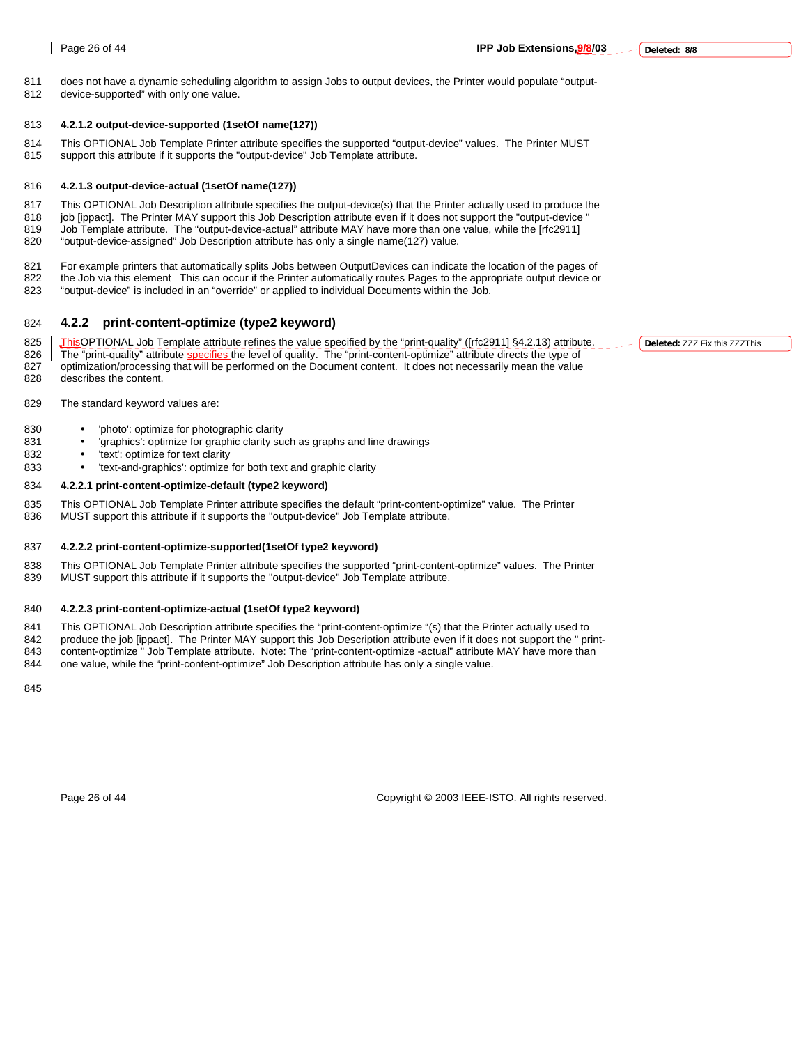812 device-supported" with only one value.

#### 813 **4.2.1.2 output-device-supported (1setOf name(127))**

- 814 This OPTIONAL Job Template Printer attribute specifies the supported "output-device" values. The Printer MUST
- 815 support this attribute if it supports the "output-device" Job Template attribute.

#### 816 **4.2.1.3 output-device-actual (1setOf name(127))**

817 This OPTIONAL Job Description attribute specifies the output-device(s) that the Printer actually used to produce the "<br>818 Diob linnact L The Printer MAY support this Job Description attribute even if it does not suppo job [ippact]. The Printer MAY support this Job Description attribute even if it does not support the "output-device"

819 Job Template attribute. The "output-device-actual" attribute MAY have more than one value, while the [rfc2911] 820 "output-device-assigned" Job Description attribute has only a single name(127) value.

821 For example printers that automatically splits Jobs between OutputDevices can indicate the location of the pages of

822 the Job via this element This can occur if the Printer automatically routes Pages to the appropriate output device or 823 "output device or 823"

823 "output-device" is included in an "override" or applied to individual Documents within the Job.

### 824 **4.2.2 print-content-optimize (type2 keyword)**

825 | ThisOPTIONAL Job Template attribute refines the value specified by the "print-quality" ([rfc2911] §4.2.13) attribute.

826 The "print-quality" attribute specifies the level of quality. The "print-content-optimize" attribute directs the type of 827 optimization/processing that will be performed on the Document content. It does not necessari optimization/processing that will be performed on the Document content. It does not necessarily mean the value

828 describes the content.

#### 829 The standard keyword values are:

- 830 'photo': optimize for photographic clarity
- 831 'graphics': optimize for graphic clarity such as graphs and line drawings
- 832 'text': optimize for text clarity
- 833 'text-and-graphics': optimize for both text and graphic clarity

### 834 **4.2.2.1 print-content-optimize-default (type2 keyword)**

835 This OPTIONAL Job Template Printer attribute specifies the default "print-content-optimize" value. The Printer<br>836 MUST support this attribute if it supports the "output-device". Job Template attribute MUST support this attribute if it supports the "output-device" Job Template attribute.

#### 837 **4.2.2.2 print-content-optimize-supported(1setOf type2 keyword)**

838 This OPTIONAL Job Template Printer attribute specifies the supported "print-content-optimize" values. The Printer 839 MUST support this attribute if it supports the "output-device" Job Template attribute.

#### 840 **4.2.2.3 print-content-optimize-actual (1setOf type2 keyword)**

841 This OPTIONAL Job Description attribute specifies the "print-content-optimize "(s) that the Printer actually used to

842 produce the job [ippact]. The Printer MAY support this Job Description attribute even if it does not support the " print-<br>843 content-optimize " Job Template attribute. Note: The "print-content-optimize -actual" attrib content-optimize " Job Template attribute. Note: The "print-content-optimize -actual" attribute MAY have more than

844 one value, while the "print-content-optimize" Job Description attribute has only a single value.

845

Page 26 of 44 Copyright © 2003 IEEE-ISTO. All rights reserved.

**Deleted:** ZZZ Fix this ZZZThis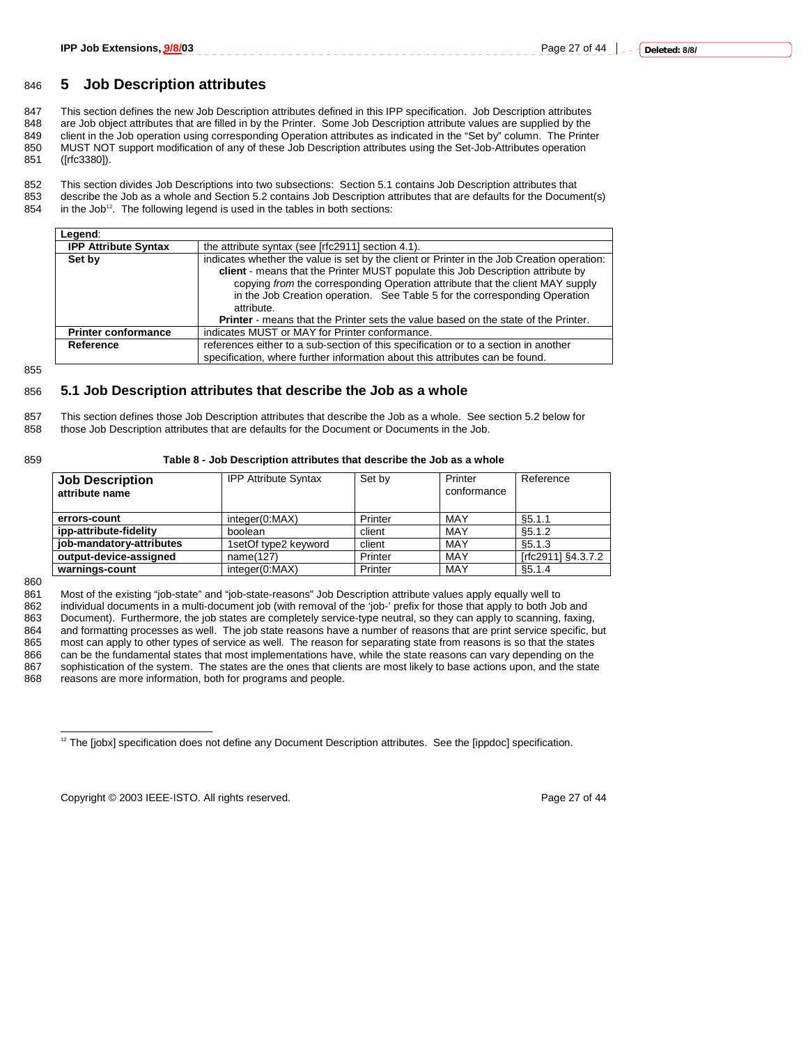# 846 **5 Job Description attributes**

847 This section defines the new Job Description attributes defined in this IPP specification. Job Description attributes 848 are Job object attributes that are filled in by the Printer. Some Job Description attribute values are supplied by the 849 client in the Job operation using corresponding Operation attributes as indicated in the "Set by" column. The Printer 850 MUST NOT support modification of any of these Job Description attributes using the Set-Job-Attributes operation<br>851 (Irfc3380)). ([rfc3380]).

852 This section divides Job Descriptions into two subsections: Section 5.1 contains Job Description attributes that 853 describe the Job as a whole and Section 5.2 contains Job Description attributes that are defaults for the Document(s)  $854$  in the Job<sup>12</sup>. The following legend is used in the tables in both sections: in the Job<sup>12</sup>. The following legend is used in the tables in both sections:

| Legend:                     |                                                                                                                                                                                                                                                                                                                                                                                                                                                         |  |
|-----------------------------|---------------------------------------------------------------------------------------------------------------------------------------------------------------------------------------------------------------------------------------------------------------------------------------------------------------------------------------------------------------------------------------------------------------------------------------------------------|--|
| <b>IPP Attribute Syntax</b> | the attribute syntax (see [rfc2911] section 4.1).                                                                                                                                                                                                                                                                                                                                                                                                       |  |
| Set by                      | indicates whether the value is set by the client or Printer in the Job Creation operation:<br>client - means that the Printer MUST populate this Job Description attribute by<br>copying from the corresponding Operation attribute that the client MAY supply<br>in the Job Creation operation. See Table 5 for the corresponding Operation<br>attribute.<br><b>Printer</b> - means that the Printer sets the value based on the state of the Printer. |  |
| <b>Printer conformance</b>  | indicates MUST or MAY for Printer conformance.                                                                                                                                                                                                                                                                                                                                                                                                          |  |
| Reference                   | references either to a sub-section of this specification or to a section in another<br>specification, where further information about this attributes can be found.                                                                                                                                                                                                                                                                                     |  |

855

#### 856 **5.1 Job Description attributes that describe the Job as a whole**

857 This section defines those Job Description attributes that describe the Job as a whole. See section 5.2 below for 858 those Job Description attributes that are defaults for the Document or Documents in the Job.

#### 859 **Table 8 - Job Description attributes that describe the Job as a whole**

| <b>Job Description</b><br>attribute name | <b>IPP Attribute Syntax</b> | Set by  | Printer<br>conformance | Reference          |
|------------------------------------------|-----------------------------|---------|------------------------|--------------------|
| errors-count                             | integer(0:MAX)              | Printer | <b>MAY</b>             | \$5.1.1            |
| ipp-attribute-fidelity                   | boolean                     | client  | MAY                    | \$5.1.2            |
| job-mandatory-attributes                 | 1setOf type2 keyword        | client  | MAY                    | \$5.1.3            |
| output-device-assigned                   | name(127)                   | Printer | MAY                    | [rfc2911] §4.3.7.2 |
| warnings-count                           | integer(0:MAX)              | Printer | <b>MAY</b>             | \$5.1.4            |

860<br>861

861 Most of the existing "job-state" and "job-state-reasons" Job Description attribute values apply equally well to<br>862 individual documents in a multi-document iob (with removal of the 'iob-' prefix for those that apply t individual documents in a multi-document job (with removal of the 'job-' prefix for those that apply to both Job and 863 Document). Furthermore, the job states are completely service-type neutral, so they can apply to scanning, faxing,<br>864 and formatting processes as well. The job state reasons have a number of reasons that are print ser and formatting processes as well. The job state reasons have a number of reasons that are print service specific, but 865 most can apply to other types of service as well. The reason for separating state from reasons is so that the states<br>866 can be the fundamental states that most implementations have, while the state reasons can vary de can be the fundamental states that most implementations have, while the state reasons can vary depending on the 867 sophistication of the system. The states are the ones that clients are most likely to base actions upon, and the state 868 reasons are more information, both for programs and people.

Copyright © 2003 IEEE-ISTO. All rights reserved. Copyright C 2003 IEEE-ISTO. All rights reserved.

l  $12$  The [jobx] specification does not define any Document Description attributes. See the [ippdoc] specification.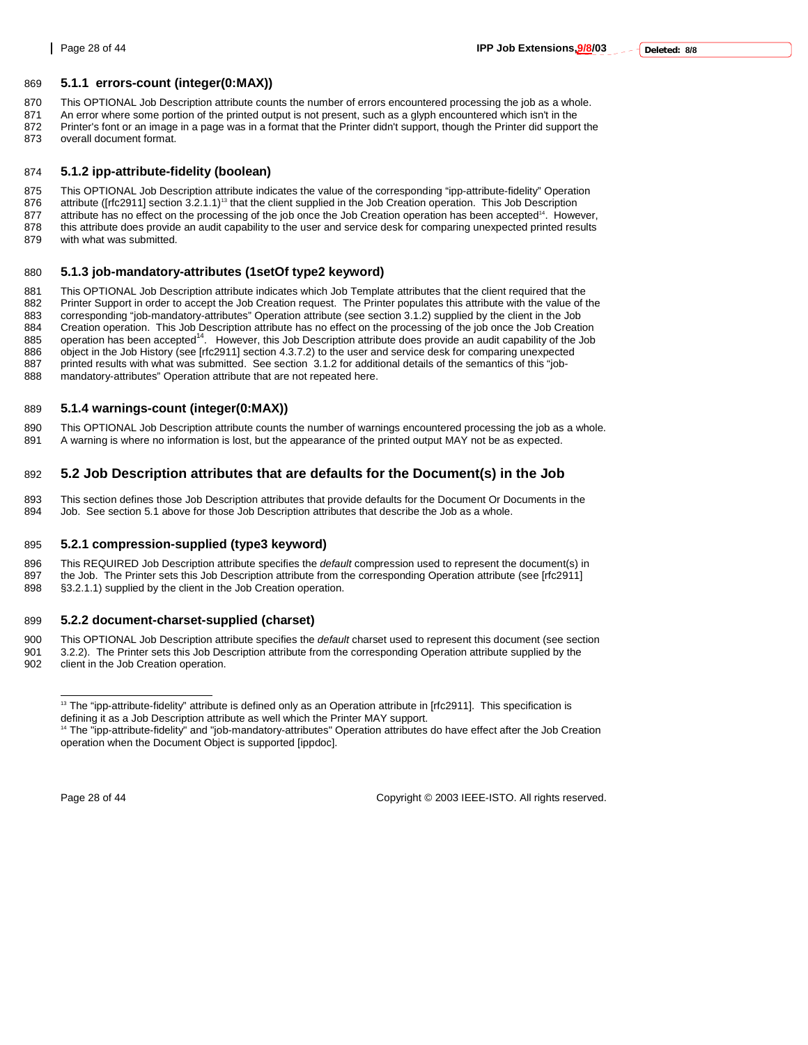870 This OPTIONAL Job Description attribute counts the number of errors encountered processing the job as a whole.

871 An error where some portion of the printed output is not present, such as a glyph encountered which isn't in the 872 Printer's font or an image in a page was in a format that the Printer didn't support, though the Printer did support the <br>873 overall document format. overall document format.

# 874 **5.1.2 ipp-attribute-fidelity (boolean)**

875 This OPTIONAL Job Description attribute indicates the value of the corresponding "ipp-attribute-fidelity" Operation

- 876 attribute ([rfc2911] section 3.2.1.1)<sup>13</sup> that the client supplied in the Job Creation operation. This Job Description 877 attribute has no effect on the processing of the job once the Job Creation operation has been accepted<sup>14</sup>. However,<br>878 this attribute does provide an audit capability to the user and service desk for comparing unexpe
- this attribute does provide an audit capability to the user and service desk for comparing unexpected printed results 879 with what was submitted.

# 880 **5.1.3 job-mandatory-attributes (1setOf type2 keyword)**

881 This OPTIONAL Job Description attribute indicates which Job Template attributes that the client required that the Salue of the John Creation required that the value of the Salue of the John Creation requires the Printe Printer Support in order to accept the Job Creation request. The Printer populates this attribute with the value of the 883 corresponding "job-mandatory-attributes" Operation attribute (see section 3.1.2) supplied by the client in the Job 884 Creation operation. This Job Description attribute has no effect on the processing of the job once the Job Creation 885 operation has been accepted<sup>14</sup>. However, this Job Description attribute does provide an audit capability of the Job 886 object in the Job History (see [rfc2911] section 4.3.7.2) to the user and service desk for comparing unexpected 887 printed results with what was submitted. See section 3.1.2 for additional details of the semantics of this "job-<br>888 mandatory-attributes" Operation attribute that are not repeated here. mandatory-attributes" Operation attribute that are not repeated here.

# 889 **5.1.4 warnings-count (integer(0:MAX))**

890 This OPTIONAL Job Description attribute counts the number of warnings encountered processing the job as a whole. 891 A warning is where no information is lost, but the appearance of the printed output MAY not be as expected.

# 892 **5.2 Job Description attributes that are defaults for the Document(s) in the Job**

893 This section defines those Job Description attributes that provide defaults for the Document Or Documents in the 894 Job. See section 5.1 above for those Job Description attributes that describe the Job as a whole.

# 895 **5.2.1 compression-supplied (type3 keyword)**

896 This REQUIRED Job Description attribute specifies the *default* compression used to represent the document(s) in

897 the Job. The Printer sets this Job Description attribute from the corresponding Operation attribute (see [rfc2911] 898 §3.2.1.1) supplied by the client in the Job Creation operation.

# 899 **5.2.2 document-charset-supplied (charset)**

900 This OPTIONAL Job Description attribute specifies the *default* charset used to represent this document (see section<br>901 3.2.2). The Printer sets this Job Description attribute from the corresponding Operation attribut 3.2.2). The Printer sets this Job Description attribute from the corresponding Operation attribute supplied by the

902 client in the Job Creation operation.

Page 28 of 44 Copyright © 2003 IEEE-ISTO. All rights reserved.

l  $13$  The "ipp-attribute-fidelity" attribute is defined only as an Operation attribute in [rfc2911]. This specification is defining it as a Job Description attribute as well which the Printer MAY support.

<sup>&</sup>lt;sup>14</sup> The "ipp-attribute-fidelity" and "job-mandatory-attributes" Operation attributes do have effect after the Job Creation operation when the Document Object is supported [ippdoc].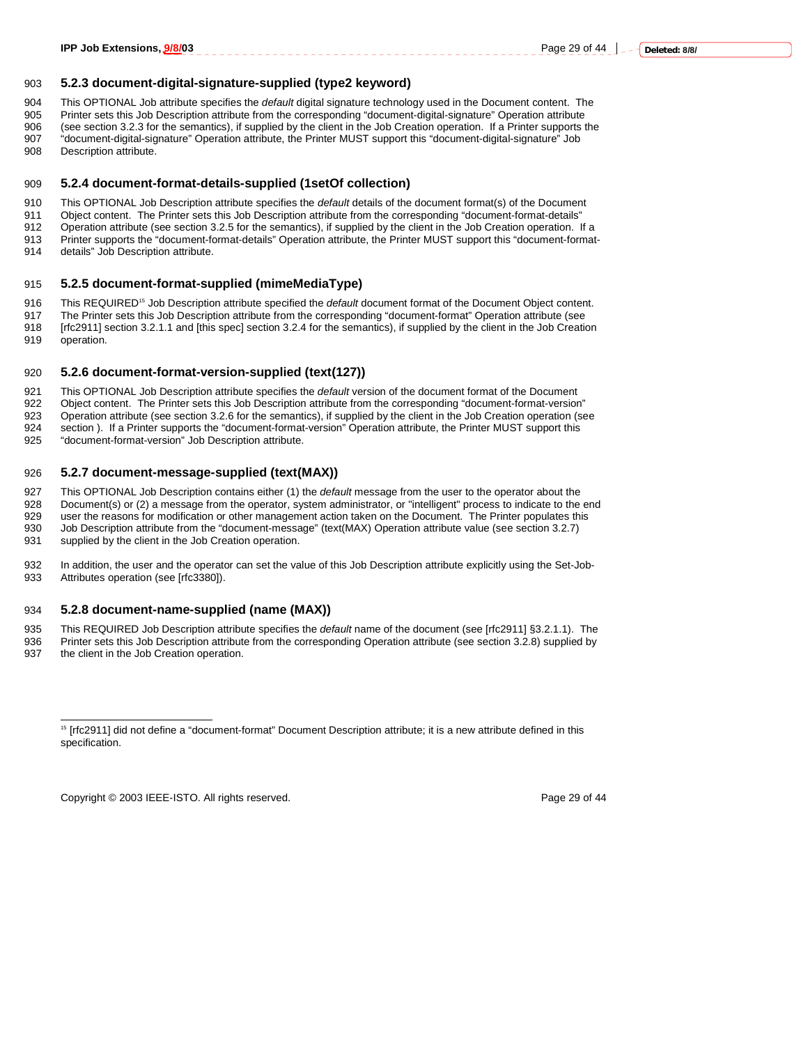904 This OPTIONAL Job attribute specifies the *default* digital signature technology used in the Document content. The 905 Printer sets this Job Description attribute from the corresponding "document-digital-signature" Operation attribute 906 (see section 3.2.3 for the semantics), if supplied by the client in the Job Creation operation. If a Printer supports the 907 "document-digital-signature" Job 907 "document-digital-signature" Operation attribute, the Printer MUST support this "document-digital-signature" Job<br>908 Description attribute. Description attribute

#### 909 **5.2.4 document-format-details-supplied (1setOf collection)**

910 This OPTIONAL Job Description attribute specifies the *default* details of the document format(s) of the Document

911 Object content. The Printer sets this Job Description attribute from the corresponding "document-format-details"<br>912 Operation attribute (see section 3.2.5 for the semantics), if supplied by the client in the Job Creat

912 Operation attribute (see section 3.2.5 for the semantics), if supplied by the client in the Job Creation operation. If a 913 Printer supports the "document-format-details" Operation attribute, the Printer MUST support this "document-format-

914 details" Job Description attribute.

#### 915 **5.2.5 document-format-supplied (mimeMediaType)**

916 This REQUIRED<sup>15</sup> Job Description attribute specified the *default* document format of the Document Object content.

917 The Printer sets this Job Description attribute from the corresponding "document-format" Operation attribute (see 918 [rfc2911] section 3.2.1.1 and [this spec] section 3.2.4 for the semantics), if supplied by the client in the Job Creation 919 operation.

#### 920 **5.2.6 document-format-version-supplied (text(127))**

921 This OPTIONAL Job Description attribute specifies the *default* version of the document format of the Document 922 Object content. The Printer sets this Job Description attribute from the corresponding "document-format-version" 923 Operation attribute (see section 3.2.6 for the semantics), if supplied by the client in the Job Creation operation (see<br>924 section). If a Printer supports the "document-format-version" Operation attribute, the Printer section ). If a Printer supports the "document-format-version" Operation attribute, the Printer MUST support this

925 "document-format-version" Job Description attribute.

#### 926 **5.2.7 document-message-supplied (text(MAX))**

927 This OPTIONAL Job Description contains either (1) the *default* message from the user to the operator about the 928 Document(s) or (2) a message from the operator, system administrator, or "intelligent" process to indicate to the end<br>929 ULSET the reasons for modification or other management action taken on the Document. The Printer user the reasons for modification or other management action taken on the Document. The Printer populates this 930 Job Description attribute from the "document-message" (text(MAX) Operation attribute value (see section 3.2.7) 931 supplied by the client in the Job Creation operation.

932 In addition, the user and the operator can set the value of this Job Description attribute explicitly using the Set-Job-933 Attributes operation (see [rfc3380]).

### 934 **5.2.8 document-name-supplied (name (MAX))**

935 This REQUIRED Job Description attribute specifies the *default* name of the document (see [rfc2911] §3.2.1.1). The

936 Printer sets this Job Description attribute from the corresponding Operation attribute (see section 3.2.8) supplied by<br>937 the client in the Job Creation operation. the client in the Job Creation operation.

Copyright © 2003 IEEE-ISTO. All rights reserved. Page 29 of 44

 $\overline{a}$ 

<sup>&</sup>lt;sup>15</sup> [rfc2911] did not define a "document-format" Document Description attribute; it is a new attribute defined in this specification.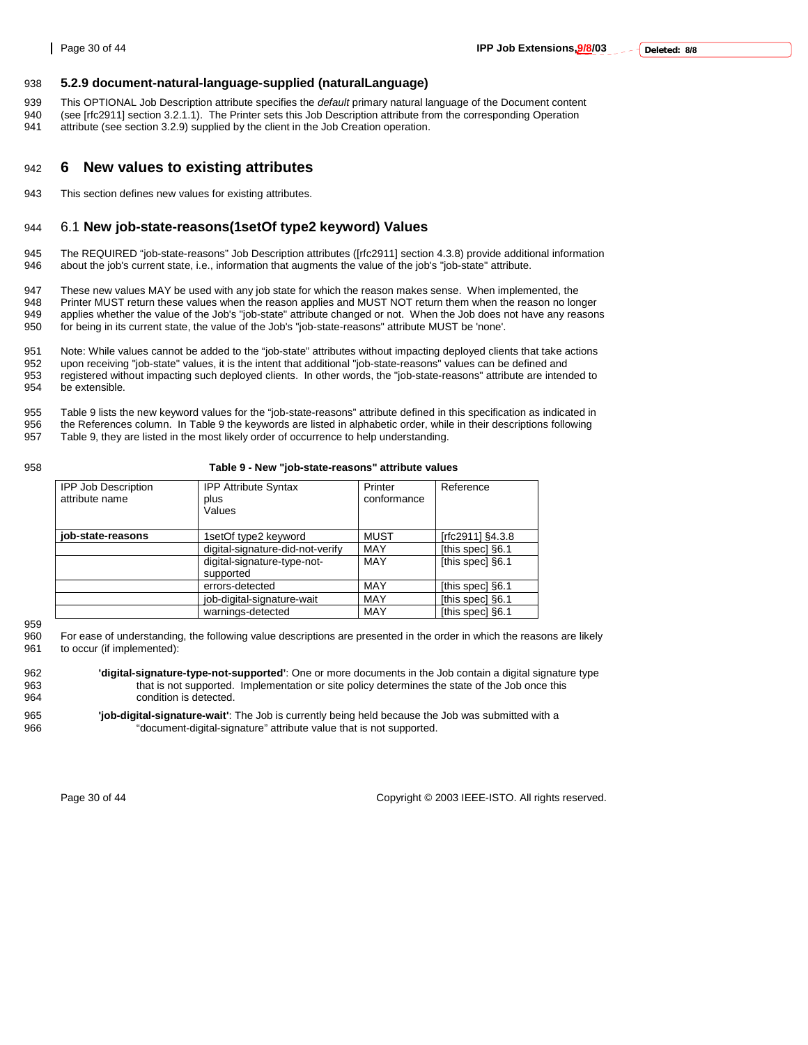- 939 This OPTIONAL Job Description attribute specifies the *default* primary natural language of the Document content 940 (see [rfc2911] section 3.2.1.1). The Printer sets this Job Description attribute from the corresponding Operation
- 941 attribute (see section 3.2.9) supplied by the client in the Job Creation operation.

# 942 **6 New values to existing attributes**

943 This section defines new values for existing attributes.

# 944 6.1 **New job-state-reasons(1setOf type2 keyword) Values**

945 The REQUIRED "job-state-reasons" Job Description attributes ([rfc2911] section 4.3.8) provide additional information 946 about the job's current state, i.e., information that augments the value of the job's "job-state" attribute.

947 These new values MAY be used with any job state for which the reason makes sense. When implemented, the 948<br>948 Printer MUST return these values when the reason applies and MUST NOT return them when the reason no long 948 Printer MUST return these values when the reason applies and MUST NOT return them when the reason no longer<br>949 applies whether the value of the Job's "job-state" attribute changed or not. When the Job does not have an applies whether the value of the Job's "job-state" attribute changed or not. When the Job does not have any reasons 950 for being in its current state, the value of the Job's "job-state-reasons" attribute MUST be 'none'.

951 Note: While values cannot be added to the "job-state" attributes without impacting deployed clients that take actions 952 upon receiving "job-state" values, it is the intent that additional "job-state-reasons" values can be defined and<br>953 registered without impacting such deployed clients. In other words, the "job-state-reasons" attribut 953 registered without impacting such deployed clients. In other words, the "job-state-reasons" attribute are intended to 954 be extensible.

955 Table 9 lists the new keyword values for the "job-state-reasons" attribute defined in this specification as indicated in 956 the References column. In Table 9 the keywords are listed in alphabetic order, while in their descriptions following

957 Table 9, they are listed in the most likely order of occurrence to help understanding.

#### 958 **Table 9 - New "job-state-reasons" attribute values**

| <b>IPP Job Description</b><br>attribute name | <b>IPP Attribute Syntax</b><br>plus<br>Values | Printer<br>conformance | Reference        |
|----------------------------------------------|-----------------------------------------------|------------------------|------------------|
| job-state-reasons                            | 1setOf type2 keyword                          | <b>MUST</b>            | [rfc2911] §4.3.8 |
|                                              | digital-signature-did-not-verify              | MAY                    | [this spec] §6.1 |
|                                              | digital-signature-type-not-                   | MAY                    | [this spec] §6.1 |
|                                              | supported                                     |                        |                  |
|                                              | errors-detected                               | MAY                    | [this spec] §6.1 |
|                                              | job-digital-signature-wait                    | MAY                    | [this spec] §6.1 |
|                                              | warnings-detected                             | MAY                    | [this spec] §6.1 |

959

960 For ease of understanding, the following value descriptions are presented in the order in which the reasons are likely 961 to occur (if implemented):

| 962 | <b>digital-signature-type-not-supported</b> ': One or more documents in the Job contain a digital signature type |
|-----|------------------------------------------------------------------------------------------------------------------|
| 963 | that is not supported. Implementation or site policy determines the state of the Job once this                   |
| 964 | condition is detected.                                                                                           |

965 **'job-digital-signature-wait'**: The Job is currently being held because the Job was submitted with a 966 "document-digital-signature" attribute value that is not supported.

Page 30 of 44 Copyright © 2003 IEEE-ISTO. All rights reserved.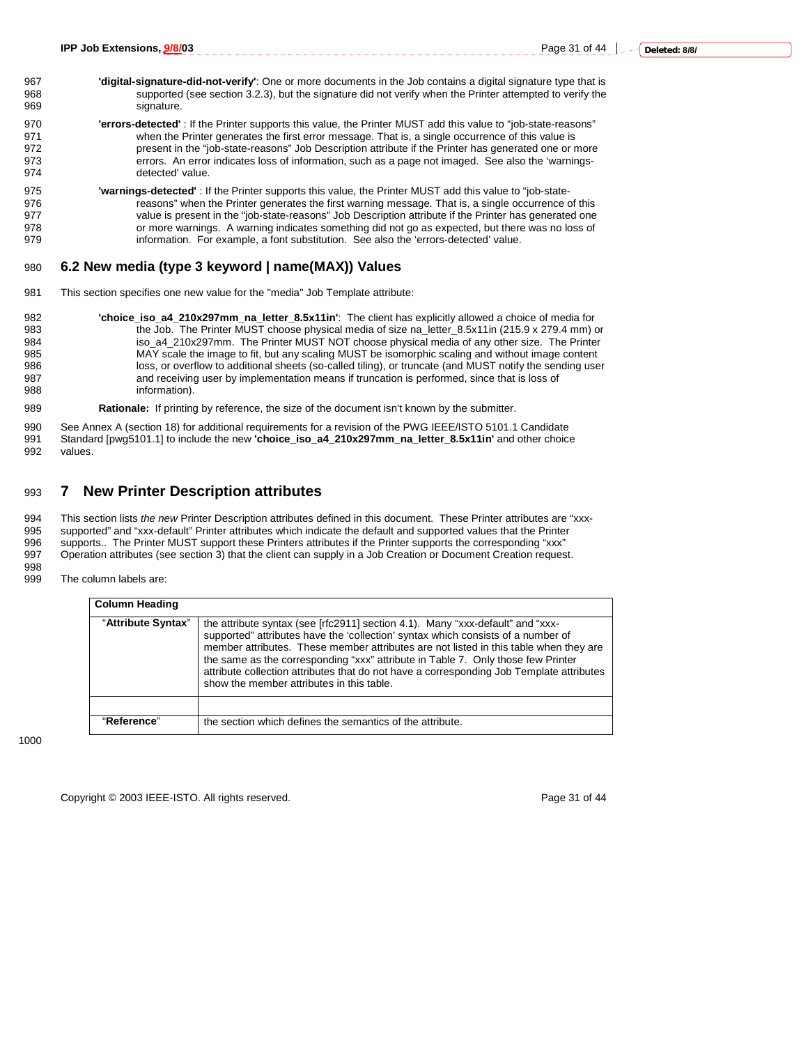Page 31 of 44 **L** - - Deleted: 8/8/

- 967 **'digital-signature-did-not-verify'**: One or more documents in the Job contains a digital signature type that is 968 supported (see section 3.2.3), but the signature did not verify when the Printer attempted to verify the 969 signature.
- 970 **'errors-detected'** : If the Printer supports this value, the Printer MUST add this value to "job-state-reasons" when the Printer generates the first error message. That is, a single occurrence of this value is 972 972 present in the "job-state-reasons" Job Description attribute if the Printer has generated one or more<br>973 errors. An error indicates loss of information, such as a page not imaged. See also the 'warningserrors. An error indicates loss of information, such as a page not imaged. See also the 'warnings-974 detected' value.
- 975 **'warnings-detected'** : If the Printer supports this value, the Printer MUST add this value to "job-state-976 976 reasons" when the Printer generates the first warning message. That is, a single occurrence of this<br>977 value is present in the "job-state-reasons" Job Description attribute if the Printer has generated one value is present in the "job-state-reasons" Job Description attribute if the Printer has generated one 978 or more warnings. A warning indicates something did not go as expected, but there was no loss of 979 information. For example, a font substitution. See also the 'errors-detected' value.

# 980 **6.2 New media (type 3 keyword | name(MAX)) Values**

- 981 This section specifies one new value for the "media" Job Template attribute:
- 982 **'choice\_iso\_a4\_210x297mm\_na\_letter\_8.5x11in'**: The client has explicitly allowed a choice of media for 983 the Job. The Printer MUST choose physical media of size na\_letter\_8.5x11in (215.9 x 279.4 mm) or<br>984 sise ad 210x297mm. The Printer MUST NOT choose physical media of any other size. The Printer iso a4 210x297mm. The Printer MUST NOT choose physical media of any other size. The Printer 985 MAY scale the image to fit, but any scaling MUST be isomorphic scaling and without image content 986 loss, or overflow to additional sheets (so-called tiling), or truncate (and MUST notify the sending user 987 **and receiving user by implementation means if truncation is performed, since that is loss of** 988 information).
- 989 **Rationale:** If printing by reference, the size of the document isn't known by the submitter.

990 See Annex A (section 18) for additional requirements for a revision of the PWG IEEE/ISTO 5101.1 Candidate 991 Standard [pwg5101.1] to include the new **'choice\_iso\_a4\_210x297mm\_na\_letter\_8.5x11in'** and other choice 992 values.

# 993 **7 New Printer Description attributes**

994 This section lists *the new* Printer Description attributes defined in this document. These Printer attributes are "xxx-995 supported" and "xxx-default" Printer attributes which indicate the default and supported values that the Printer<br>996 supports.. The Printer MUST support these Printers attributes if the Printer supports the correspondi 996 supports.. The Printer MUST support these Printers attributes if the Printer supports the corresponding "xxx"<br>997 Operation attributes (see section 3) that the client can supply in a Job Creation or Document Creation r 997 Operation attributes (see section 3) that the client can supply in a Job Creation or Document Creation request.

998 The column labels are:

| <b>Column Heading</b> |                                                                                                                                                                                                                                                                                                                                                                                                                                                                                          |
|-----------------------|------------------------------------------------------------------------------------------------------------------------------------------------------------------------------------------------------------------------------------------------------------------------------------------------------------------------------------------------------------------------------------------------------------------------------------------------------------------------------------------|
| "Attribute Syntax"    | the attribute syntax (see [rfc2911] section 4.1). Many "xxx-default" and "xxx-<br>supported" attributes have the 'collection' syntax which consists of a number of<br>member attributes. These member attributes are not listed in this table when they are<br>the same as the corresponding "xxx" attribute in Table 7. Only those few Printer<br>attribute collection attributes that do not have a corresponding Job Template attributes<br>show the member attributes in this table. |
| "Reference"           | the section which defines the semantics of the attribute.                                                                                                                                                                                                                                                                                                                                                                                                                                |

1000

Copyright © 2003 IEEE-ISTO. All rights reserved. Page 31 of 44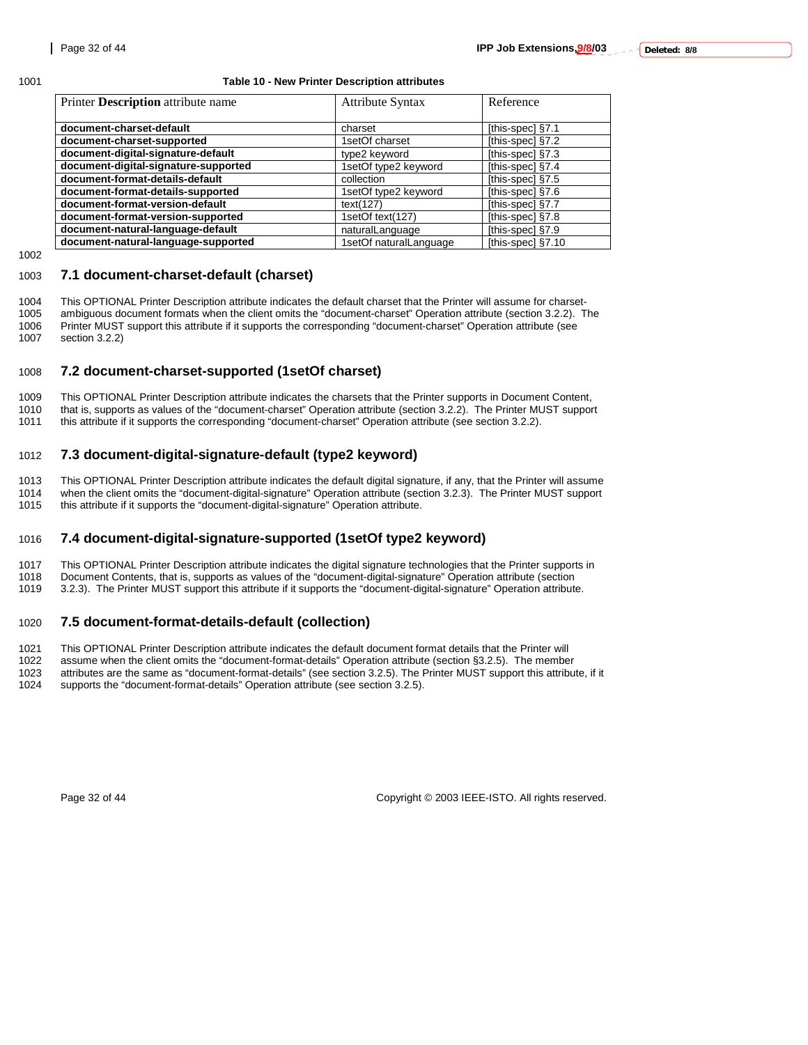#### 1001 **Table 10 - New Printer Description attributes**

| Printer <b>Description</b> attribute name | <b>Attribute Syntax</b> | Reference         |
|-------------------------------------------|-------------------------|-------------------|
| document-charset-default                  | charset                 | [this-spec] §7.1  |
| document-charset-supported                | 1setOf charset          | [this-spec] §7.2  |
| document-digital-signature-default        | type2 keyword           | [this-spec] §7.3  |
| document-digital-signature-supported      | 1setOf type2 keyword    | [this-spec] §7.4  |
| document-format-details-default           | collection              | [this-spec] §7.5  |
| document-format-details-supported         | 1setOf type2 keyword    | [this-spec] §7.6  |
| document-format-version-default           | text(127)               | [this-spec] §7.7  |
| document-format-version-supported         | 1setOf text(127)        | [this-spec] §7.8  |
| document-natural-language-default         | naturalLanguage         | [this-spec] §7.9  |
| document-natural-language-supported       | 1setOf naturalLanguage  | [this-spec] §7.10 |

1002

# 1003 **7.1 document-charset-default (charset)**

1004 This OPTIONAL Printer Description attribute indicates the default charset that the Printer will assume for charset-1005 ambiguous document formats when the client omits the "document-charset" Operation attribute (section 3.2.2). The 1006 Printer MUST support this attribute if it supports the corresponding "document-charset" Operation attribute (see<br>1007 section 3.2.2) section 3.2.2)

### 1008 **7.2 document-charset-supported (1setOf charset)**

1009 This OPTIONAL Printer Description attribute indicates the charsets that the Printer supports in Document Content,

1010 that is, supports as values of the "document-charset" Operation attribute (section 3.2.2). The Printer MUST support 1011 this attribute if it supports the corresponding "document-charset" Operation attribute (see section 3.2.2).

# 1012 **7.3 document-digital-signature-default (type2 keyword)**

1013 This OPTIONAL Printer Description attribute indicates the default digital signature, if any, that the Printer will assume 1014 when the client omits the "document-digital-signature" Operation attribute (section 3.2.3). The Printer MUST support 1015 this attribute if it supports the "document-digital-signature" Operation attribute.

# 1016 **7.4 document-digital-signature-supported (1setOf type2 keyword)**

1017 This OPTIONAL Printer Description attribute indicates the digital signature technologies that the Printer supports in 1018 Document Contents, that is, supports as values of the "document-digital-signature" Operation attribute (section

1019 3.2.3). The Printer MUST support this attribute if it supports the "document-digital-signature" Operation attribute.

### 1020 **7.5 document-format-details-default (collection)**

1021 This OPTIONAL Printer Description attribute indicates the default document format details that the Printer will

1022 assume when the client omits the "document-format-details" Operation attribute (section §3.2.5). The member<br>1023 attributes are the same as "document-format-details" (see section 3.2.5). The Printer MUST support this

attributes are the same as "document-format-details" (see section 3.2.5). The Printer MUST support this attribute, if it 1024 supports the "document-format-details" Operation attribute (see section 3.2.5).

Page 32 of 44 Copyright © 2003 IEEE-ISTO. All rights reserved.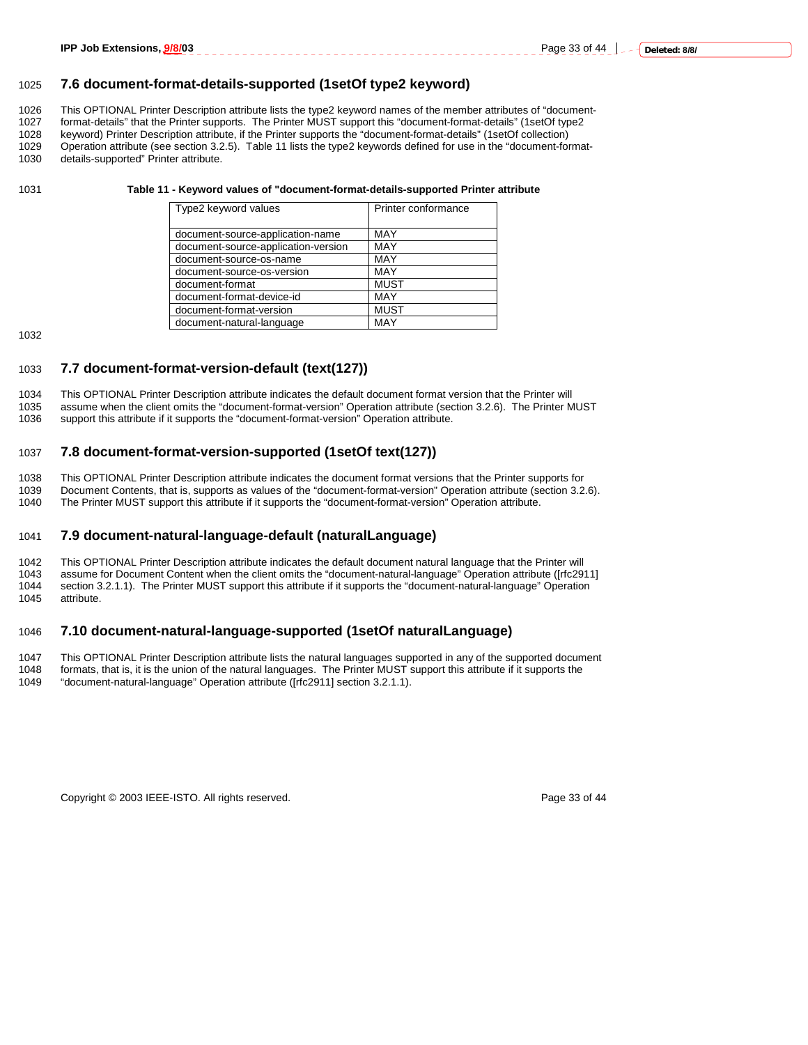# 1025 **7.6 document-format-details-supported (1setOf type2 keyword)**

1026 This OPTIONAL Printer Description attribute lists the type2 keyword names of the member attributes of "document-<br>1027 format-details" that the Printer supports. The Printer MUST support this "document-format-details" format-details" that the Printer supports. The Printer MUST support this "document-format-details" (1setOf type2 1028 keyword) Printer Description attribute, if the Printer supports the "document-format-details" (1setOf collection) 1029 Operation attribute (see section 3.2.5). Table 11 lists the type2 keywords defined for use in the "document-format-

1030 details-supported" Printer attribute.

#### 1031 **Table 11 - Keyword values of "document-format-details-supported Printer attribute**

| Type2 keyword values                | Printer conformance |
|-------------------------------------|---------------------|
|                                     |                     |
| document-source-application-name    | <b>MAY</b>          |
| document-source-application-version | <b>MAY</b>          |
| document-source-os-name             | MAY                 |
| document-source-os-version          | MAY                 |
| document-format                     | <b>MUST</b>         |
| document-format-device-id           | MAY                 |
| document-format-version             | <b>MUST</b>         |
| document-natural-language           | MAY                 |

#### 1032

### 1033 **7.7 document-format-version-default (text(127))**

1034 This OPTIONAL Printer Description attribute indicates the default document format version that the Printer will 1035 assume when the client omits the "document-format-version" Operation attribute (section 3.2.6). The Printer MUST 1036 support this attribute if it supports the "document-format-version" Operation attribute.

#### 1037 **7.8 document-format-version-supported (1setOf text(127))**

1038 This OPTIONAL Printer Description attribute indicates the document format versions that the Printer supports for 1039 Document Contents, that is, supports as values of the "document-format-version" Operation attribute (section 3.2.6). 1040 The Printer MUST support this attribute if it supports the "document-format-version" Operation attribute.

#### 1041 **7.9 document-natural-language-default (naturalLanguage)**

1042 This OPTIONAL Printer Description attribute indicates the default document natural language that the Printer will 1043 assume for Document Content when the client omits the "document-natural-language" Operation attribute ([rfc2911]<br>1044 section 3.2.1.1). The Printer MUST support this attribute if it supports the "document-natural-lang section 3.2.1.1). The Printer MUST support this attribute if it supports the "document-natural-language" Operation 1045 attribute.

### 1046 **7.10 document-natural-language-supported (1setOf naturalLanguage)**

1047 This OPTIONAL Printer Description attribute lists the natural languages supported in any of the supported document 1048 formats, that is, it is the union of the natural languages. The Printer MUST support this attribute if it supports the

1049 "document-natural-language" Operation attribute ([rfc2911] section 3.2.1.1).

Copyright © 2003 IEEE-ISTO. All rights reserved. Copyright C 2003 IEEE-ISTO. All rights reserved.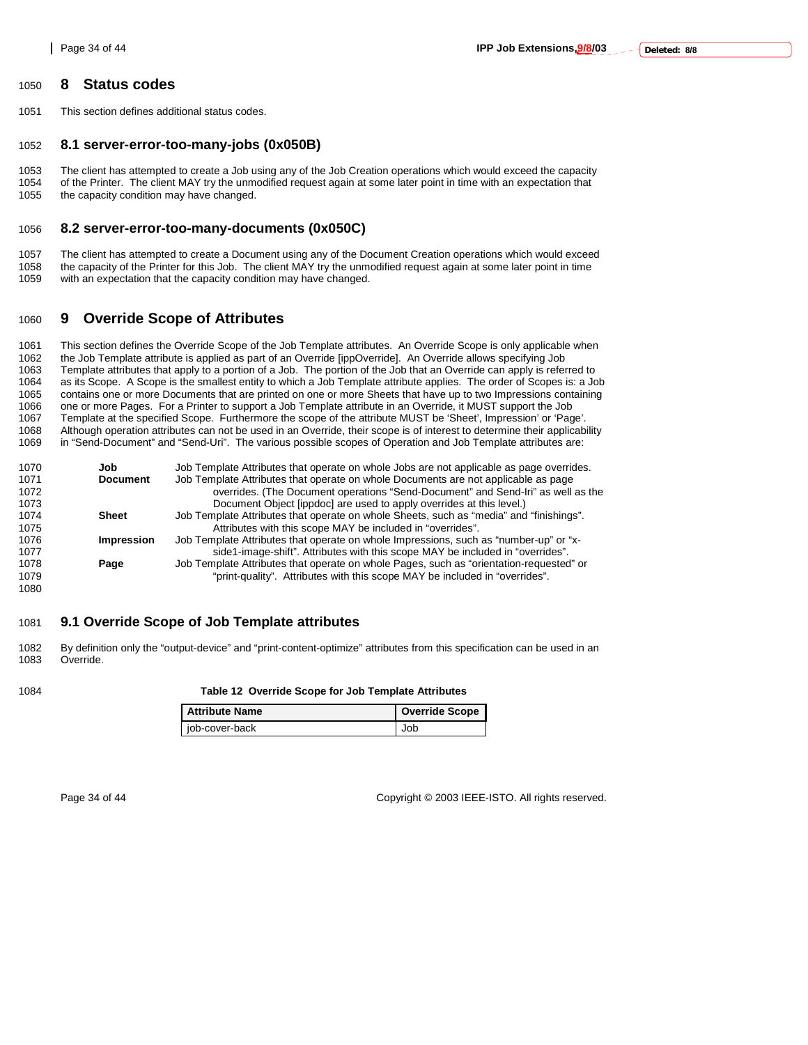1051 This section defines additional status codes.

### 1052 **8.1 server-error-too-many-jobs (0x050B)**

1053 The client has attempted to create a Job using any of the Job Creation operations which would exceed the capacity 1054 of the Printer. The client MAY try the unmodified request again at some later point in time with an expectation that 1055 the capacity condition may have changed. the capacity condition may have changed.

### 1056 **8.2 server-error-too-many-documents (0x050C)**

1057 The client has attempted to create a Document using any of the Document Creation operations which would exceed<br>1058 the capacity of the Printer for this Job The client MAY try the unmodified request again at some late 1058 the capacity of the Printer for this Job. The client MAY try the unmodified request again at some later point in time<br>1059 with an expectation that the capacity condition may have changed. with an expectation that the capacity condition may have changed.

# 1060 **9 Override Scope of Attributes**

1061 This section defines the Override Scope of the Job Template attributes. An Override Scope is only applicable when 1062 the Job Template attribute is applied as part of an Override [ippOverride]. An Override allows specifying Job<br>1063 Template attributes that apply to a portion of a Job. The portion of the Job that an Override can appl Template attributes that apply to a portion of a Job. The portion of the Job that an Override can apply is referred to 1064 as its Scope. A Scope is the smallest entity to which a Job Template attribute applies. The order of Scopes is: a Job 1065 contains one or more Documents that are printed on one or more Sheets that have up to two Impressions containing<br>1066 one or more Pages. For a Printer to support a Job Template attribute in an Override, it MUST suppor 1066 one or more Pages. For a Printer to support a Job Template attribute in an Override, it MUST support the Job 1067 Template at the specified Scope. Furthermore the scope of the attribute MUST be 'Sheet', Impression' or 'Page'. 1068 Although operation attributes can not be used in an Override, their scope is of interest to determine their applicability<br>1069 in "Send-Document" and "Send-Uri". The various possible scopes of Operation and Job Templa in "Send-Document" and "Send-Uri". The various possible scopes of Operation and Job Template attributes are:

| 1070 | Job               | Job Template Attributes that operate on whole Jobs are not applicable as page overrides. |
|------|-------------------|------------------------------------------------------------------------------------------|
| 1071 | <b>Document</b>   | Job Template Attributes that operate on whole Documents are not applicable as page       |
| 1072 |                   | overrides. (The Document operations "Send-Document" and Send-Iri" as well as the         |
| 1073 |                   | Document Object [ippdoc] are used to apply overrides at this level.)                     |
| 1074 | <b>Sheet</b>      | Job Template Attributes that operate on whole Sheets, such as "media" and "finishings".  |
| 1075 |                   | Attributes with this scope MAY be included in "overrides".                               |
| 1076 | <b>Impression</b> | Job Template Attributes that operate on whole Impressions, such as "number-up" or "x-    |
| 1077 |                   | side1-image-shift". Attributes with this scope MAY be included in "overrides".           |
| 1078 | Page              | Job Template Attributes that operate on whole Pages, such as "orientation-requested" or  |
| 1079 |                   | "print-quality". Attributes with this scope MAY be included in "overrides".              |
| 1080 |                   |                                                                                          |

# 1081 **9.1 Override Scope of Job Template attributes**

1082 By definition only the "output-device" and "print-content-optimize" attributes from this specification can be used in an 1083 Override.

#### 1084 **Table 12 Override Scope for Job Template Attributes**

| <b>Attribute Name</b> | <b>Override Scope</b> |
|-----------------------|-----------------------|
| job-cover-back        | Job                   |

Page 34 of 44 Copyright © 2003 IEEE-ISTO. All rights reserved.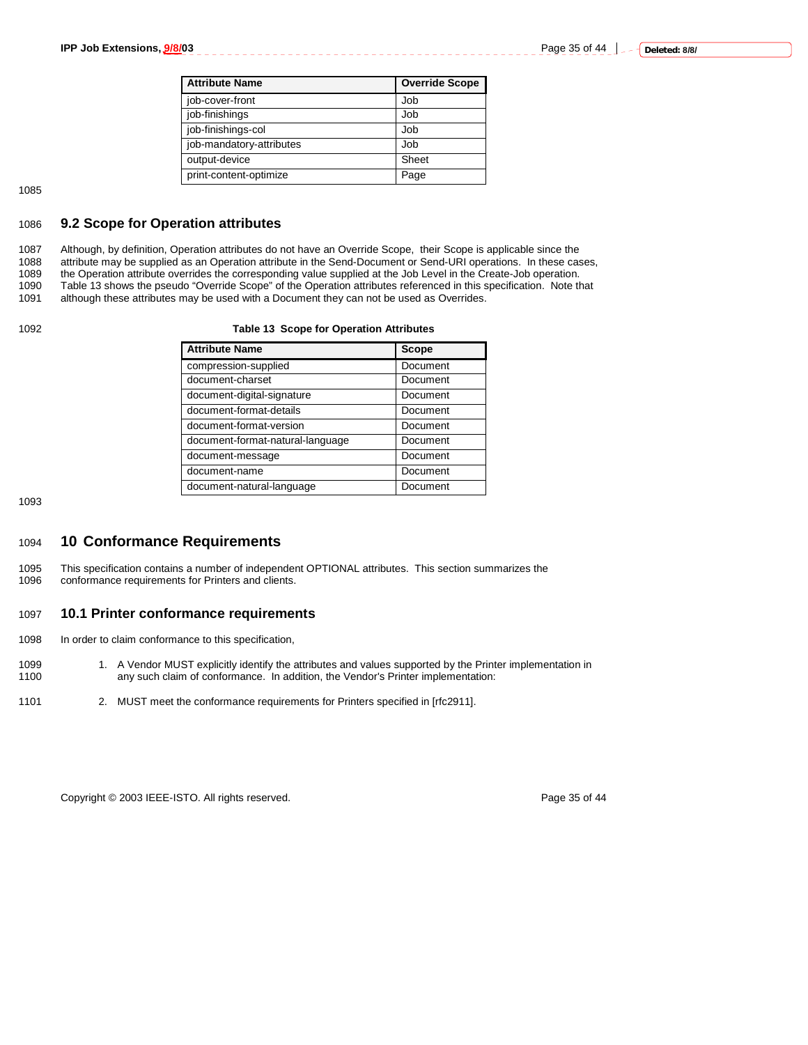| <b>Attribute Name</b>    | <b>Override Scope</b> |
|--------------------------|-----------------------|
| job-cover-front          | Job                   |
| job-finishings           | Job                   |
| job-finishings-col       | Job                   |
| job-mandatory-attributes | Job                   |
| output-device            | Sheet                 |
| print-content-optimize   | Page                  |

1085

#### 1086 **9.2 Scope for Operation attributes**

1087 Although, by definition, Operation attributes do not have an Override Scope, their Scope is applicable since the<br>1088 attribute may be supplied as an Operation attribute in the Send-Document or Send-URI operations. In 1088 attribute may be supplied as an Operation attribute in the Send-Document or Send-URI operations. In these cases,<br>1089 the Operation attribute overrides the corresponding value supplied at the Job Level in the Create-J

1089 the Operation attribute overrides the corresponding value supplied at the Job Level in the Create-Job operation.<br>1090 Table 13 shows the pseudo "Override Scope" of the Operation attributes referenced in this specifica

Table 13 shows the pseudo "Override Scope" of the Operation attributes referenced in this specification. Note that

1091 although these attributes may be used with a Document they can not be used as Overrides.

#### 1092 **Table 13 Scope for Operation Attributes**

| <b>Attribute Name</b>            | <b>Scope</b> |
|----------------------------------|--------------|
| compression-supplied             | Document     |
| document-charset                 | Document     |
| document-digital-signature       | Document     |
| document-format-details          | Document     |
| document-format-version          | Document     |
| document-format-natural-language | Document     |
| document-message                 | Document     |
| document-name                    | Document     |
| document-natural-language        | Document     |

1093

# 1094 **10 Conformance Requirements**

1095 This specification contains a number of independent OPTIONAL attributes. This section summarizes the 1096 conformance requirements for Printers and clients. conformance requirements for Printers and clients.

#### 1097 **10.1 Printer conformance requirements**

1098 In order to claim conformance to this specification,

- 1099 1. A Vendor MUST explicitly identify the attributes and values supported by the Printer implementation in 1100 any such claim of conformance. In addition, the Vendor's Printer implementation:
- 1101 2. MUST meet the conformance requirements for Printers specified in [rfc2911].

Copyright © 2003 IEEE-ISTO. All rights reserved. Copyright C 2003 IEEE-ISTO. All rights reserved.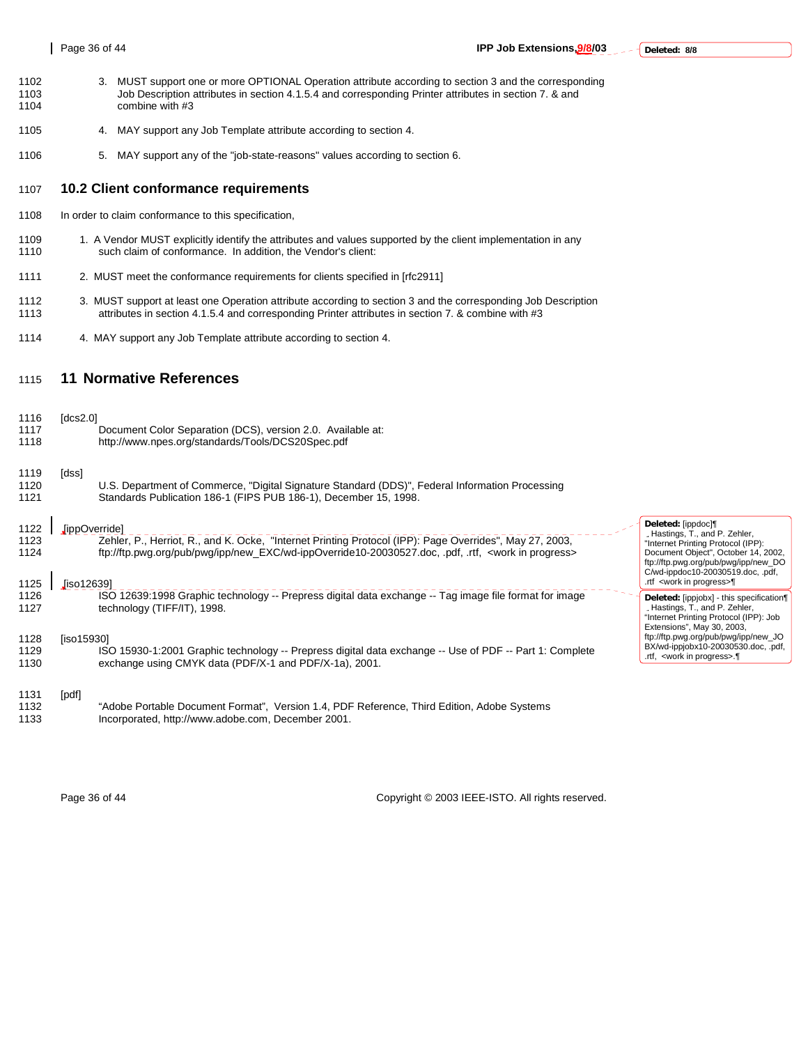- 1102 3. MUST support one or more OPTIONAL Operation attribute according to section 3 and the corresponding<br>1103 Job Description attributes in section 4.1.5.4 and corresponding Printer attributes in section 7. & and Job Description attributes in section 4.1.5.4 and corresponding Printer attributes in section 7. & and 1104 combine with #3
- 1105 4. MAY support any Job Template attribute according to section 4.
- 1106 5. MAY support any of the "job-state-reasons" values according to section 6.

#### 1107 **10.2 Client conformance requirements**

- 1108 In order to claim conformance to this specification,
- 1109 1. A Vendor MUST explicitly identify the attributes and values supported by the client implementation in any<br>1110 such claim of conformance. In addition, the Vendor's client: such claim of conformance. In addition, the Vendor's client:
- 1111 2. MUST meet the conformance requirements for clients specified in [rfc2911]
- 1112 3. MUST support at least one Operation attribute according to section 3 and the corresponding Job Description<br>1113 a tributes in section 4.1.5.4 and corresponding Printer attributes in section 7. & combine with #3 attributes in section 4.1.5.4 and corresponding Printer attributes in section 7. & combine with #3
- 1114 4. MAY support any Job Template attribute according to section 4.

# 1115 **11 Normative References**

| 1116<br>1117<br>1118                 | [ $dcs2.0$ ]<br>Document Color Separation (DCS), version 2.0. Available at:<br>http://www.npes.org/standards/Tools/DCS20Spec.pdf                                                                                                                                                                                         |                                                                                                                                                                                                                                                                              |
|--------------------------------------|--------------------------------------------------------------------------------------------------------------------------------------------------------------------------------------------------------------------------------------------------------------------------------------------------------------------------|------------------------------------------------------------------------------------------------------------------------------------------------------------------------------------------------------------------------------------------------------------------------------|
| 1119<br>1120<br>1121                 | [dss]<br>U.S. Department of Commerce, "Digital Signature Standard (DDS)", Federal Information Processing<br>Standards Publication 186-1 (FIPS PUB 186-1), December 15, 1998.                                                                                                                                             |                                                                                                                                                                                                                                                                              |
| 1122<br>1123<br>1124<br>1125         | [ippOverride]<br>Zehler, P., Herriot, R., and K. Ocke, "Internet Printing Protocol (IPP): Page Overrides", May 27, 2003,<br>ftp://ftp.pwg.org/pub/pwg/ipp/new_EXC/wd-ippOverride10-20030527.doc, .pdf, .rtf, <work in="" progress=""><br/>Jiso12639]</work>                                                              | Deleted: [ippdoc]]<br>Hastings, T., and P. Zehler,<br>"Internet Printing Protocol (IPP):<br>Document Object", October 14, 2002,<br>ftp://ftp.pwg.org/pub/pwg/ipp/new_DO<br>C/wd-ippdoc10-20030519.doc, .pdf,<br>.rtf <work in="" progress=""></work>                         |
| 1126<br>1127<br>1128<br>1129<br>1130 | ISO 12639:1998 Graphic technology -- Prepress digital data exchange -- Tag image file format for image<br>technology (TIFF/IT), 1998.<br>[iso15930]<br>ISO 15930-1:2001 Graphic technology -- Prepress digital data exchange -- Use of PDF -- Part 1: Complete<br>exchange using CMYK data (PDF/X-1 and PDF/X-1a), 2001. | Deleted: [ippjobx] - this specification¶<br>. Hastings, T., and P. Zehler,<br>"Internet Printing Protocol (IPP): Job<br>Extensions", May 30, 2003,<br>ftp://ftp.pwg.org/pub/pwg/ipp/new_JO<br>BX/wd-ippjobx10-20030530.doc, .pdf,<br>.rtf. <work in="" progress="">.¶</work> |
| 1131<br>1132<br>1133                 | [pdf]<br>"Adobe Portable Document Format", Version 1.4, PDF Reference, Third Edition, Adobe Systems<br>Incorporated, http://www.adobe.com, December 2001.                                                                                                                                                                |                                                                                                                                                                                                                                                                              |

Page 36 of 44 Copyright © 2003 IEEE-ISTO. All rights reserved.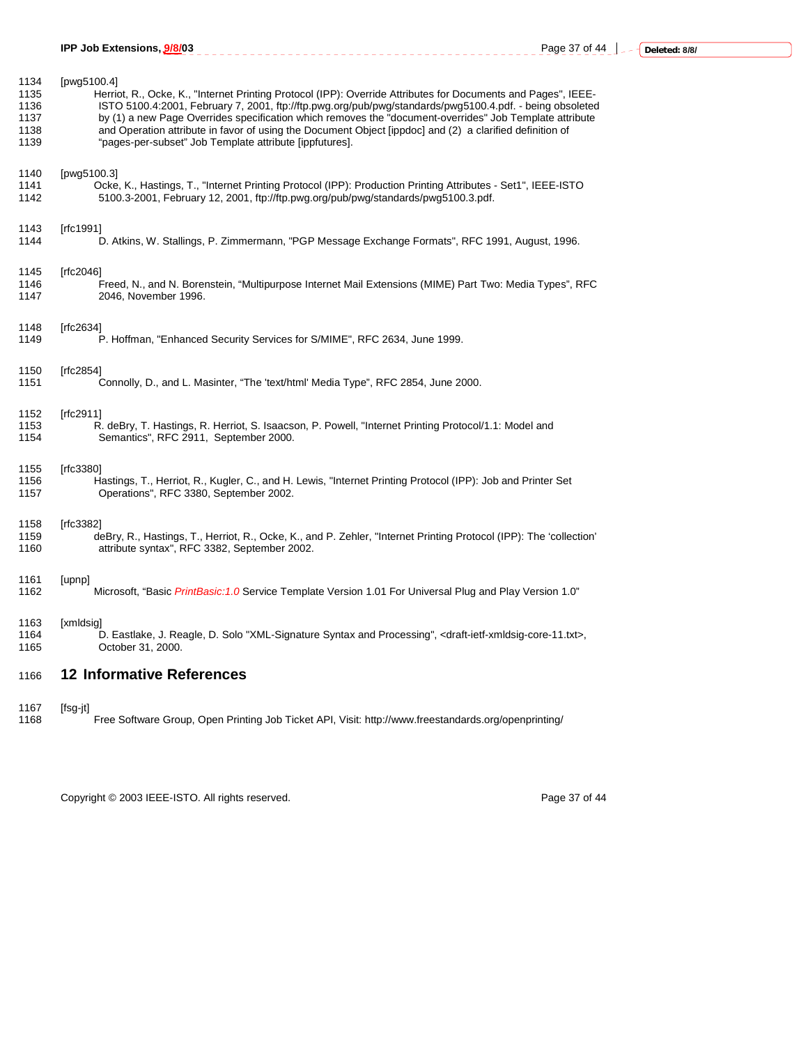|                                              | IPP Job Extensions, 9/8/03                                                                                                                                                                                                                                                                                                                                                                                                                                                                                                 | Page 37 of 44 | Deleted: 8/8/ |
|----------------------------------------------|----------------------------------------------------------------------------------------------------------------------------------------------------------------------------------------------------------------------------------------------------------------------------------------------------------------------------------------------------------------------------------------------------------------------------------------------------------------------------------------------------------------------------|---------------|---------------|
| 1134<br>1135<br>1136<br>1137<br>1138<br>1139 | [pwg5100.4]<br>Herriot, R., Ocke, K., "Internet Printing Protocol (IPP): Override Attributes for Documents and Pages", IEEE-<br>ISTO 5100.4:2001, February 7, 2001, ftp://ftp.pwg.org/pub/pwg/standards/pwg5100.4.pdf. - being obsoleted<br>by (1) a new Page Overrides specification which removes the "document-overrides" Job Template attribute<br>and Operation attribute in favor of using the Document Object [ippdoc] and (2) a clarified definition of<br>"pages-per-subset" Job Template attribute [ippfutures]. |               |               |
| 1140<br>1141<br>1142                         | [pwg5100.3]<br>Ocke, K., Hastings, T., "Internet Printing Protocol (IPP): Production Printing Attributes - Set1", IEEE-ISTO<br>5100.3-2001, February 12, 2001, ftp://ftp.pwg.org/pub/pwg/standards/pwg5100.3.pdf.                                                                                                                                                                                                                                                                                                          |               |               |
| 1143<br>1144                                 | [rfc1991]<br>D. Atkins, W. Stallings, P. Zimmermann, "PGP Message Exchange Formats", RFC 1991, August, 1996.                                                                                                                                                                                                                                                                                                                                                                                                               |               |               |
| 1145<br>1146<br>1147                         | [rfc2046]<br>Freed, N., and N. Borenstein, "Multipurpose Internet Mail Extensions (MIME) Part Two: Media Types", RFC<br>2046, November 1996.                                                                                                                                                                                                                                                                                                                                                                               |               |               |
| 1148<br>1149                                 | [rfc2634]<br>P. Hoffman, "Enhanced Security Services for S/MIME", RFC 2634, June 1999.                                                                                                                                                                                                                                                                                                                                                                                                                                     |               |               |
| 1150<br>1151                                 | [rfc2854]<br>Connolly, D., and L. Masinter, "The 'text/html' Media Type", RFC 2854, June 2000.                                                                                                                                                                                                                                                                                                                                                                                                                             |               |               |
| 1152<br>1153<br>1154                         | [rfc2911]<br>R. deBry, T. Hastings, R. Herriot, S. Isaacson, P. Powell, "Internet Printing Protocol/1.1: Model and<br>Semantics", RFC 2911, September 2000.                                                                                                                                                                                                                                                                                                                                                                |               |               |
| 1155<br>1156<br>1157                         | [rfc3380]<br>Hastings, T., Herriot, R., Kugler, C., and H. Lewis, "Internet Printing Protocol (IPP): Job and Printer Set<br>Operations", RFC 3380, September 2002.                                                                                                                                                                                                                                                                                                                                                         |               |               |
| 1158<br>1159<br>1160                         | [rfc3382]<br>deBry, R., Hastings, T., Herriot, R., Ocke, K., and P. Zehler, "Internet Printing Protocol (IPP): The 'collection'<br>attribute syntax", RFC 3382, September 2002.                                                                                                                                                                                                                                                                                                                                            |               |               |
| 1161<br>1162                                 | [upnp]<br>Microsoft, "Basic PrintBasic: 1.0 Service Template Version 1.01 For Universal Plug and Play Version 1.0"                                                                                                                                                                                                                                                                                                                                                                                                         |               |               |
| 1163<br>1164<br>1165                         | [xmldsig]<br>D. Eastlake, J. Reagle, D. Solo "XML-Signature Syntax and Processing", <draft-ietf-xmldsig-core-11.txt>,<br/>October 31, 2000.</draft-ietf-xmldsig-core-11.txt>                                                                                                                                                                                                                                                                                                                                               |               |               |
| 1166                                         | <b>12 Informative References</b>                                                                                                                                                                                                                                                                                                                                                                                                                                                                                           |               |               |

- 1167 [fsg-jt]
- 1168 Free Software Group, Open Printing Job Ticket API, Visit: http://www.freestandards.org/openprinting/

Copyright © 2003 IEEE-ISTO. All rights reserved. example 2003 2003 Page 37 of 44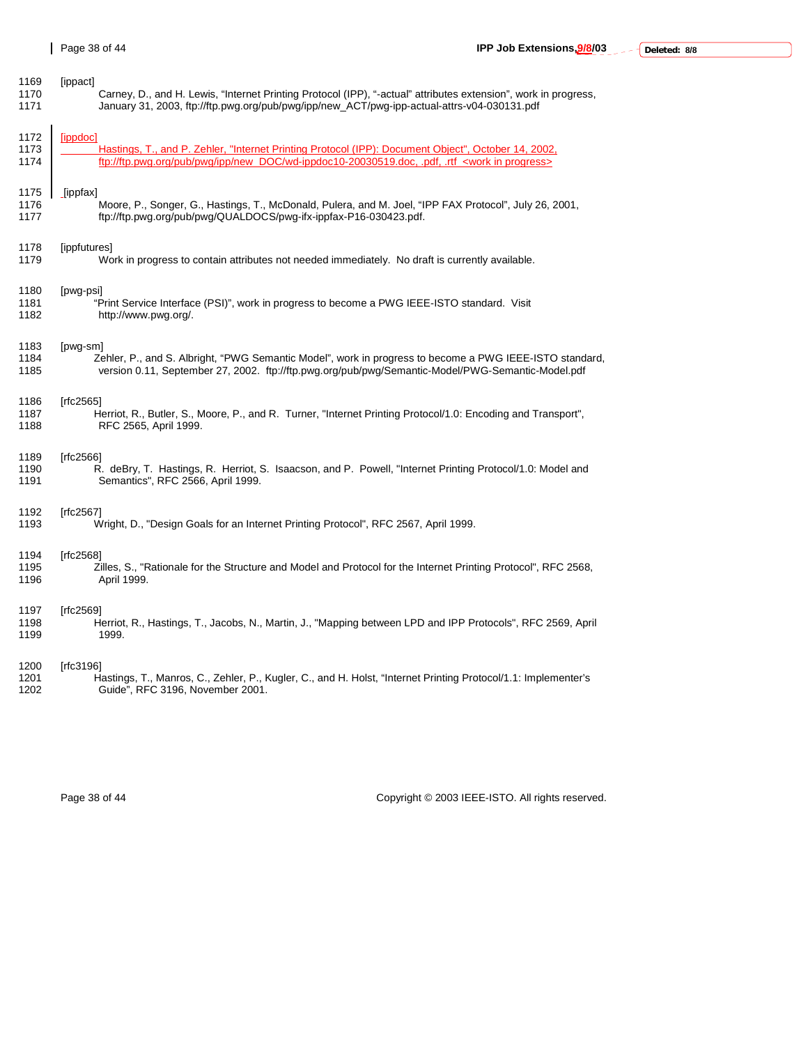| 1169 | [ippact]                                                                                                        |
|------|-----------------------------------------------------------------------------------------------------------------|
| 1170 | Carney, D., and H. Lewis, "Internet Printing Protocol (IPP), "-actual" attributes extension", work in progress, |
| 1171 | January 31, 2003, ftp://ftp.pwg.org/pub/pwg/ipp/new_ACT/pwg-ipp-actual-attrs-v04-030131.pdf                     |
| 1172 | [ippdoc]                                                                                                        |
| 1173 | Hastings, T., and P. Zehler, "Internet Printing Protocol (IPP): Document Object", October 14, 2002,             |
| 1174 | ftp://ftp.pwg.org/pub/pwg/ipp/new_DOC/wd-ippdoc10-20030519.doc, .pdf, .rtf <work in="" progress=""></work>      |
| 1175 | [ippfax]                                                                                                        |
| 1176 | Moore, P., Songer, G., Hastings, T., McDonald, Pulera, and M. Joel, "IPP FAX Protocol", July 26, 2001,          |
| 1177 | ftp://ftp.pwg.org/pub/pwg/QUALDOCS/pwg-ifx-ippfax-P16-030423.pdf.                                               |
| 1178 | [ippfutures]                                                                                                    |
| 1179 | Work in progress to contain attributes not needed immediately. No draft is currently available.                 |
| 1180 | [pwg-psi]                                                                                                       |
| 1181 | "Print Service Interface (PSI)", work in progress to become a PWG IEEE-ISTO standard. Visit                     |
| 1182 | http://www.pwg.org/.                                                                                            |
| 1183 | [pwg-sm]                                                                                                        |
| 1184 | Zehler, P., and S. Albright, "PWG Semantic Model", work in progress to become a PWG IEEE-ISTO standard,         |
| 1185 | version 0.11, September 27, 2002. ftp://ftp.pwg.org/pub/pwg/Semantic-Model/PWG-Semantic-Model.pdf               |
| 1186 | [rfc2565]                                                                                                       |
| 1187 | Herriot, R., Butler, S., Moore, P., and R. Turner, "Internet Printing Protocol/1.0: Encoding and Transport",    |
| 1188 | RFC 2565, April 1999.                                                                                           |
| 1189 | [rfc2566]                                                                                                       |
| 1190 | R. deBry, T. Hastings, R. Herriot, S. Isaacson, and P. Powell, "Internet Printing Protocol/1.0: Model and       |
| 1191 | Semantics", RFC 2566, April 1999.                                                                               |
| 1192 | [rfc2567]                                                                                                       |
| 1193 | Wright, D., "Design Goals for an Internet Printing Protocol", RFC 2567, April 1999.                             |
| 1194 | [rfc2568]                                                                                                       |
| 1195 | Zilles, S., "Rationale for the Structure and Model and Protocol for the Internet Printing Protocol", RFC 2568,  |
| 1196 | April 1999.                                                                                                     |
| 1197 | [rfc2569]                                                                                                       |
| 1198 | Herriot, R., Hastings, T., Jacobs, N., Martin, J., "Mapping between LPD and IPP Protocols", RFC 2569, April     |
| 1199 | 1999.                                                                                                           |
| 1200 | [rfc3196]                                                                                                       |
| 1201 | Hastings, T., Manros, C., Zehler, P., Kugler, C., and H. Holst, "Internet Printing Protocol/1.1: Implementer's  |
| 1202 | Guide", RFC 3196, November 2001.                                                                                |

Page 38 of 44 Copyright © 2003 IEEE-ISTO. All rights reserved.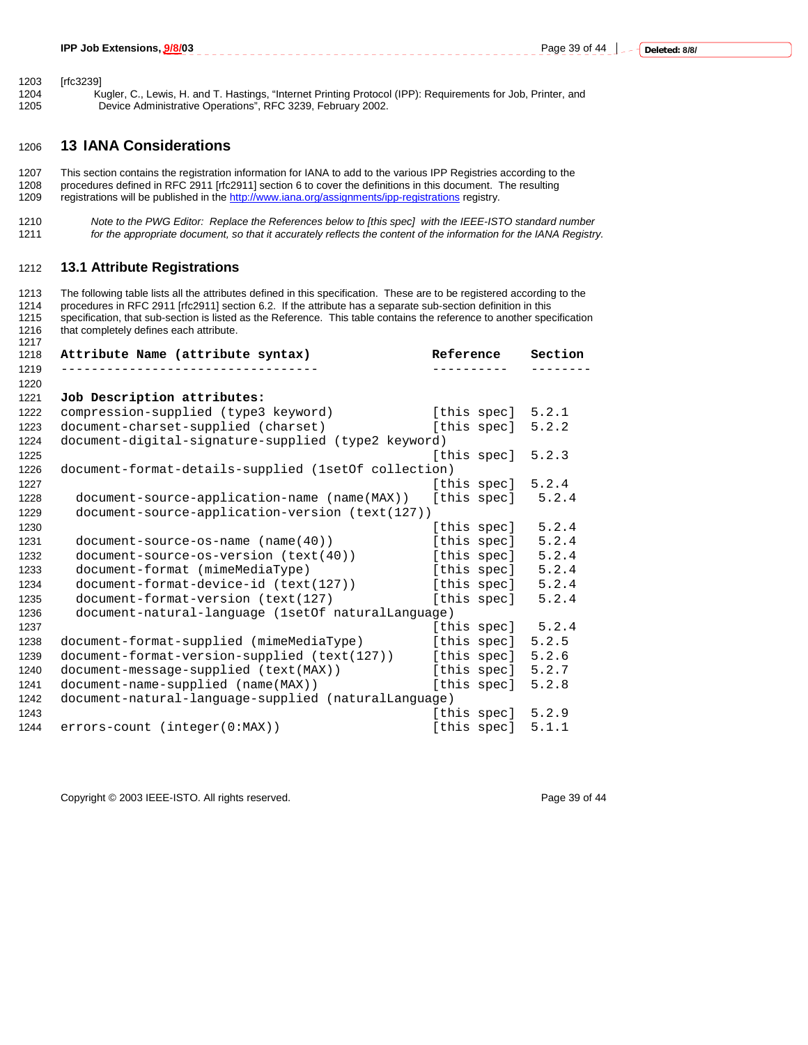1203 [rfc3239] Kugler, C., Lewis, H. and T. Hastings, "Internet Printing Protocol (IPP): Requirements for Job, Printer, and 1205 Device Administrative Operations", RFC 3239, February 2002.

# **13 IANA Considerations**

1207 This section contains the registration information for IANA to add to the various IPP Registries according to the<br>1208 procedures defined in RFC 2911 Irfc29111 section 6 to cover the definitions in this document. The procedures defined in RFC 2911 [rfc2911] section 6 to cover the definitions in this document. The resulting 1209 registrations will be published in the http://www.iana.org/assignments/ipp-registrations registry.

*Note to the PWG Editor: Replace the References below to [this spec] with the IEEE-ISTO standard number*  for the appropriate document, so that it accurately reflects the content of the information for the IANA Registry.

# **13.1 Attribute Registrations**

1213 The following table lists all the attributes defined in this specification. These are to be registered according to the 1214 procedures in RFC 2911 [rfc2911] section 6.2. If the attribute has a separate sub-section definition in this<br>1215 specification, that sub-section is listed as the Reference. This table contains the reference to anothe specification, that sub-section is listed as the Reference. This table contains the reference to another specification 1216 that completely defines each attribute. 

| 1218         | Attribute Name (attribute syntax)                    | Reference           | Section           |
|--------------|------------------------------------------------------|---------------------|-------------------|
| 1219<br>1220 | ____________________________________                 | __________          | $- - - - - - - -$ |
| 1221         | Job Description attributes:                          |                     |                   |
| 1222         | compression-supplied (type3 keyword)                 | [this spec] 5.2.1   |                   |
| 1223         | document-charset-supplied (charset)                  | [this spec]         | 5.2.2             |
| 1224         | document-digital-signature-supplied (type2 keyword)  |                     |                   |
| 1225         |                                                      | [this spec]         | 5.2.3             |
| 1226         | document-format-details-supplied (1setOf collection) |                     |                   |
| 1227         |                                                      | [this spec]         | 5.2.4             |
| 1228         | document-source-application-name (name(MAX))         | [this spec]         | 5.2.4             |
| 1229         | document-source-application-version (text(127))      |                     |                   |
| 1230         |                                                      | [this spec]         | 5.2.4             |
| 1231         | $document-source-os-name (name(40))$                 | [this spec]         | 5.2.4             |
| 1232         | document-source-os-version (text(40))                | [this spec]         | 5.2.4             |
| 1233         | document-format (mimeMediaType)                      | [this spec]         | 5.2.4             |
| 1234         | document-format-device-id (text(127))                | [this spec]         | 5.2.4             |
| 1235         | document-format-version (text(127)                   | [this spec]         | 5.2.4             |
| 1236         | document-natural-language (1setOf naturalLanguage)   |                     |                   |
| 1237         |                                                      | [this spec] $5.2.4$ |                   |
| 1238         | document-format-supplied (mimeMediaType)             | [this spec]         | 5.2.5             |
| 1239         | document-format-version-supplied (text(127))         | [this spec]         | 5.2.6             |
| 1240         | document-message-supplied (text(MAX))                | [this spec]         | 5.2.7             |
| 1241         | document-name-supplied (name(MAX))                   | [this spec]         | 5.2.8             |
| 1242         | document-natural-language-supplied (naturalLanguage) |                     |                   |
| 1243         |                                                      | [this spec] $5.2.9$ |                   |
| 1244         | errors-count (integer(0:MAX))                        | [this spec]         | 5.1.1             |

Copyright © 2003 IEEE-ISTO. All rights reserved. Copyright C 2003 IEEE-ISTO. All rights reserved.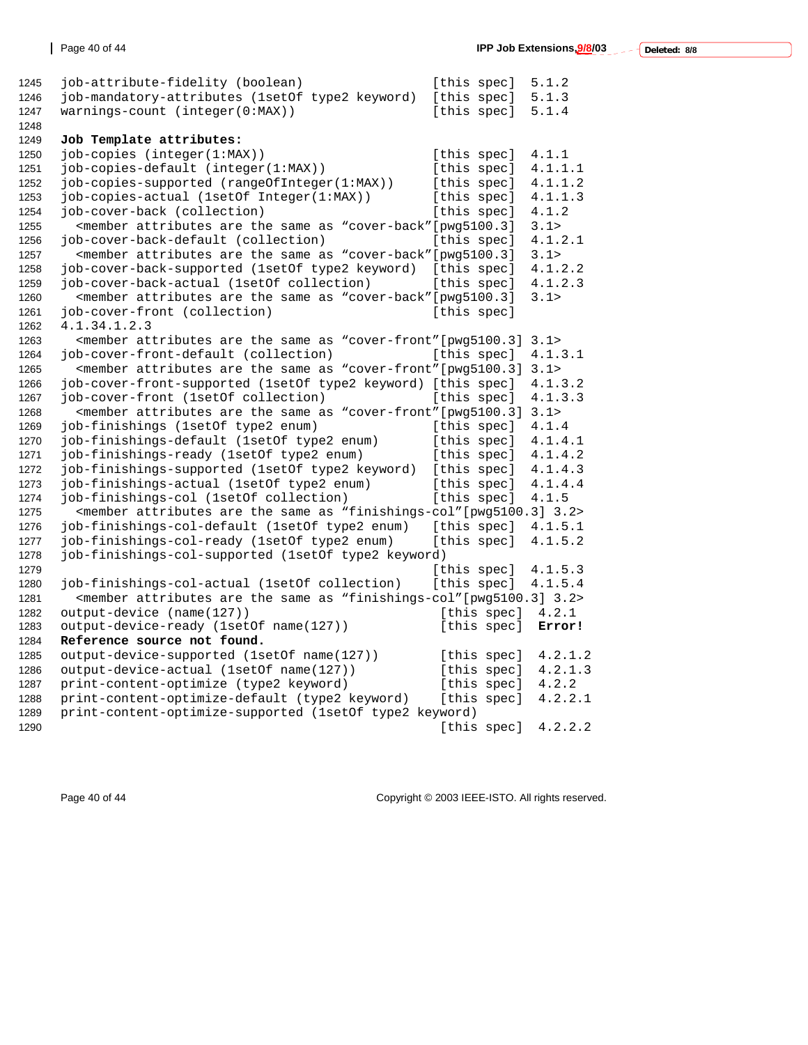| 1245 | job-attribute-fidelity (boolean)                                                                                            | [this spec] | 5.1.2   |
|------|-----------------------------------------------------------------------------------------------------------------------------|-------------|---------|
| 1246 | job-mandatory-attributes (1setOf type2 keyword)                                                                             | [this spec] | 5.1.3   |
| 1247 | $warmings-count (integer(0:MAX))$                                                                                           | [this spec] | 5.1.4   |
| 1248 |                                                                                                                             |             |         |
| 1249 | Job Template attributes:                                                                                                    |             |         |
| 1250 | $job-copies (integer(1:MAX))$                                                                                               | [this spec] | 4.1.1   |
| 1251 | job-copies-default (integer(1:MAX))                                                                                         | [this spec] | 4.1.1.1 |
| 1252 | job-copies-supported (rangeOfInteger(1:MAX))                                                                                | [this spec] | 4.1.1.2 |
| 1253 | iob-copies-actual (1setOf Integer(1:MAX))                                                                                   | [this spec] | 4.1.1.3 |
| 1254 | job-cover-back (collection)                                                                                                 | [this spec] | 4.1.2   |
| 1255 | <member "cover-back"="" [pwq5100.3]<="" are="" as="" attributes="" same="" td="" the=""><td></td><td>3.1&gt;</td></member>  |             | 3.1>    |
| 1256 | job-cover-back-default (collection)                                                                                         | [this spec] | 4.1.2.1 |
| 1257 | <member "cover-back"="" [pwg5100.3]<="" are="" as="" attributes="" same="" td="" the=""><td></td><td>3.1&gt;</td></member>  |             | 3.1>    |
| 1258 | job-cover-back-supported (1setOf type2 keyword)                                                                             | [this spec] | 4.1.2.2 |
| 1259 | job-cover-back-actual (1setOf collection)                                                                                   | [this spec] | 4.1.2.3 |
| 1260 | <member "cover-back"[pwg5100.3]<="" are="" as="" attributes="" same="" td="" the=""><td></td><td>3.1&gt;</td></member>      |             | 3.1>    |
| 1261 | job-cover-front (collection)                                                                                                | [this spec] |         |
| 1262 | 4.1.34.1.2.3                                                                                                                |             |         |
| 1263 | <member "cover-front"="" [pwq5100.3]<="" are="" as="" attributes="" same="" td="" the=""><td></td><td>3.1</td></member>     |             | 3.1     |
| 1264 | job-cover-front-default (collection)                                                                                        | [this spec] | 4.1.3.1 |
| 1265 | <member "cover-front"="" [pwg5100.3]<="" are="" as="" attributes="" same="" td="" the=""><td></td><td>3.1&gt;</td></member> |             | 3.1>    |
| 1266 | job-cover-front-supported (1setOf type2 keyword) [this spec]                                                                |             | 4.1.3.2 |
| 1267 | job-cover-front (1setOf collection)                                                                                         | [this spec] | 4.1.3.3 |
| 1268 | <member "cover-front"="" [pwq5100.3]<="" are="" as="" attributes="" same="" td="" the=""><td></td><td>3.1</td></member>     |             | 3.1     |
| 1269 | job-finishings (1setOf type2 enum)                                                                                          | [this spec] | 4.1.4   |
| 1270 | job-finishings-default (1setOf type2 enum)                                                                                  | [this spec] | 4.1.4.1 |
| 1271 | job-finishings-ready (1setOf type2 enum)                                                                                    | [this spec] | 4.1.4.2 |
| 1272 | job-finishings-supported (lsetOf type2 keyword)                                                                             | [this spec] | 4.1.4.3 |
| 1273 | job-finishings-actual (1setOf type2 enum)                                                                                   | [this spec] | 4.1.4.4 |
| 1274 | job-finishings-col (1setOf collection)                                                                                      | [this spec] | 4.1.5   |
| 1275 | <member "finishings-col"="" 3.2="" [pwg5100.3]="" are="" as="" attributes="" same="" the=""></member>                       |             |         |
| 1276 | job-finishings-col-default (1setOf type2 enum)                                                                              | [this spec] | 4.1.5.1 |
| 1277 | job-finishings-col-ready (1setOf type2 enum)                                                                                | [this spec] | 4.1.5.2 |
| 1278 | job-finishings-col-supported (1setOf type2 keyword)                                                                         |             |         |
| 1279 |                                                                                                                             | [this spec] | 4.1.5.3 |
| 1280 | job-finishings-col-actual (1set of collection)                                                                              | [this spec] | 4.1.5.4 |
| 1281 | <member "finishings-col"="" 3.2="" [pwg5100.3]="" are="" as="" attributes="" same="" the=""></member>                       |             |         |
| 1282 | output-device (name(127))                                                                                                   | [this spec] | 4.2.1   |
| 1283 | output-device-ready (1setOf name(127))                                                                                      | [this spec] | Error!  |
| 1284 | Reference source not found.                                                                                                 |             |         |
| 1285 | output-device-supported (1setOf name(127))                                                                                  | [this spec] | 4.2.1.2 |
| 1286 | output-device-actual (1setOf name(127))                                                                                     | [this spec] | 4.2.1.3 |
| 1287 | print-content-optimize (type2 keyword)                                                                                      | [this spec] | 4.2.2   |
| 1288 | print-content-optimize-default (type2 keyword)                                                                              | [this spec] | 4.2.2.1 |
| 1289 | print-content-optimize-supported (1setOf type2 keyword)                                                                     |             |         |
| 1290 |                                                                                                                             | [this spec] | 4.2.2.2 |

Page 40 of 44 Copyright © 2003 IEEE-ISTO. All rights reserved.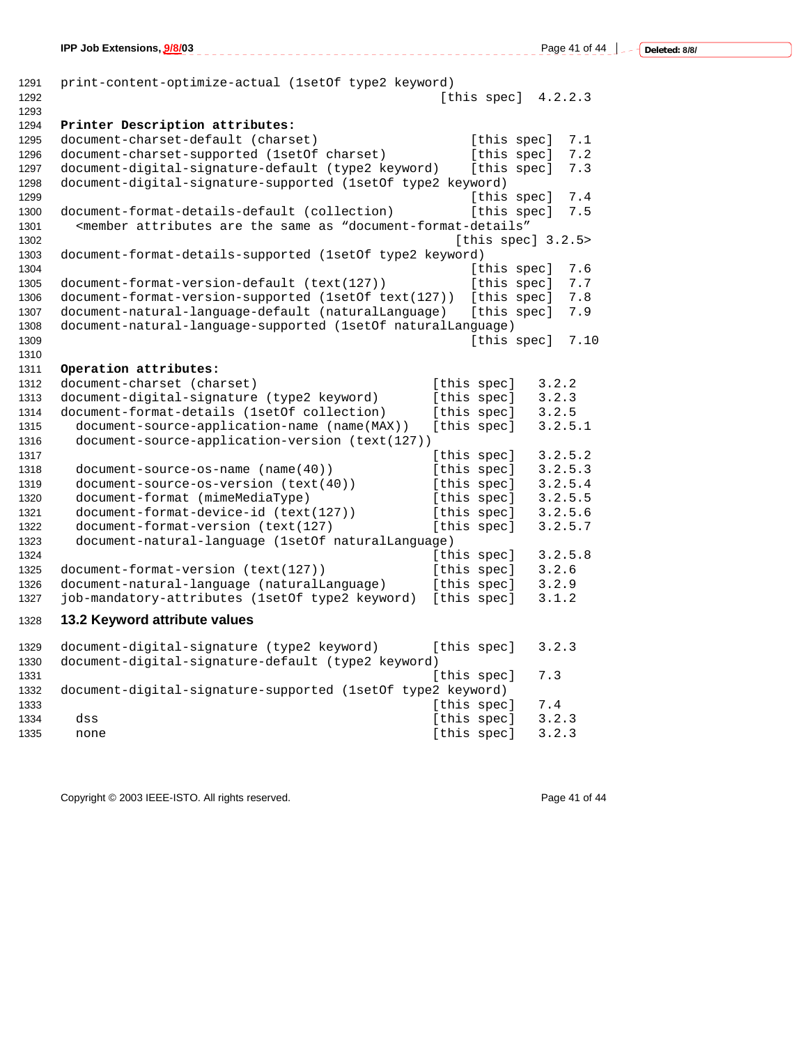|                      | IPP Job Extensions, 9/8/03                                                                                                          |                       |       | Page 41 of 44 $\vert$ | Deleted: 8/8/ |
|----------------------|-------------------------------------------------------------------------------------------------------------------------------------|-----------------------|-------|-----------------------|---------------|
| 1291<br>1292<br>1293 | print-content-optimize-actual (1setOf type2 keyword)                                                                                | [this spec] $4.2.2.3$ |       |                       |               |
| 1294                 | Printer Description attributes:                                                                                                     |                       |       |                       |               |
|                      |                                                                                                                                     |                       |       |                       |               |
| 1295                 | document-charset-default (charset)                                                                                                  | [this spec]           |       | 7.1                   |               |
| 1296                 | document-charset-supported (1setOf charset)                                                                                         | [this spec]           |       | 7.2                   |               |
| 1297                 | document-digital-signature-default (type2 keyword)                                                                                  | [this spec]           |       | 7.3                   |               |
| 1298                 | document-digital-signature-supported (1setOf type2 keyword)                                                                         |                       |       |                       |               |
| 1299                 |                                                                                                                                     | [this spec]           |       | 7.4                   |               |
| 1300                 | document-format-details-default (collection)                                                                                        | [this spec]           |       | 7.5                   |               |
| 1301                 | <member "document-format-details"<="" are="" as="" attributes="" same="" td="" the=""><td></td><td></td><td></td><td></td></member> |                       |       |                       |               |
| 1302                 |                                                                                                                                     | [this spec] $3.2.5$   |       |                       |               |
| 1303                 | document-format-details-supported (1setOf type2 keyword)                                                                            |                       |       |                       |               |
| 1304                 |                                                                                                                                     | [this spec]           |       | 7.6                   |               |
| 1305                 | document-format-version-default (text(127))                                                                                         | [this spec]           |       | 7.7                   |               |
| 1306                 | document-format-version-supported (1setOf text(127))                                                                                | [this spec]           |       | 7.8                   |               |
| 1307                 | document-natural-language-default (naturalLanguage)                                                                                 | [this spec]           |       | 7.9                   |               |
| 1308                 | document-natural-language-supported (1setOf naturalLanguage)                                                                        |                       |       |                       |               |
| 1309                 |                                                                                                                                     | [this spec]           |       | 7.10                  |               |
| 1310                 |                                                                                                                                     |                       |       |                       |               |
| 1311                 | Operation attributes:                                                                                                               |                       |       |                       |               |
| 1312                 | document-charset (charset)                                                                                                          | [this spec]           | 3.2.2 |                       |               |
| 1313                 | document-digital-signature (type2 keyword)                                                                                          | [this spec]           | 3.2.3 |                       |               |
| 1314                 | document-format-details (1setOf collection)                                                                                         | [this spec]           | 3.2.5 |                       |               |
| 1315                 | document-source-application-name (name(MAX))                                                                                        | [this spec]           |       | 3.2.5.1               |               |
| 1316                 | document-source-application-version (text(127))                                                                                     |                       |       |                       |               |
| 1317                 |                                                                                                                                     | [this spec]           |       | 3.2.5.2               |               |
| 1318                 | $document-source-os-name (name(40))$                                                                                                | [this spec]           |       | 3.2.5.3               |               |
| 1319                 | document-source-os-version (text(40))                                                                                               | [this spec]           |       | 3.2.5.4               |               |
| 1320                 | document-format (mimeMediaType)                                                                                                     | [this spec]           |       | 3.2.5.5               |               |
| 1321                 | document-format-device-id (text(127))                                                                                               | [this spec]           |       | 3.2.5.6               |               |
| 1322                 | document-format-version (text(127)                                                                                                  | [this spec]           |       | 3.2.5.7               |               |
| 1323                 | document-natural-language (1setOf naturalLanguage)                                                                                  |                       |       |                       |               |
| 1324                 |                                                                                                                                     | [this spec]           |       | 3.2.5.8               |               |
| 1325                 | document-format-version (text(127))                                                                                                 | [this spec]           | 3.2.6 |                       |               |
| 1326                 | document-natural-language (naturalLanguage)                                                                                         | [this spec]           | 3.2.9 |                       |               |
| 1327                 | job-mandatory-attributes (1setOf type2 keyword)                                                                                     | [this spec]           | 3.1.2 |                       |               |
|                      |                                                                                                                                     |                       |       |                       |               |
| 1328                 | 13.2 Keyword attribute values                                                                                                       |                       |       |                       |               |
| 1329                 | document-digital-signature (type2 keyword)                                                                                          | [this spec]           | 3.2.3 |                       |               |
| 1330                 | document-digital-signature-default (type2 keyword)                                                                                  |                       |       |                       |               |
| 1331                 |                                                                                                                                     | [this spec]           | 7.3   |                       |               |
| 1332                 | document-digital-signature-supported (1setOf type2 keyword)                                                                         |                       |       |                       |               |
| 1333                 |                                                                                                                                     | [this spec]           | 7.4   |                       |               |
| 1334                 | dss                                                                                                                                 | [this spec]           | 3.2.3 |                       |               |
| 1335                 | none                                                                                                                                | [this spec]           | 3.2.3 |                       |               |
|                      |                                                                                                                                     |                       |       |                       |               |

Copyright © 2003 IEEE-ISTO. All rights reserved. example 2003 2003 Page 41 of 44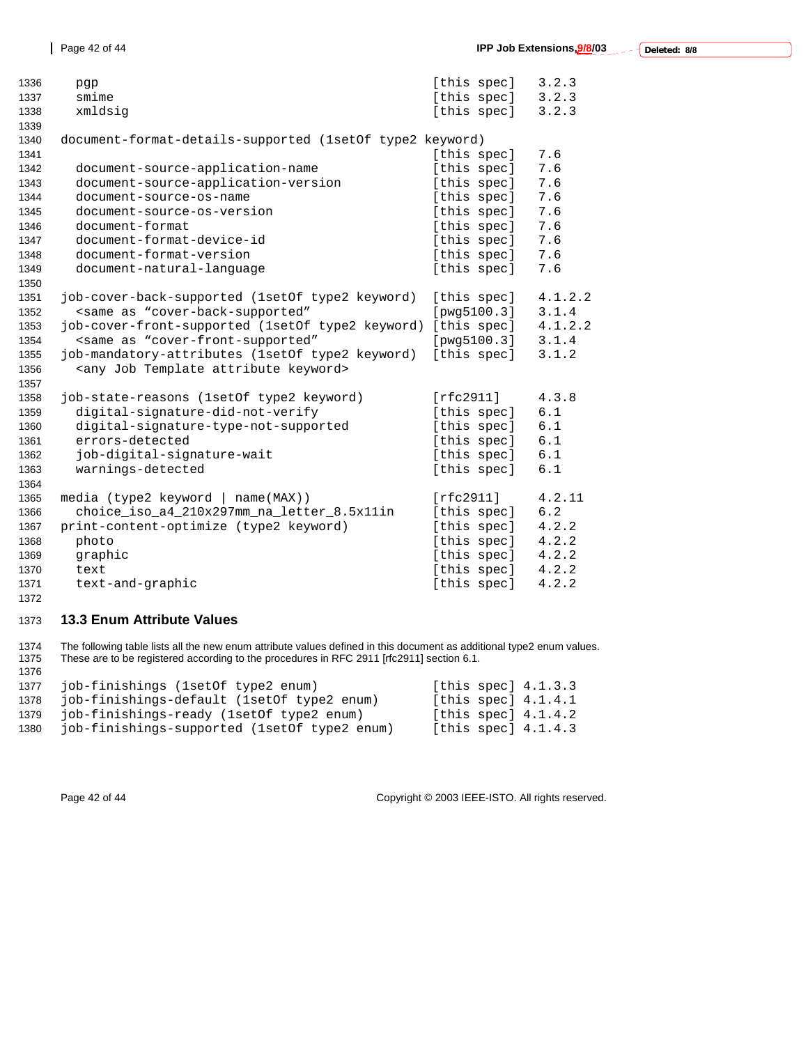| 7eleted: 8/8 |  |
|--------------|--|

| 1336<br>1337<br>1338<br>1339                                 | pgp<br>smime<br>xmldsig                                                                                                                                                                                                                                                                                             | [this spec]<br>[this spec]<br>[this spec]                                                           | 3.2.3<br>3.2.3<br>3.2.3                                    |
|--------------------------------------------------------------|---------------------------------------------------------------------------------------------------------------------------------------------------------------------------------------------------------------------------------------------------------------------------------------------------------------------|-----------------------------------------------------------------------------------------------------|------------------------------------------------------------|
| 1340<br>1341<br>1342<br>1343<br>1344                         | document-format-details-supported (1setOf type2 keyword)<br>document-source-application-name<br>document-source-application-version<br>document-source-os-name                                                                                                                                                      | [this spec]<br>[this spec]<br>[this spec]<br>[this spec]                                            | 7.6<br>7.6<br>7.6<br>7.6                                   |
| 1345<br>1346<br>1347<br>1348<br>1349<br>1350                 | document-source-os-version<br>document-format<br>document-format-device-id<br>document-format-version<br>document-natural-language                                                                                                                                                                                  | [this spec]<br>[this spec]<br>[this spec]<br>[this spec]<br>[this spec]                             | 7.6<br>7.6<br>7.6<br>7.6<br>7.6                            |
| 1351<br>1352<br>1353<br>1354<br>1355<br>1356<br>1357         | job-cover-back-supported (1setOf type2 keyword)<br><same "cover-back-supported"<br="" as="">job-cover-front-supported (1setOf type2 keyword)<br/><same "cover-front-supported"<br="" as="">job-mandatory-attributes (1setOf type2 keyword)<br/><any attribute="" job="" keyword="" template=""></any></same></same> | [this spec]<br>[pwg5100.3]<br>[this spec]<br>[pwg5100.3]<br>[this spec]                             | 4.1.2.2<br>3.1.4<br>4.1.2.2<br>3.1.4<br>3.1.2              |
| 1358<br>1359<br>1360<br>1361<br>1362<br>1363<br>1364         | job-state-reasons (1setOf type2 keyword)<br>digital-signature-did-not-verify<br>digital-signature-type-not-supported<br>errors-detected<br>job-digital-signature-wait<br>warnings-detected                                                                                                                          | [rfc2911]<br>[this spec]<br>[this spec]<br>[this spec]<br>[this spec]<br>[this spec]                | 4.3.8<br>6.1<br>6.1<br>6.1<br>6.1<br>6.1                   |
| 1365<br>1366<br>1367<br>1368<br>1369<br>1370<br>1371<br>1372 | media (type2 keyword  <br>$name(MAX)$ )<br>choice_iso_a4_210x297mm_na_letter_8.5x11in<br>print-content-optimize (type2 keyword)<br>photo<br>qraphic<br>text<br>text-and-graphic                                                                                                                                     | [rfc2911]<br>[this spec]<br>[this spec]<br>[this spec]<br>[this spec]<br>[this spec]<br>[this spec] | 4.2.11<br>6.2<br>4.2.2<br>4.2.2<br>4.2.2<br>4.2.2<br>4.2.2 |

# **13.3 Enum Attribute Values**

1374 The following table lists all the new enum attribute values defined in this document as additional type2 enum values. 1375 These are to be registered according to the procedures in RFC 2911 [rfc2911] section 6.1.

| 1377 | job-finishings (1setOf type2 enum)           |  | [this spec] $4.1.3.3$ |
|------|----------------------------------------------|--|-----------------------|
| 1378 | job-finishings-default (1setOf type2 enum)   |  | [this spec] $4.1.4.1$ |
| 1379 | job-finishings-ready (1setOf type2 enum)     |  | [this spec] $4.1.4.2$ |
| 1380 | job-finishings-supported (1setOf type2 enum) |  | [this spec] $4.1.4.3$ |

Page 42 of 44 Copyright © 2003 IEEE-ISTO. All rights reserved.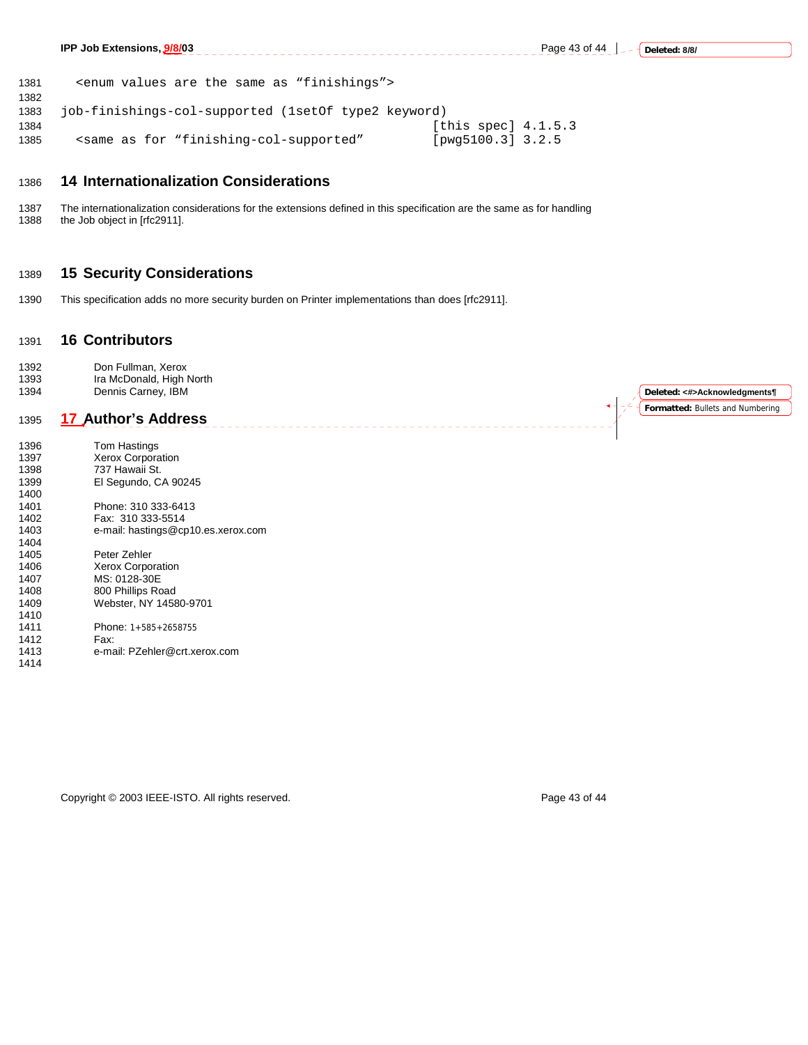**IPP Job Extensions,**  $\frac{9/8/03}{2}$  **Page 43 of 44 of 44 of 44 of 44 of 44 of 44 of 44 of 44 of 44 of 44 of 44 of 44** 

Page 43 of 44 | \_ \_ \_ Deleted: 8/8/

| 1381 | <enum "finishings"="" are="" as="" same="" the="" values=""></enum> |  |
|------|---------------------------------------------------------------------|--|
| 1382 |                                                                     |  |
| 1383 | job-finishings-col-supported (1setOf type2 keyword)                 |  |
| 1384 | [this spec] $4.1.5.3$                                               |  |
| 1385 | $[pwq5100.3]$ 3.2.5<br>same as for "finishing-col-supported"        |  |

# 1386 **14 Internationalization Considerations**

1387 The internationalization considerations for the extensions defined in this specification are the same as for handling<br>1388 the Job object in [rfc2911]. the Job object in [rfc2911].

\_\_\_\_\_\_\_\_\_\_\_\_\_\_\_\_\_\_\_\_

# 1389 **15 Security Considerations**

1390 This specification adds no more security burden on Printer implementations than does [rfc2911].

# 1391 **16 Contributors**

1392 Don Fullman, Xerox 1393 Ira McDonald, High North<br>1394 Dennis Carney, IBM Dennis Carney, IBM

# 1395 **17 Author's Address**

| 1396 | Tom Hastings                       |
|------|------------------------------------|
| 1397 | <b>Xerox Corporation</b>           |
| 1398 | 737 Hawaii St.                     |
| 1399 | El Segundo, CA 90245               |
| 1400 |                                    |
| 1401 | Phone: 310 333-6413                |
| 1402 | Fax: 310 333-5514                  |
| 1403 | e-mail: hastings@cp10.es.xerox.com |
| 1404 |                                    |
| 1405 | Peter Zehler                       |
| 1406 | <b>Xerox Corporation</b>           |
| 1407 | MS: 0128-30E                       |
| 1408 | 800 Phillips Road                  |
| 1409 | Webster. NY 14580-9701             |
| 1410 |                                    |
| 1411 | Phone: $1+585+2658755$             |
| 1412 | Fax:                               |
| 1413 | e-mail: PZehler@crt.xerox.com      |
| 1414 |                                    |

**Formatted:** Bullets and Numbering **Deleted: <#>Acknowledgments¶**

Copyright © 2003 IEEE-ISTO. All rights reserved. Page 43 of 44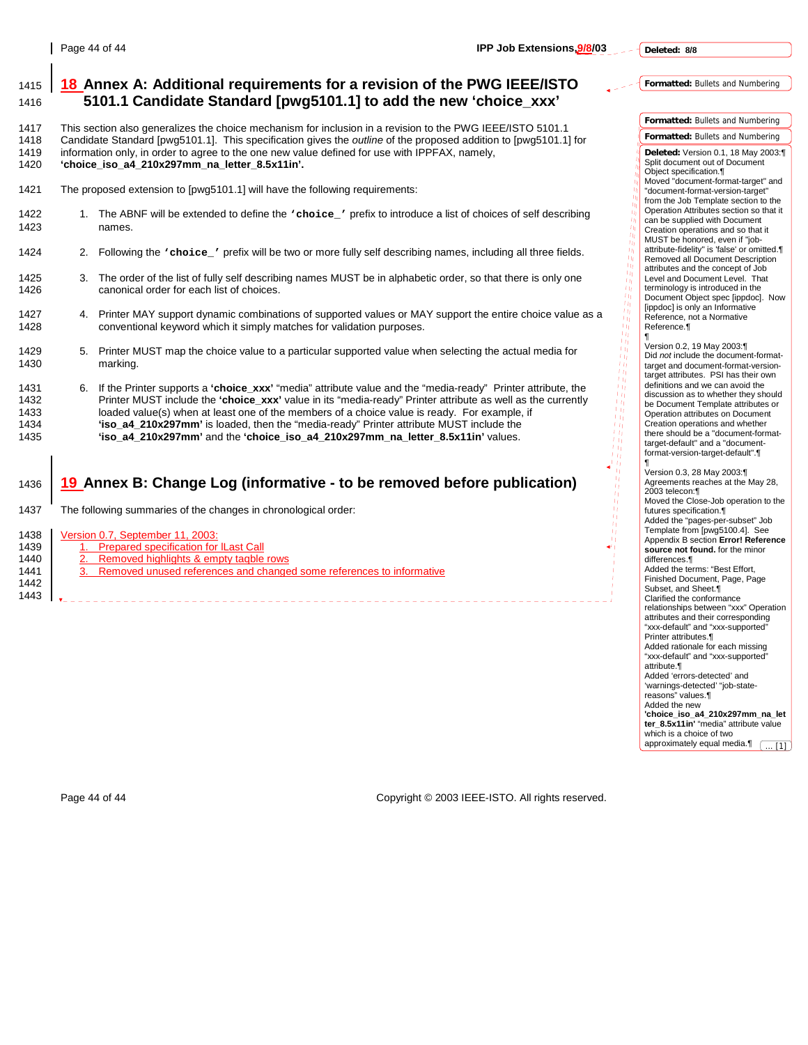#### **Deleted: 8/8**

Reference.¶

电角切切切 捕 斯 盐 新唐 盐 Τú

不同的 电电阻电阻

【内容有所有的事件有所有的方法】

¶ Version 0.2, 19 May 2003:¶ Did *not* include the document-formattarget and document-format-versiontarget attributes. PSI has their own definitions and we can avoid the discussion as to whether they should be Document Template attributes or Operation attributes on Document

#### **Formatted:** Bullets and Numbering

**Formatted:** Bullets and Numbering **Formatted:** Bullets and Numbering **Deleted:** Version 0.1, 18 May 2003:¶ Split document out of Document Object specification.¶

Moved "document-format-target" and "document-format-version-target" from the Job Template section to the Operation Attributes section so that it can be supplied with Document Creation operations and so that it MUST be honored, even if "jobattribute-fidelity" is 'false' or omitted.¶ Removed all Document Description attributes and the concept of Job Level and Document Level. That terminology is introduced in the Document Object spec [ippdoc]. Now [ippdoc] is only an Informative Reference, not a Normative

# 1415 **18 Annex A: Additional requirements for a revision of the PWG IEEE/ISTO**  1416 **5101.1 Candidate Standard [pwg5101.1] to add the new 'choice\_xxx'**

1417 This section also generalizes the choice mechanism for inclusion in a revision to the PWG IEEE/ISTO 5101.1<br>1418 Candidate Standard [pwq5101.1]. This specification gives the *outline* of the proposed addition to [pwq51

# 1418 Candidate Standard [pwg5101.1]. This specification gives the *outline* of the proposed addition to [pwg5101.1] for 1419 information only, in order to agree to the one new value defined for use with IPPFAX, namely, 1420 (choice iso a4 210x297mm na letter 8.5x11in'.

#### 1420 **'choice\_iso\_a4\_210x297mm\_na\_letter\_8.5x11in'.**

- 1421 The proposed extension to [pwg5101.1] will have the following requirements:
- 1422 1. The ABNF will be extended to define the **'choice\_'** prefix to introduce a list of choices of self describing 1423 names.
- 1424 2. Following the **'choice\_'** prefix will be two or more fully self describing names, including all three fields.
- 1425 3. The order of the list of fully self describing names MUST be in alphabetic order, so that there is only one 1426 canonical order for each list of choices.
- 1427 4. Printer MAY support dynamic combinations of supported values or MAY support the entire choice value as a 1428 conventional keyword which it simply matches for validation purposes.
- 1429 5. Printer MUST map the choice value to a particular supported value when selecting the actual media for 1430 marking.
- 1431 6. If the Printer supports a **'choice\_xxx'** "media" attribute value and the "media-ready" Printer attribute, the Printer MUST include the 'choice\_xxx' value in its "media-ready" Printer attribute as well as the currently 1433 loaded value(s) when at least one of the members of a choice value is ready. For example, if 1434 **'iso\_a4\_210x297mm'** is loaded, then the "media-ready" Printer attribute MUST include the 1435 **'iso\_a4\_210x297mm'** and the **'choice\_iso\_a4\_210x297mm\_na\_letter\_8.5x11in'** values.

# 1436 **19 Annex B: Change Log (informative - to be removed before publication)**

1437 The following summaries of the changes in chronological order:

| 1438 | Version 0.7, September 11, 2003: |                                                                         |  |
|------|----------------------------------|-------------------------------------------------------------------------|--|
| 1439 |                                  | 1. Prepared specification for ILast Call                                |  |
| 1440 |                                  | 2. Removed highlights & empty tagble rows                               |  |
| 1441 |                                  | 3. Removed unused references and changed some references to informative |  |
| 1442 |                                  |                                                                         |  |
| 1443 |                                  |                                                                         |  |



which is a choice of two approximately equal media. $\left[ \begin{array}{cc} \cdot & \cdot & \cdot \\ \cdot & \cdot & \cdot & 1 \end{array} \right]$ 

Page 44 of 44 Copyright © 2003 IEEE-ISTO. All rights reserved.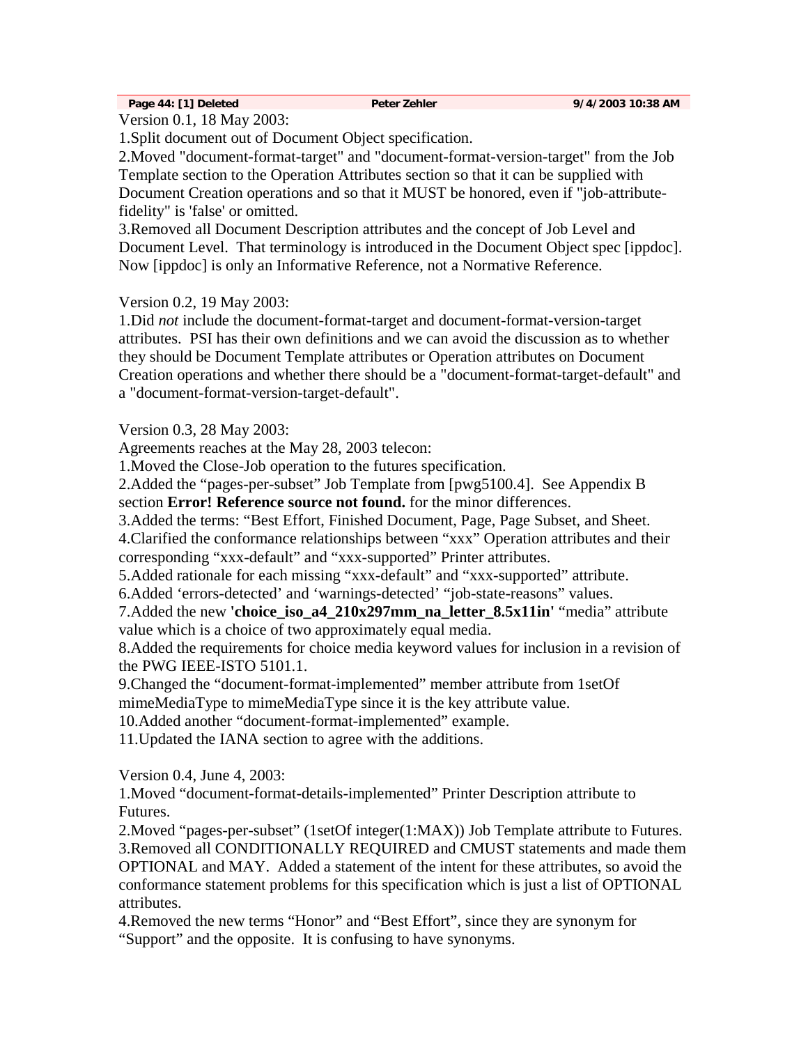Version 0.1, 18 May 2003: 1.Split document out of Document Object specification.

2.Moved "document-format-target" and "document-format-version-target" from the Job Template section to the Operation Attributes section so that it can be supplied with Document Creation operations and so that it MUST be honored, even if "job-attributefidelity" is 'false' or omitted.

3.Removed all Document Description attributes and the concept of Job Level and Document Level. That terminology is introduced in the Document Object spec [ippdoc]. Now [ippdoc] is only an Informative Reference, not a Normative Reference.

Version 0.2, 19 May 2003:

1.Did *not* include the document-format-target and document-format-version-target attributes. PSI has their own definitions and we can avoid the discussion as to whether they should be Document Template attributes or Operation attributes on Document Creation operations and whether there should be a "document-format-target-default" and a "document-format-version-target-default".

Version 0.3, 28 May 2003:

Agreements reaches at the May 28, 2003 telecon:

1.Moved the Close-Job operation to the futures specification.

2.Added the "pages-per-subset" Job Template from [pwg5100.4]. See Appendix B section **Error! Reference source not found.** for the minor differences.

3.Added the terms: "Best Effort, Finished Document, Page, Page Subset, and Sheet.

4.Clarified the conformance relationships between "xxx" Operation attributes and their corresponding "xxx-default" and "xxx-supported" Printer attributes.

5.Added rationale for each missing "xxx-default" and "xxx-supported" attribute.

6.Added 'errors-detected' and 'warnings-detected' "job-state-reasons" values.

7.Added the new **'choice\_iso\_a4\_210x297mm\_na\_letter\_8.5x11in'** "media" attribute value which is a choice of two approximately equal media.

8.Added the requirements for choice media keyword values for inclusion in a revision of the PWG IEEE-ISTO 5101.1.

9.Changed the "document-format-implemented" member attribute from 1setOf mimeMediaType to mimeMediaType since it is the key attribute value.

10.Added another "document-format-implemented" example.

11.Updated the IANA section to agree with the additions.

Version 0.4, June 4, 2003:

1.Moved "document-format-details-implemented" Printer Description attribute to Futures.

2.Moved "pages-per-subset" (1setOf integer(1:MAX)) Job Template attribute to Futures. 3.Removed all CONDITIONALLY REQUIRED and CMUST statements and made them OPTIONAL and MAY. Added a statement of the intent for these attributes, so avoid the conformance statement problems for this specification which is just a list of OPTIONAL attributes.

4.Removed the new terms "Honor" and "Best Effort", since they are synonym for "Support" and the opposite. It is confusing to have synonyms.